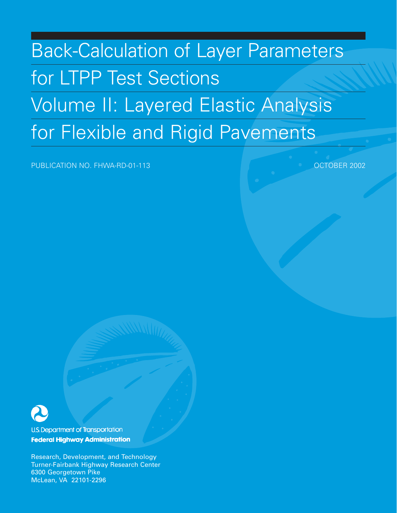# Back-Calculation of Layer Parameters for LTPP Test Sections Volume II: Layered Elastic Analysis for Flexible and Rigid Pavements

PUBLICATION NO. FHWA-RD-01-113 **CONTACT CONTROLLER IN THE SET OCTOBER 2002** 



**U.S. Department of Transportation Federal Highway Administration** 

Research, Development, and Technology Turner-Fairbank Highway Research Center 6300 Georgetown Pike McLean, VA 22101-2296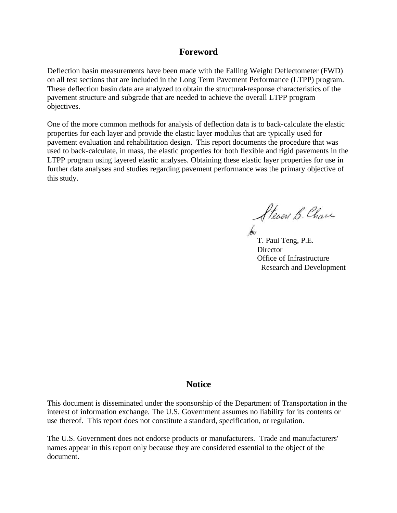#### **Foreword**

Deflection basin measurements have been made with the Falling Weight Deflectometer (FWD) on all test sections that are included in the Long Term Pavement Performance (LTPP) program. These deflection basin data are analyzed to obtain the structural-response characteristics of the pavement structure and subgrade that are needed to achieve the overall LTPP program objectives.

One of the more common methods for analysis of deflection data is to back-calculate the elastic properties for each layer and provide the elastic layer modulus that are typically used for pavement evaluation and rehabilitation design. This report documents the procedure that was used to back-calculate, in mass, the elastic properties for both flexible and rigid pavements in the LTPP program using layered elastic analyses. Obtaining these elastic layer properties for use in further data analyses and studies regarding pavement performance was the primary objective of this study.

Steven B. Chan

T. Paul Teng, P.E. **Director** Office of Infrastructure Research and Development

#### **Notice**

This document is disseminated under the sponsorship of the Department of Transportation in the interest of information exchange. The U.S. Government assumes no liability for its contents or use thereof. This report does not constitute a standard, specification, or regulation.

The U.S. Government does not endorse products or manufacturers. Trade and manufacturers' names appear in this report only because they are considered essential to the object of the document.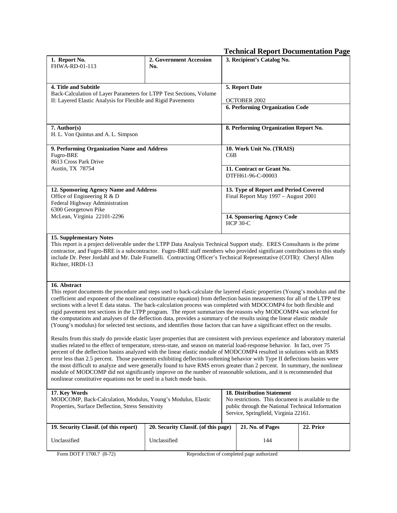|                                                                                                                                                                                                                                                                                                                                                                                                                                                                                                                                                                                                                                                                                                                                                                                                                                                    |                                      |  | <b>Technical Report Documentation Page</b>                                                                                                                                            |           |
|----------------------------------------------------------------------------------------------------------------------------------------------------------------------------------------------------------------------------------------------------------------------------------------------------------------------------------------------------------------------------------------------------------------------------------------------------------------------------------------------------------------------------------------------------------------------------------------------------------------------------------------------------------------------------------------------------------------------------------------------------------------------------------------------------------------------------------------------------|--------------------------------------|--|---------------------------------------------------------------------------------------------------------------------------------------------------------------------------------------|-----------|
| 1. Report No.<br>FHWA-RD-01-113                                                                                                                                                                                                                                                                                                                                                                                                                                                                                                                                                                                                                                                                                                                                                                                                                    | 2. Government Accession<br>No.       |  | 3. Recipient's Catalog No.                                                                                                                                                            |           |
| 4. Title and Subtitle<br>Back-Calculation of Layer Parameters for LTPP Test Sections, Volume                                                                                                                                                                                                                                                                                                                                                                                                                                                                                                                                                                                                                                                                                                                                                       |                                      |  | 5. Report Date                                                                                                                                                                        |           |
| II: Layered Elastic Analysis for Flexible and Rigid Pavements                                                                                                                                                                                                                                                                                                                                                                                                                                                                                                                                                                                                                                                                                                                                                                                      |                                      |  | <b>OCTOBER 2002</b><br>6. Performing Organization Code                                                                                                                                |           |
| 7. Author(s)<br>H. L. Von Quintus and A. L. Simpson                                                                                                                                                                                                                                                                                                                                                                                                                                                                                                                                                                                                                                                                                                                                                                                                |                                      |  | 8. Performing Organization Report No.                                                                                                                                                 |           |
| 9. Performing Organization Name and Address<br>Fugro-BRE<br>8613 Cross Park Drive                                                                                                                                                                                                                                                                                                                                                                                                                                                                                                                                                                                                                                                                                                                                                                  |                                      |  | 10. Work Unit No. (TRAIS)                                                                                                                                                             |           |
| Austin, TX 78754                                                                                                                                                                                                                                                                                                                                                                                                                                                                                                                                                                                                                                                                                                                                                                                                                                   |                                      |  | 11. Contract or Grant No.<br>DTFH61-96-C-00003                                                                                                                                        |           |
| 12. Sponsoring Agency Name and Address<br>Office of Engineering R & D<br>Federal Highway Administration<br>6300 Georgetown Pike                                                                                                                                                                                                                                                                                                                                                                                                                                                                                                                                                                                                                                                                                                                    |                                      |  | 13. Type of Report and Period Covered<br>Final Report May 1997 - August 2001                                                                                                          |           |
| McLean, Virginia 22101-2296                                                                                                                                                                                                                                                                                                                                                                                                                                                                                                                                                                                                                                                                                                                                                                                                                        |                                      |  | 14. Sponsoring Agency Code<br><b>HCP 30-C</b>                                                                                                                                         |           |
| <b>15. Supplementary Notes</b><br>This report is a project deliverable under the LTPP Data Analysis Technical Support study. ERES Consultants is the prime<br>contractor, and Fugro-BRE is a subcontractor. Fugro-BRE staff members who provided significant contributions to this study<br>include Dr. Peter Jordahl and Mr. Dale Framelli. Contracting Officer's Technical Representative (COTR): Cheryl Allen<br>Richter, HRDI-13                                                                                                                                                                                                                                                                                                                                                                                                               |                                      |  |                                                                                                                                                                                       |           |
| 16. Abstract<br>This report documents the procedure and steps used to back-calculate the layered elastic properties (Young's modulus and the<br>coefficient and exponent of the nonlinear constitutive equation) from deflection basin measurements for all of the LTPP test<br>sections with a level E data status. The back-calculation process was completed with MDOCOMP4 for both flexible and<br>rigid pavement test sections in the LTPP program. The report summarizes the reasons why MODCOMP4 was selected for<br>the computations and analyses of the deflection data, provides a summary of the results using the linear elastic module<br>(Young's modulus) for selected test sections, and identifies those factors that can have a significant effect on the results.                                                               |                                      |  |                                                                                                                                                                                       |           |
| Results from this study do provide elastic layer properties that are consistent with previous experience and laboratory material<br>studies related to the effect of temperature, stress-state, and season on material load-response behavior. In fact, over 75<br>percent of the deflection basins analyzed with the linear elastic module of MODCOMP4 resulted in solutions with an RMS<br>error less than 2.5 percent. Those pavements exhibiting deflection-softening behavior with Type II deflections basins were<br>the most difficult to analyze and were generally found to have RMS errors greater than 2 percent. In summary, the nonlinear<br>module of MODCOMP did not significantly improve on the number of reasonable solutions, and it is recommended that<br>nonlinear constitutive equations not be used in a batch mode basis. |                                      |  |                                                                                                                                                                                       |           |
| 17. Key Words<br>MODCOMP, Back-Calculation, Modulus, Young's Modulus, Elastic<br>Properties, Surface Deflection, Stress Sensitivity                                                                                                                                                                                                                                                                                                                                                                                                                                                                                                                                                                                                                                                                                                                |                                      |  | <b>18. Distribution Statement</b><br>No restrictions. This document is available to the<br>public through the National Technical Information<br>Service, Springfield, Virginia 22161. |           |
| 19. Security Classif. (of this report)                                                                                                                                                                                                                                                                                                                                                                                                                                                                                                                                                                                                                                                                                                                                                                                                             | 20. Security Classif. (of this page) |  | 21. No. of Pages                                                                                                                                                                      | 22. Price |

Unclassified

Unclassified

Form DOT F 1700.7 (8-72) Reproduction of completed page authorized

144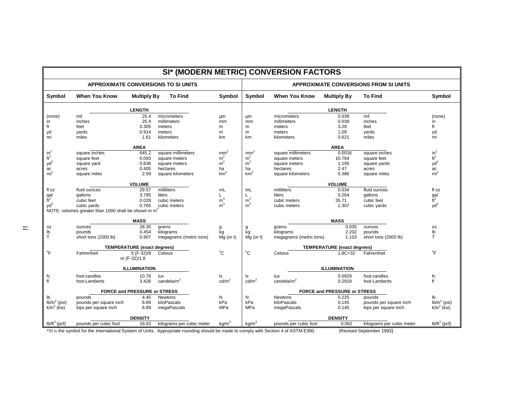|                                   |                                                     |                                    |                                                                                                                                     |                   |                   | SI* (MODERN METRIC) CONVERSION FACTORS |                                    |                                       |                                   |
|-----------------------------------|-----------------------------------------------------|------------------------------------|-------------------------------------------------------------------------------------------------------------------------------------|-------------------|-------------------|----------------------------------------|------------------------------------|---------------------------------------|-----------------------------------|
|                                   |                                                     |                                    | <b>APPROXIMATE CONVERSIONS TO SI UNITS</b>                                                                                          |                   |                   |                                        |                                    | APPROXIMATE CONVERSIONS FROM SI UNITS |                                   |
| Symbol                            | <b>When You Know</b>                                | <b>Multiply By</b>                 | <b>To Find</b>                                                                                                                      | Symbol            | <b>Symbol</b>     | <b>When You Know</b>                   | <b>Multiply By</b>                 | <b>To Find</b>                        | Symbol                            |
|                                   |                                                     | <b>LENGTH</b>                      |                                                                                                                                     |                   |                   |                                        | <b>LENGTH</b>                      |                                       |                                   |
| (none)                            | mil                                                 | 25.4                               | micrometers                                                                                                                         | μm                | μm                | micrometers                            | 0.039                              | mil                                   | (none)                            |
| in                                | inches                                              | 25.4                               | millimeters                                                                                                                         | mm                | mm                | millimeters                            | 0.039                              | inches                                | in                                |
| ft                                | feet                                                | 0.305                              | meters                                                                                                                              | m                 | m                 | meters                                 | 3.28                               | feet                                  | ft                                |
| yd                                | yards                                               | 0.914                              | meters                                                                                                                              | m                 | m                 | meters                                 | 1.09                               | yards                                 | yd                                |
| mi                                | miles                                               | 1.61                               | kilometers                                                                                                                          | km                | km                | kilometers                             | 0.621                              | miles                                 | mi                                |
|                                   |                                                     | <b>AREA</b>                        |                                                                                                                                     |                   |                   |                                        | <b>AREA</b>                        |                                       |                                   |
|                                   | square inches                                       | 645.2                              | square millimeters                                                                                                                  | mm <sup>2</sup>   | mm <sup>2</sup>   | square millimeters                     | 0.0016                             | square inches                         |                                   |
| $\frac{\text{in}^2}{\text{ft}^2}$ | square feet                                         | 0.093                              | square meters                                                                                                                       | m <sup>2</sup>    | m <sup>2</sup>    | square meters                          | 10.764                             | square feet                           | $\frac{\text{in}^2}{\text{ft}^2}$ |
| $yd^2$                            | square yard                                         | 0.836                              | square meters                                                                                                                       | m <sup>2</sup>    | m <sup>2</sup>    | square meters                          | 1.195                              | square yards                          | $yd^2$                            |
| ac                                | acres                                               | 0.405                              | hectares                                                                                                                            | ha                | ha                | hectares                               | 2.47                               | acres                                 | ac                                |
| mi <sup>2</sup>                   | square miles                                        | 2.59                               | square kilometers                                                                                                                   | km <sup>2</sup>   | km <sup>2</sup>   | square kilometers                      | 0.386                              | square miles                          | mi <sup>2</sup>                   |
|                                   |                                                     |                                    |                                                                                                                                     |                   |                   |                                        |                                    |                                       |                                   |
|                                   |                                                     | <b>VOLUME</b>                      |                                                                                                                                     |                   |                   |                                        | <b>VOLUME</b>                      |                                       |                                   |
| fl oz                             | fluid ounces                                        | 29.57                              | milliliters                                                                                                                         | mL                | mL                | milliliters                            | 0.034                              | fluid ounces                          | fl oz                             |
| $\frac{gal}{ft}$                  | gallons                                             | 3.785                              | liters                                                                                                                              | L                 | Г                 | liters                                 | 0.264                              | gallons                               | $\frac{gal}{ft}$                  |
|                                   | cubic feet                                          | 0.028                              | cubic meters                                                                                                                        | m <sup>3</sup>    | m <sup>3</sup>    | cubic meters                           | 35.71                              | cubic feet                            |                                   |
| $yd^3$                            | cubic yards                                         | 0.765                              | cubic meters                                                                                                                        | m <sup>3</sup>    | m <sup>3</sup>    | cubic meters                           | 1.307                              | cubic yards                           | $yd^3$                            |
|                                   | NOTE: volumes greater than 1000 shall be shown in m |                                    |                                                                                                                                     |                   |                   |                                        |                                    |                                       |                                   |
|                                   |                                                     | <b>MASS</b>                        |                                                                                                                                     |                   |                   |                                        | <b>MASS</b>                        |                                       |                                   |
| 0Z                                | ounces                                              | 28.35                              | grams                                                                                                                               | g                 |                   | grams                                  | 0.035                              | ounces                                | oz                                |
| lb                                | pounds                                              | 0.454                              | kilograms                                                                                                                           | kg                | kg                | kilograms                              | 2.202                              | pounds                                | lb                                |
| T                                 | short tons (2000 lb)                                | 0.907                              | megagrams (metric tons)                                                                                                             | $Mg$ (or t)       | $Mg$ (or t)       | megagrams (metric tons)                | 1.103                              | short tons (2000 lb)                  | $\mathsf{T}$                      |
|                                   |                                                     | <b>TEMPERATURE</b> (exact degrees) |                                                                                                                                     |                   |                   |                                        | <b>TEMPERATURE</b> (exact degrees) |                                       |                                   |
| $\mathrm{P}$                      | Fahrenheit                                          | 5 (F-32)/9                         | Celsius                                                                                                                             | $^{\circ}$ C      | $^{\circ}$ C      | Celsius                                | $1.8C + 32$                        | Fahrenheit                            | $\overline{P}$                    |
|                                   |                                                     | or (F-32)/1.8                      |                                                                                                                                     |                   |                   |                                        |                                    |                                       |                                   |
|                                   |                                                     | <b>ILLUMINATION</b>                |                                                                                                                                     |                   |                   |                                        | <b>ILLUMINATION</b>                |                                       |                                   |
| fc                                | foot-candles                                        | 10.76                              | lux                                                                                                                                 | lx                | lx                | lux                                    | 0.0929                             | foot-candles                          | fc                                |
| fl                                | foot-Lamberts                                       | 3.426                              | candela/m <sup>2</sup>                                                                                                              | $\text{cd/m}^2$   | $\text{cd/m}^2$   | candela/ $m2$                          | 0.2919                             | foot-Lamberts                         | fl                                |
|                                   |                                                     | FORCE and PRESSURE or STRESS       |                                                                                                                                     |                   |                   |                                        | FORCE and PRESSURE or STRESS       |                                       |                                   |
|                                   | pounds                                              | 4.45                               | Newtons                                                                                                                             | N                 | N                 | Newtons                                | 0.225                              | pounds                                | lb                                |
| lb<br>$lb/in^2$ (psi)             | pounds per square inch                              | 6.89                               | kiloPascals                                                                                                                         | kPa               | kPa               | kiloPascals                            | 0.145                              | pounds per square inch                | $lb/in^2$ (psi)                   |
| $k/in^2$ (ksi)                    | kips per square inch                                | 6.89                               | megaPascals                                                                                                                         | MPa               | <b>MPa</b>        | megaPascals                            | 0.145                              | kips per square inch                  | $k/in^2$ (ksi)                    |
|                                   |                                                     |                                    |                                                                                                                                     |                   |                   |                                        |                                    |                                       |                                   |
|                                   |                                                     | <b>DENSITY</b>                     |                                                                                                                                     |                   |                   |                                        | <b>DENSITY</b>                     |                                       |                                   |
| $I\!b/It^3$ (pcf)                 | pounds per cubic foot                               | 16.02                              | kilograms per cubic meter                                                                                                           | kg/m <sup>3</sup> | kg/m <sup>3</sup> | pounds per cubic foot                  | 0.062                              | kilograms per cubic meter             | $Ib/ft^3$ (pcf)                   |
|                                   |                                                     |                                    | *SI is the symbol for the International System of Units. Appropriate rounding should be made to comply with Section 4 of ASTM E380. |                   |                   |                                        |                                    | (Revised September 1993)              |                                   |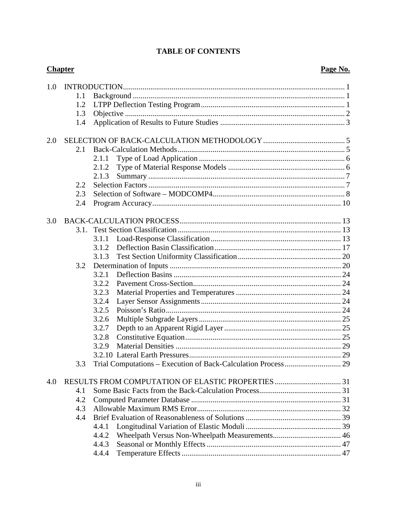|  | <b>TABLE OF CONTENTS</b> |
|--|--------------------------|
|--|--------------------------|

|     | <b>Chapter</b> |       | Page No. |
|-----|----------------|-------|----------|
| 1.0 |                |       |          |
|     | 1.1            |       |          |
|     | 1.2            |       |          |
|     | 1.3            |       |          |
|     | 1.4            |       |          |
| 2.0 |                |       |          |
|     | 2.1            |       |          |
|     |                | 2.1.1 |          |
|     |                | 2.1.2 |          |
|     |                | 2.1.3 |          |
|     | 2.2            |       |          |
|     | 2.3            |       |          |
|     | 2.4            |       |          |
| 3.0 |                |       |          |
|     | 3.1            |       |          |
|     |                | 3.1.1 |          |
|     |                | 3.1.2 |          |
|     |                | 3.1.3 |          |
|     | 3.2            |       |          |
|     |                | 3.2.1 |          |
|     |                | 3.2.2 |          |
|     |                | 3.2.3 |          |
|     |                | 3.2.4 |          |
|     |                | 3.2.5 |          |
|     |                | 3.2.6 |          |
|     |                | 3.2.7 |          |
|     |                | 3.2.8 |          |
|     |                | 3.2.9 |          |
|     |                |       |          |
|     | 3.3            |       |          |
| 4.0 |                |       |          |
|     | 4.1            |       |          |
|     | 4.2            |       |          |
|     | 4.3            |       |          |
|     | 4.4            |       |          |
|     |                | 4.4.1 |          |
|     |                | 4.4.2 |          |
|     |                | 4.4.3 |          |
|     |                | 4.4.4 |          |
|     |                |       |          |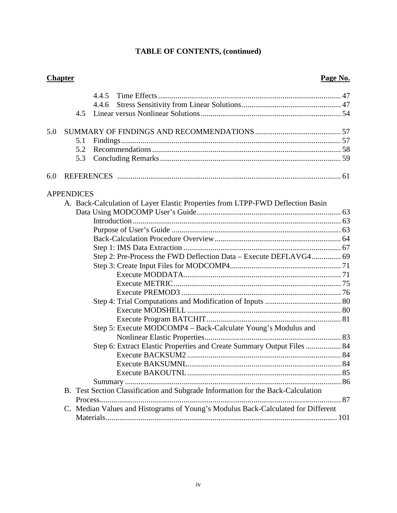# **TABLE OF CONTENTS, (continued)**

|     | <b>Chapter</b>    |                                                                                  | Page No. |
|-----|-------------------|----------------------------------------------------------------------------------|----------|
|     |                   | 4.4.5                                                                            |          |
|     |                   | 4.4.6                                                                            |          |
|     | 4.5               |                                                                                  |          |
| 5.0 |                   |                                                                                  |          |
|     | 5.1               |                                                                                  |          |
|     | 5.2               |                                                                                  |          |
|     | 5.3               |                                                                                  |          |
| 6.0 |                   |                                                                                  |          |
|     | <b>APPENDICES</b> |                                                                                  |          |
|     |                   | A. Back-Calculation of Layer Elastic Properties from LTPP-FWD Deflection Basin   |          |
|     |                   |                                                                                  |          |
|     |                   |                                                                                  |          |
|     |                   |                                                                                  |          |
|     |                   |                                                                                  |          |
|     |                   |                                                                                  |          |
|     |                   |                                                                                  |          |
|     |                   |                                                                                  |          |
|     |                   |                                                                                  |          |
|     |                   |                                                                                  |          |
|     |                   |                                                                                  |          |
|     |                   |                                                                                  |          |
|     |                   |                                                                                  |          |
|     |                   |                                                                                  |          |
|     |                   | Step 5: Execute MODCOMP4 - Back-Calculate Young's Modulus and                    |          |
|     |                   |                                                                                  |          |
|     |                   | Step 6: Extract Elastic Properties and Create Summary Output Files  84           |          |
|     |                   |                                                                                  |          |
|     |                   | Execute BAKSUMNL                                                                 |          |
|     |                   |                                                                                  |          |
|     |                   |                                                                                  |          |
|     |                   | B. Test Section Classification and Subgrade Information for the Back-Calculation |          |
|     |                   |                                                                                  |          |
|     |                   | C. Median Values and Histograms of Young's Modulus Back-Calculated for Different |          |
|     |                   |                                                                                  |          |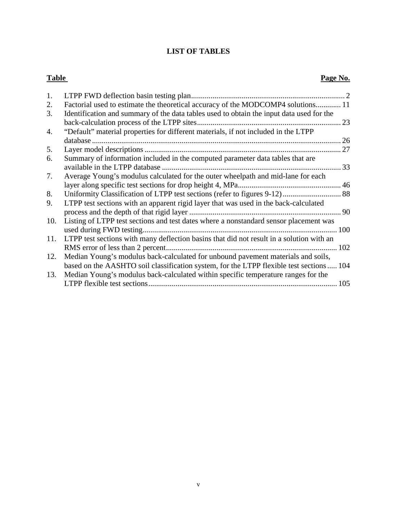### **LIST OF TABLES**

#### **Table** Page No.

| 1.  |                                                                                          |     |
|-----|------------------------------------------------------------------------------------------|-----|
| 2.  | Factorial used to estimate the theoretical accuracy of the MODCOMP4 solutions 11         |     |
| 3.  | Identification and summary of the data tables used to obtain the input data used for the | 23  |
| 4.  | "Default" material properties for different materials, if not included in the LTPP       |     |
|     |                                                                                          | 26  |
| 5.  |                                                                                          | 27  |
| 6.  | Summary of information included in the computed parameter data tables that are           |     |
|     |                                                                                          |     |
| 7.  | Average Young's modulus calculated for the outer wheelpath and mid-lane for each         |     |
|     |                                                                                          |     |
| 8.  |                                                                                          |     |
| 9.  | LTPP test sections with an apparent rigid layer that was used in the back-calculated     |     |
|     |                                                                                          | 90  |
| 10. | Listing of LTPP test sections and test dates where a nonstandard sensor placement was    |     |
|     |                                                                                          | 100 |
| 11. | LTPP test sections with many deflection basins that did not result in a solution with an |     |
|     |                                                                                          | 102 |
| 12. | Median Young's modulus back-calculated for unbound pavement materials and soils,         |     |
|     | based on the AASHTO soil classification system, for the LTPP flexible test sections  104 |     |
| 13. | Median Young's modulus back-calculated within specific temperature ranges for the        |     |
|     |                                                                                          | 105 |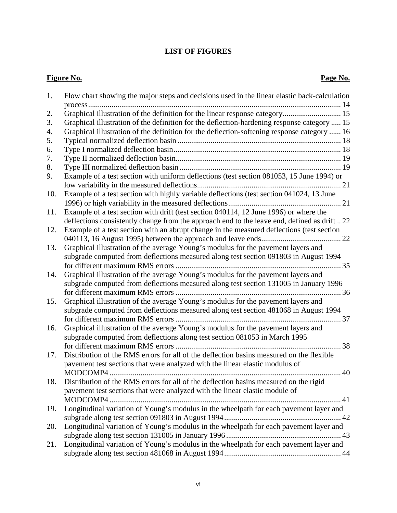### **LIST OF FIGURES**

### **Figure No. Page No.**

| 1.  | Flow chart showing the major steps and decisions used in the linear elastic back-calculation |
|-----|----------------------------------------------------------------------------------------------|
|     |                                                                                              |
| 2.  | Graphical illustration of the definition for the linear response category 15                 |
| 3.  | Graphical illustration of the definition for the deflection-hardening response category  15  |
| 4.  | Graphical illustration of the definition for the deflection-softening response category  16  |
| 5.  |                                                                                              |
| 6.  |                                                                                              |
| 7.  |                                                                                              |
| 8.  |                                                                                              |
| 9.  | Example of a test section with uniform deflections (test section 081053, 15 June 1994) or    |
|     |                                                                                              |
| 10. | Example of a test section with highly variable deflections (test section 041024, 13 June     |
|     |                                                                                              |
| 11. | Example of a test section with drift (test section 040114, 12 June 1996) or where the        |
|     | deflections consistently change from the approach end to the leave end, defined as drift22   |
| 12. | Example of a test section with an abrupt change in the measured deflections (test section    |
|     |                                                                                              |
| 13. | Graphical illustration of the average Young's modulus for the pavement layers and            |
|     | subgrade computed from deflections measured along test section 091803 in August 1994         |
|     |                                                                                              |
| 14. | Graphical illustration of the average Young's modulus for the pavement layers and            |
|     | subgrade computed from deflections measured along test section 131005 in January 1996        |
|     |                                                                                              |
| 15. | Graphical illustration of the average Young's modulus for the pavement layers and            |
|     | subgrade computed from deflections measured along test section 481068 in August 1994         |
|     |                                                                                              |
| 16. | Graphical illustration of the average Young's modulus for the pavement layers and            |
|     | subgrade computed from deflections along test section 081053 in March 1995<br>38             |
| 17. | Distribution of the RMS errors for all of the deflection basins measured on the flexible     |
|     | pavement test sections that were analyzed with the linear elastic modulus of                 |
|     | MODCOMP4                                                                                     |
| 18. | Distribution of the RMS errors for all of the deflection basins measured on the rigid        |
|     | pavement test sections that were analyzed with the linear elastic module of                  |
|     |                                                                                              |
| 19. | Longitudinal variation of Young's modulus in the wheelpath for each pavement layer and       |
|     |                                                                                              |
| 20. | Longitudinal variation of Young's modulus in the wheelpath for each pavement layer and       |
|     |                                                                                              |
| 21. | Longitudinal variation of Young's modulus in the wheelpath for each pavement layer and       |
|     |                                                                                              |
|     |                                                                                              |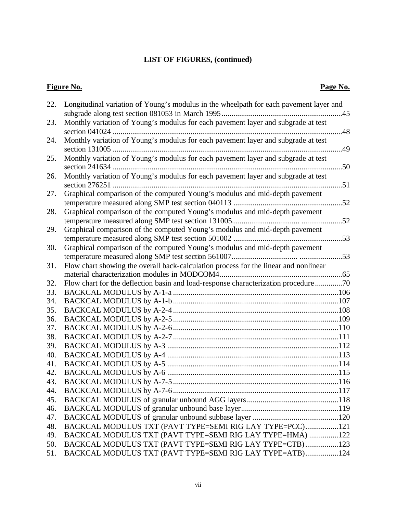# **LIST OF FIGURES, (continued)**

# **Figure No. Page No.**

| 22.        | Longitudinal variation of Young's modulus in the wheelpath for each pavement layer and |     |
|------------|----------------------------------------------------------------------------------------|-----|
|            |                                                                                        |     |
| 23.        | Monthly variation of Young's modulus for each pavement layer and subgrade at test      |     |
| 24.        | Monthly variation of Young's modulus for each pavement layer and subgrade at test      |     |
|            |                                                                                        | 49  |
| 25.        | Monthly variation of Young's modulus for each pavement layer and subgrade at test      |     |
|            |                                                                                        |     |
| 26.        | Monthly variation of Young's modulus for each pavement layer and subgrade at test      |     |
|            |                                                                                        |     |
| 27.        | Graphical comparison of the computed Young's modulus and mid-depth pavement            |     |
|            |                                                                                        |     |
| 28.        | Graphical comparison of the computed Young's modulus and mid-depth pavement            |     |
|            |                                                                                        |     |
| 29.        | Graphical comparison of the computed Young's modulus and mid-depth pavement            |     |
|            |                                                                                        |     |
| 30.        | Graphical comparison of the computed Young's modulus and mid-depth pavement            |     |
|            |                                                                                        |     |
| 31.        | Flow chart showing the overall back-calculation process for the linear and nonlinear   |     |
|            |                                                                                        |     |
| 32.        | Flow chart for the deflection basin and load-response characterization procedure 70    |     |
| 33.        |                                                                                        |     |
| 34.        |                                                                                        |     |
| 35.        |                                                                                        |     |
| 36.<br>37. |                                                                                        |     |
| 38.        |                                                                                        |     |
| 39.        |                                                                                        |     |
| 40.        |                                                                                        |     |
| 41.        |                                                                                        |     |
| 42.        |                                                                                        |     |
| 43.        |                                                                                        |     |
| 44.        |                                                                                        | 117 |
| 45.        |                                                                                        |     |
| 46.        |                                                                                        |     |
| 47.        |                                                                                        |     |
| 48.        | BACKCAL MODULUS TXT (PAVT TYPE=SEMI RIG LAY TYPE=PCC)121                               |     |
| 49.        | BACKCAL MODULUS TXT (PAVT TYPE=SEMI RIG LAY TYPE=HMA) 122                              |     |
| 50.        | BACKCAL MODULUS TXT (PAVT TYPE=SEMI RIG LAY TYPE=CTB)123                               |     |
| 51.        | BACKCAL MODULUS TXT (PAVT TYPE=SEMI RIG LAY TYPE=ATB)124                               |     |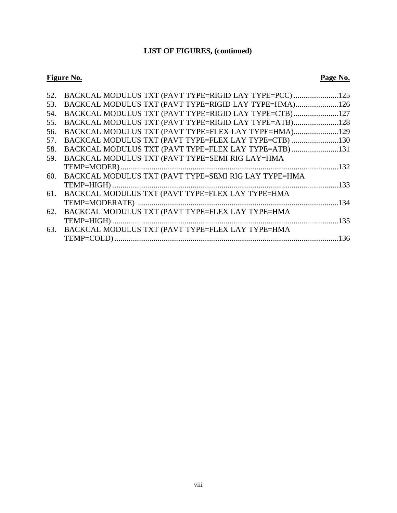### **LIST OF FIGURES, (continued)**

### **Figure No. Page No.**

|     | 52. BACKCAL MODULUS TXT (PAVT TYPE=RIGID LAY TYPE=PCC) 125 |      |
|-----|------------------------------------------------------------|------|
| 53. | BACKCAL MODULUS TXT (PAVT TYPE=RIGID LAY TYPE=HMA)126      |      |
| 54. | BACKCAL MODULUS TXT (PAVT TYPE=RIGID LAY TYPE=CTB)127      |      |
| 55. | BACKCAL MODULUS TXT (PAVT TYPE=RIGID LAY TYPE=ATB)128      |      |
| 56. | BACKCAL MODULUS TXT (PAVT TYPE=FLEX LAY TYPE=HMA)129       |      |
| 57. | BACKCAL MODULUS TXT (PAVT TYPE=FLEX LAY TYPE=CTB) 130      |      |
| 58. | BACKCAL MODULUS TXT (PAVT TYPE=FLEX LAY TYPE=ATB) 131      |      |
| 59. | BACKCAL MODULUS TXT (PAVT TYPE=SEMI RIG LAY=HMA            |      |
|     |                                                            |      |
|     | 60. BACKCAL MODULUS TXT (PAVT TYPE=SEMI RIG LAY TYPE=HMA   |      |
|     |                                                            |      |
| 61. | BACKCAL MODULUS TXT (PAVT TYPE=FLEX LAY TYPE=HMA           |      |
|     |                                                            |      |
| 62. | BACKCAL MODULUS TXT (PAVT TYPE=FLEX LAY TYPE=HMA           |      |
|     |                                                            | .135 |
| 63. | BACKCAL MODULUS TXT (PAVT TYPE=FLEX LAY TYPE=HMA           |      |
|     |                                                            |      |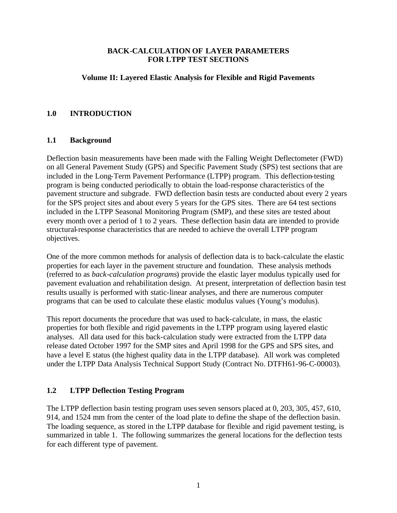#### **BACK-CALCULATION OF LAYER PARAMETERS FOR LTPP TEST SECTIONS**

#### **Volume II: Layered Elastic Analysis for Flexible and Rigid Pavements**

#### **1.0 INTRODUCTION**

#### **1.1 Background**

Deflection basin measurements have been made with the Falling Weight Deflectometer (FWD) on all General Pavement Study (GPS) and Specific Pavement Study (SPS) test sections that are included in the Long-Term Pavement Performance (LTPP) program. This deflection-testing program is being conducted periodically to obtain the load-response characteristics of the pavement structure and subgrade. FWD deflection basin tests are conducted about every 2 years for the SPS project sites and about every 5 years for the GPS sites. There are 64 test sections included in the LTPP Seasonal Monitoring Program (SMP), and these sites are tested about every month over a period of 1 to 2 years. These deflection basin data are intended to provide structural-response characteristics that are needed to achieve the overall LTPP program objectives.

One of the more common methods for analysis of deflection data is to back-calculate the elastic properties for each layer in the pavement structure and foundation. These analysis methods (referred to as *back-calculation programs*) provide the elastic layer modulus typically used for pavement evaluation and rehabilitation design. At present, interpretation of deflection basin test results usually is performed with static-linear analyses, and there are numerous computer programs that can be used to calculate these elastic modulus values (Young's modulus).

This report documents the procedure that was used to back-calculate, in mass, the elastic properties for both flexible and rigid pavements in the LTPP program using layered elastic analyses. All data used for this back-calculation study were extracted from the LTPP data release dated October 1997 for the SMP sites and April 1998 for the GPS and SPS sites, and have a level E status (the highest quality data in the LTPP database). All work was completed under the LTPP Data Analysis Technical Support Study (Contract No. DTFH61-96-C-00003).

#### **1.2 LTPP Deflection Testing Program**

The LTPP deflection basin testing program uses seven sensors placed at 0, 203, 305, 457, 610, 914, and 1524 mm from the center of the load plate to define the shape of the deflection basin. The loading sequence, as stored in the LTPP database for flexible and rigid pavement testing, is summarized in table 1. The following summarizes the general locations for the deflection tests for each different type of pavement.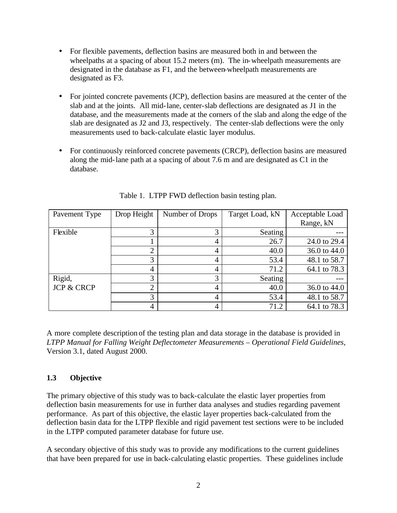- For flexible pavements, deflection basins are measured both in and between the wheelpaths at a spacing of about 15.2 meters (m). The in-wheelpath measurements are designated in the database as F1, and the between-wheelpath measurements are designated as F3.
- For jointed concrete pavements (JCP), deflection basins are measured at the center of the slab and at the joints. All mid-lane, center-slab deflections are designated as J1 in the database, and the measurements made at the corners of the slab and along the edge of the slab are designated as J2 and J3, respectively. The center-slab deflections were the only measurements used to back-calculate elastic layer modulus.
- For continuously reinforced concrete pavements (CRCP), deflection basins are measured along the mid-lane path at a spacing of about 7.6 m and are designated as C1 in the database.

| Pavement Type         | Drop Height    | Number of Drops | Target Load, kN | Acceptable Load |
|-----------------------|----------------|-----------------|-----------------|-----------------|
|                       |                |                 |                 | Range, kN       |
| Flexible              |                | 3               | Seating         |                 |
|                       |                | 4               | 26.7            | 24.0 to 29.4    |
|                       | ◠              | 4               | 40.0            | 36.0 to 44.0    |
|                       | 3              | 4               | 53.4            | 48.1 to 58.7    |
|                       | 4              | 4               | 71.2            | 64.1 to 78.3    |
| Rigid,                | 3              | 3               | Seating         |                 |
| <b>JCP &amp; CRCP</b> | $\overline{2}$ | 4               | 40.0            | 36.0 to 44.0    |
|                       | 3              | 4               | 53.4            | 48.1 to 58.7    |
|                       | 4              | 4               | 71.2            | 64.1 to 78.3    |

Table 1. LTPP FWD deflection basin testing plan.

A more complete description of the testing plan and data storage in the database is provided in *LTPP Manual for Falling Weight Deflectometer Measurements – Operational Field Guidelines*, Version 3.1, dated August 2000.

#### **1.3 Objective**

The primary objective of this study was to back-calculate the elastic layer properties from deflection basin measurements for use in further data analyses and studies regarding pavement performance. As part of this objective, the elastic layer properties back-calculated from the deflection basin data for the LTPP flexible and rigid pavement test sections were to be included in the LTPP computed parameter database for future use.

A secondary objective of this study was to provide any modifications to the current guidelines that have been prepared for use in back-calculating elastic properties. These guidelines include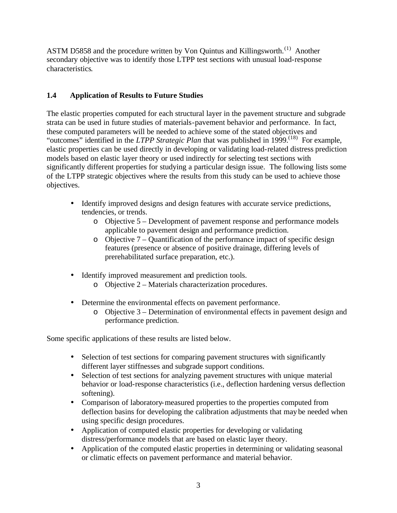ASTM D5858 and the procedure written by Von Quintus and Killingsworth.<sup>(1)</sup> Another secondary objective was to identify those LTPP test sections with unusual load-response characteristics.

#### **1.4 Application of Results to Future Studies**

The elastic properties computed for each structural layer in the pavement structure and subgrade strata can be used in future studies of materials-pavement behavior and performance. In fact, these computed parameters will be needed to achieve some of the stated objectives and "outcomes" identified in the *LTPP Strategic Plan* that was published in 1999.<sup>(18)</sup> For example, elastic properties can be used directly in developing or validating load-related distress prediction models based on elastic layer theory or used indirectly for selecting test sections with significantly different properties for studying a particular design issue. The following lists some of the LTPP strategic objectives where the results from this study can be used to achieve those objectives.

- Identify improved designs and design features with accurate service predictions, tendencies, or trends.
	- o Objective 5 Development of pavement response and performance models applicable to pavement design and performance prediction.
	- $\circ$  Objective 7 Quantification of the performance impact of specific design features (presence or absence of positive drainage, differing levels of prerehabilitated surface preparation, etc.).
- Identify improved measurement and prediction tools.
	- o Objective 2 Materials characterization procedures.
- Determine the environmental effects on pavement performance.
	- $\circ$  Objective 3 Determination of environmental effects in pavement design and performance prediction.

Some specific applications of these results are listed below.

- Selection of test sections for comparing pavement structures with significantly different layer stiffnesses and subgrade support conditions.
- Selection of test sections for analyzing pavement structures with unique material behavior or load-response characteristics (i.e., deflection hardening versus deflection softening).
- Comparison of laboratory-measured properties to the properties computed from deflection basins for developing the calibration adjustments that may be needed when using specific design procedures.
- Application of computed elastic properties for developing or validating distress/performance models that are based on elastic layer theory.
- Application of the computed elastic properties in determining or validating seasonal or climatic effects on pavement performance and material behavior.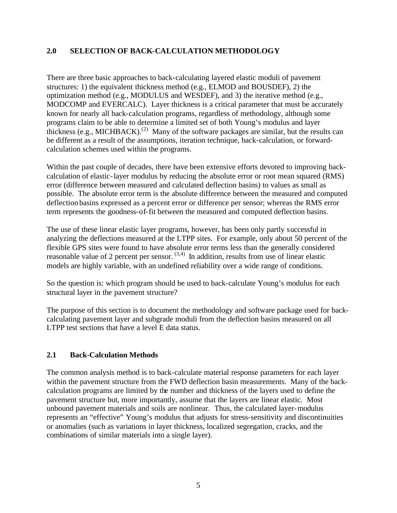#### **2.0 SELECTION OF BACK-CALCULATION METHODOLOGY**

There are three basic approaches to back-calculating layered elastic moduli of pavement structures: 1) the equivalent thickness method (e.g., ELMOD and BOUSDEF), 2) the optimization method (e.g., MODULUS and WESDEF), and 3) the iterative method (e.g., MODCOMP and EVERCALC). Layer thickness is a critical parameter that must be accurately known for nearly all back-calculation programs, regardless of methodology, although some programs claim to be able to determine a limited set of both Young's modulus and layer thickness (e.g., MICHBACK).<sup>(2)</sup> Many of the software packages are similar, but the results can be different as a result of the assumptions, iteration technique, back-calculation, or forwardcalculation schemes used within the programs.

Within the past couple of decades, there have been extensive efforts devoted to improving backcalculation of elastic-layer modulus by reducing the absolute error or root mean squared (RMS) error (difference between measured and calculated deflection basins) to values as small as possible. The absolute error term is the absolute difference between the measured and computed deflection basins expressed as a percent error or difference per sensor; whereas the RMS error term represents the goodness-of-fit between the measured and computed deflection basins.

The use of these linear elastic layer programs, however, has been only partly successful in analyzing the deflections measured at the LTPP sites. For example, only about 50 percent of the flexible GPS sites were found to have absolute error terms less than the generally considered reasonable value of 2 percent per sensor. (3,4) In addition, results from use of linear elastic models are highly variable, with an undefined reliability over a wide range of conditions.

So the question is: which program should be used to back-calculate Young's modulus for each structural layer in the pavement structure?

The purpose of this section is to document the methodology and software package used for backcalculating pavement layer and subgrade moduli from the deflection basins measured on all LTPP test sections that have a level E data status.

#### **2.1 Back-Calculation Methods**

The common analysis method is to back-calculate material response parameters for each layer within the pavement structure from the FWD deflection basin measurements. Many of the backcalculation programs are limited by the number and thickness of the layers used to define the pavement structure but, more importantly, assume that the layers are linear elastic. Most unbound pavement materials and soils are nonlinear. Thus, the calculated layer-modulus represents an "effective" Young's modulus that adjusts for stress-sensitivity and discontinuities or anomalies (such as variations in layer thickness, localized segregation, cracks, and the combinations of similar materials into a single layer).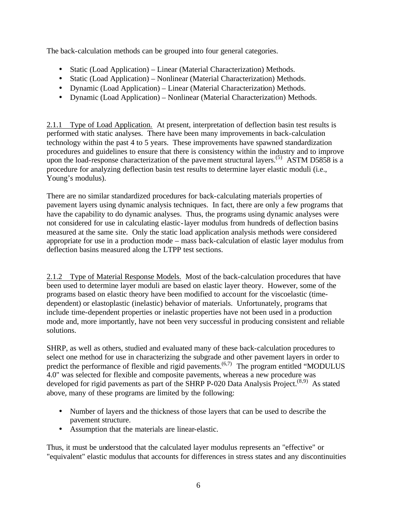The back-calculation methods can be grouped into four general categories.

- Static (Load Application) Linear (Material Characterization) Methods.
- Static (Load Application) Nonlinear (Material Characterization) Methods.
- Dynamic (Load Application) Linear (Material Characterization) Methods.
- Dynamic (Load Application) Nonlinear (Material Characterization) Methods.

2.1.1 Type of Load Application. At present, interpretation of deflection basin test results is performed with static analyses. There have been many improvements in back-calculation technology within the past 4 to 5 years. These improvements have spawned standardization procedures and guidelines to ensure that there is consistency within the industry and to improve upon the load-response characterization of the pavement structural layers.<sup> $(5)$ </sup> ASTM D5858 is a procedure for analyzing deflection basin test results to determine layer elastic moduli (i.e., Young's modulus).

There are no similar standardized procedures for back-calculating materials properties of pavement layers using dynamic analysis techniques. In fact, there are only a few programs that have the capability to do dynamic analyses. Thus, the programs using dynamic analyses were not considered for use in calculating elastic-layer modulus from hundreds of deflection basins measured at the same site. Only the static load application analysis methods were considered appropriate for use in a production mode – mass back-calculation of elastic layer modulus from deflection basins measured along the LTPP test sections.

2.1.2 Type of Material Response Models. Most of the back-calculation procedures that have been used to determine layer moduli are based on elastic layer theory. However, some of the programs based on elastic theory have been modified to account for the viscoelastic (timedependent) or elastoplastic (inelastic) behavior of materials. Unfortunately, programs that include time-dependent properties or inelastic properties have not been used in a production mode and, more importantly, have not been very successful in producing consistent and reliable solutions.

SHRP, as well as others, studied and evaluated many of these back-calculation procedures to select one method for use in characterizing the subgrade and other pavement layers in order to predict the performance of flexible and rigid pavements.<sup> $(6,7)$ </sup> The program entitled "MODULUS 4.0" was selected for flexible and composite pavements, whereas a new procedure was developed for rigid pavements as part of the SHRP P-020 Data Analysis Project.<sup>(8,9)</sup> As stated above, many of these programs are limited by the following:

- Number of layers and the thickness of those layers that can be used to describe the pavement structure.
- Assumption that the materials are linear-elastic.

Thus, it must be understood that the calculated layer modulus represents an "effective" or "equivalent" elastic modulus that accounts for differences in stress states and any discontinuities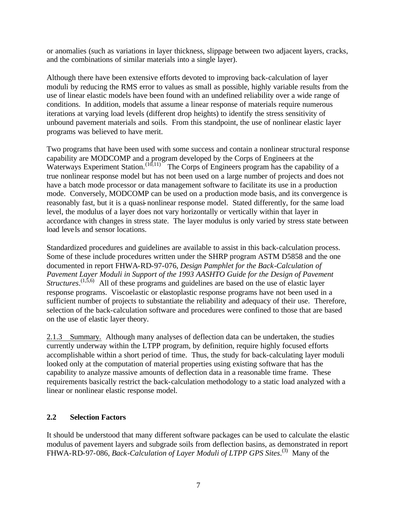or anomalies (such as variations in layer thickness, slippage between two adjacent layers, cracks, and the combinations of similar materials into a single layer).

Although there have been extensive efforts devoted to improving back-calculation of layer moduli by reducing the RMS error to values as small as possible, highly variable results from the use of linear elastic models have been found with an undefined reliability over a wide range of conditions. In addition, models that assume a linear response of materials require numerous iterations at varying load levels (different drop heights) to identify the stress sensitivity of unbound pavement materials and soils. From this standpoint, the use of nonlinear elastic layer programs was believed to have merit.

Two programs that have been used with some success and contain a nonlinear structural response capability are MODCOMP and a program developed by the Corps of Engineers at the Waterways Experiment Station.<sup> $(10,11)$ </sup> The Corps of Engineers program has the capability of a true nonlinear response model but has not been used on a large number of projects and does not have a batch mode processor or data management software to facilitate its use in a production mode. Conversely, MODCOMP can be used on a production mode basis, and its convergence is reasonably fast, but it is a quasi-nonlinear response model. Stated differently, for the same load level, the modulus of a layer does not vary horizontally or vertically within that layer in accordance with changes in stress state. The layer modulus is only varied by stress state between load levels and sensor locations.

Standardized procedures and guidelines are available to assist in this back-calculation process. Some of these include procedures written under the SHRP program ASTM D5858 and the one documented in report FHWA-RD-97-076, *Design Pamphlet for the Back-Calculation of Pavement Layer Moduli in Support of the 1993 AASHTO Guide for the Design of Pavement Structures*.<sup>(1,5,6)</sup> All of these programs and guidelines are based on the use of elastic layer response programs. Viscoelastic or elastoplastic response programs have not been used in a sufficient number of projects to substantiate the reliability and adequacy of their use. Therefore, selection of the back-calculation software and procedures were confined to those that are based on the use of elastic layer theory.

2.1.3 Summary. Although many analyses of deflection data can be undertaken, the studies currently underway within the LTPP program, by definition, require highly focused efforts accomplishable within a short period of time. Thus, the study for back-calculating layer moduli looked only at the computation of material properties using existing software that has the capability to analyze massive amounts of deflection data in a reasonable time frame. These requirements basically restrict the back-calculation methodology to a static load analyzed with a linear or nonlinear elastic response model.

#### **2.2 Selection Factors**

It should be understood that many different software packages can be used to calculate the elastic modulus of pavement layers and subgrade soils from deflection basins, as demonstrated in report FHWA-RD-97-086, *Back-Calculation of Layer Moduli of LTPP GPS Sites*.<sup>(3)</sup> Many of the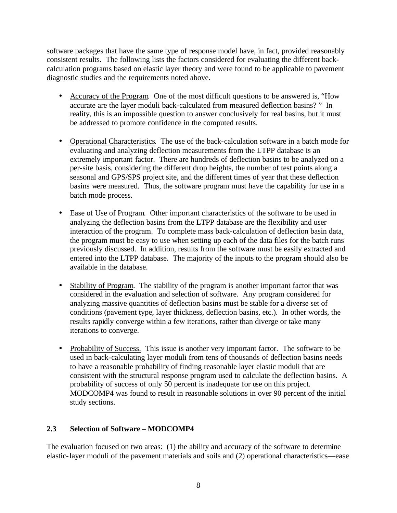software packages that have the same type of response model have, in fact, provided reasonably consistent results. The following lists the factors considered for evaluating the different backcalculation programs based on elastic layer theory and were found to be applicable to pavement diagnostic studies and the requirements noted above.

- Accuracy of the Program. One of the most difficult questions to be answered is, "How accurate are the layer moduli back-calculated from measured deflection basins? " In reality, this is an impossible question to answer conclusively for real basins, but it must be addressed to promote confidence in the computed results.
- Operational Characteristics. The use of the back-calculation software in a batch mode for evaluating and analyzing deflection measurements from the LTPP database is an extremely important factor. There are hundreds of deflection basins to be analyzed on a per-site basis, considering the different drop heights, the number of test points along a seasonal and GPS/SPS project site, and the different times of year that these deflection basins were measured. Thus, the software program must have the capability for use in a batch mode process.
- Ease of Use of Program. Other important characteristics of the software to be used in analyzing the deflection basins from the LTPP database are the flexibility and user interaction of the program. To complete mass back-calculation of deflection basin data, the program must be easy to use when setting up each of the data files for the batch runs previously discussed. In addition, results from the software must be easily extracted and entered into the LTPP database. The majority of the inputs to the program should also be available in the database.
- Stability of Program. The stability of the program is another important factor that was considered in the evaluation and selection of software. Any program considered for analyzing massive quantities of deflection basins must be stable for a diverse set of conditions (pavement type, layer thickness, deflection basins, etc.). In other words, the results rapidly converge within a few iterations, rather than diverge or take many iterations to converge.
- Probability of Success. This issue is another very important factor. The software to be used in back-calculating layer moduli from tens of thousands of deflection basins needs to have a reasonable probability of finding reasonable layer elastic moduli that are consistent with the structural response program used to calculate the deflection basins. A probability of success of only 50 percent is inadequate for use on this project. MODCOMP4 was found to result in reasonable solutions in over 90 percent of the initial study sections.

#### **2.3 Selection of Software – MODCOMP4**

The evaluation focused on two areas: (1) the ability and accuracy of the software to determine elastic-layer moduli of the pavement materials and soils and (2) operational characteristics—ease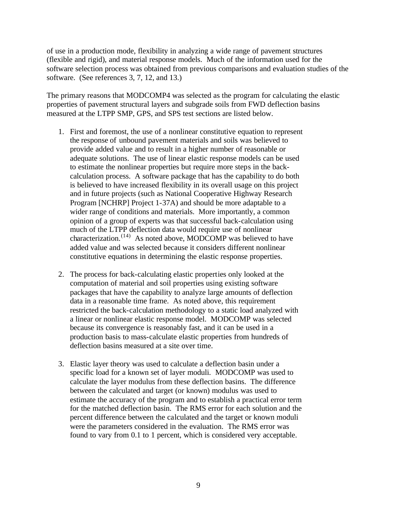of use in a production mode, flexibility in analyzing a wide range of pavement structures (flexible and rigid), and material response models. Much of the information used for the software selection process was obtained from previous comparisons and evaluation studies of the software. (See references 3, 7, 12, and 13.)

The primary reasons that MODCOMP4 was selected as the program for calculating the elastic properties of pavement structural layers and subgrade soils from FWD deflection basins measured at the LTPP SMP, GPS, and SPS test sections are listed below.

- 1. First and foremost, the use of a nonlinear constitutive equation to represent the response of unbound pavement materials and soils was believed to provide added value and to result in a higher number of reasonable or adequate solutions. The use of linear elastic response models can be used to estimate the nonlinear properties but require more steps in the backcalculation process. A software package that has the capability to do both is believed to have increased flexibility in its overall usage on this project and in future projects (such as National Cooperative Highway Research Program [NCHRP] Project 1-37A) and should be more adaptable to a wider range of conditions and materials. More importantly, a common opinion of a group of experts was that successful back-calculation using much of the LTPP deflection data would require use of nonlinear characterization.<sup> $(14)$ </sup> As noted above, MODCOMP was believed to have added value and was selected because it considers different nonlinear constitutive equations in determining the elastic response properties.
- 2. The process for back-calculating elastic properties only looked at the computation of material and soil properties using existing software packages that have the capability to analyze large amounts of deflection data in a reasonable time frame. As noted above, this requirement restricted the back-calculation methodology to a static load analyzed with a linear or nonlinear elastic response model. MODCOMP was selected because its convergence is reasonably fast, and it can be used in a production basis to mass-calculate elastic properties from hundreds of deflection basins measured at a site over time.
- 3. Elastic layer theory was used to calculate a deflection basin under a specific load for a known set of layer moduli. MODCOMP was used to calculate the layer modulus from these deflection basins. The difference between the calculated and target (or known) modulus was used to estimate the accuracy of the program and to establish a practical error term for the matched deflection basin. The RMS error for each solution and the percent difference between the calculated and the target or known moduli were the parameters considered in the evaluation. The RMS error was found to vary from 0.1 to 1 percent, which is considered very acceptable.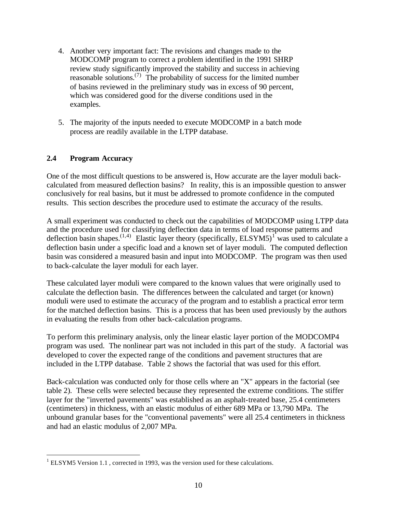- 4. Another very important fact: The revisions and changes made to the MODCOMP program to correct a problem identified in the 1991 SHRP review study significantly improved the stability and success in achieving reasonable solutions.<sup> $(7)$ </sup> The probability of success for the limited number of basins reviewed in the preliminary study was in excess of 90 percent, which was considered good for the diverse conditions used in the examples.
- 5. The majority of the inputs needed to execute MODCOMP in a batch mode process are readily available in the LTPP database.

#### **2.4 Program Accuracy**

 $\overline{a}$ 

One of the most difficult questions to be answered is, How accurate are the layer moduli backcalculated from measured deflection basins? In reality, this is an impossible question to answer conclusively for real basins, but it must be addressed to promote confidence in the computed results. This section describes the procedure used to estimate the accuracy of the results.

A small experiment was conducted to check out the capabilities of MODCOMP using LTPP data and the procedure used for classifying deflection data in terms of load response patterns and deflection basin shapes.<sup>(1,4)</sup> Elastic layer theory (specifically, ELSYM5)<sup>1</sup> was used to calculate a deflection basin under a specific load and a known set of layer moduli. The computed deflection basin was considered a measured basin and input into MODCOMP. The program was then used to back-calculate the layer moduli for each layer.

These calculated layer moduli were compared to the known values that were originally used to calculate the deflection basin. The differences between the calculated and target (or known) moduli were used to estimate the accuracy of the program and to establish a practical error term for the matched deflection basins. This is a process that has been used previously by the authors in evaluating the results from other back-calculation programs.

To perform this preliminary analysis, only the linear elastic layer portion of the MODCOMP4 program was used. The nonlinear part was not included in this part of the study. A factorial was developed to cover the expected range of the conditions and pavement structures that are included in the LTPP database. Table 2 shows the factorial that was used for this effort.

Back-calculation was conducted only for those cells where an "X" appears in the factorial (see table 2). These cells were selected because they represented the extreme conditions. The stiffer layer for the "inverted pavements" was established as an asphalt-treated base, 25.4 centimeters (centimeters) in thickness, with an elastic modulus of either 689 MPa or 13,790 MPa. The unbound granular bases for the "conventional pavements" were all 25.4 centimeters in thickness and had an elastic modulus of 2,007 MPa.

 $<sup>1</sup>$  ELSYM5 Version 1.1, corrected in 1993, was the version used for these calculations.</sup>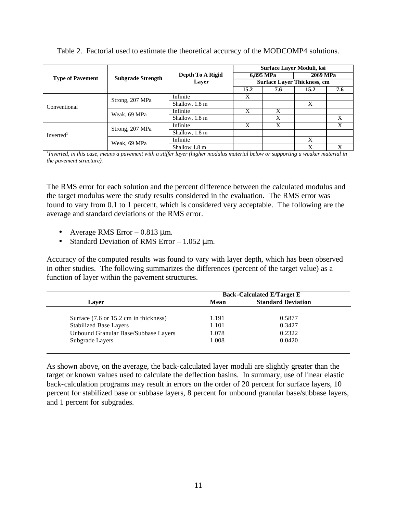|                                         |                          |                  | Surface Layer Moduli, ksi          |     |          |     |
|-----------------------------------------|--------------------------|------------------|------------------------------------|-----|----------|-----|
| <b>Type of Pavement</b><br>Conventional | <b>Subgrade Strength</b> | Depth To A Rigid | 6,895 MPa                          |     | 2069 MPa |     |
|                                         |                          | Layer            | <b>Surface Layer Thickness, cm</b> |     |          |     |
|                                         |                          |                  | 15.2                               | 7.6 | 15.2     | 7.6 |
|                                         |                          | Infinite         | X                                  |     |          |     |
|                                         | Strong, 207 MPa          | Shallow, 1.8 m   |                                    |     | X        |     |
|                                         | Weak, 69 MPa             | Infinite         | X                                  | X   |          |     |
|                                         |                          | Shallow, 1.8 m   |                                    | X   |          | X   |
|                                         | Strong, 207 MPa          | Infinite         | X                                  | X   |          | X   |
| Inverted <sup>1</sup>                   |                          | Shallow, 1.8 m   |                                    |     |          |     |
|                                         | Weak, 69 MPa             | Infinite         |                                    |     | X        |     |
|                                         |                          | Shallow 1.8 m    |                                    |     | X        | X   |

Table 2. Factorial used to estimate the theoretical accuracy of the MODCOMP4 solutions.

*1 Inverted, in this case, means a pavement with a stiffer layer (higher modulus material below or supporting a weaker material in the pavement structure).*

The RMS error for each solution and the percent difference between the calculated modulus and the target modulus were the study results considered in the evaluation. The RMS error was found to vary from 0.1 to 1 percent, which is considered very acceptable. The following are the average and standard deviations of the RMS error.

- Average RMS Error  $-0.813 \mu m$ .
- Standard Deviation of RMS Error  $-1.052 \mu m$ .

Accuracy of the computed results was found to vary with layer depth, which has been observed in other studies. The following summarizes the differences (percent of the target value) as a function of layer within the pavement structures.

|                                       | <b>Back-Calculated E/Target E</b> |                           |  |
|---------------------------------------|-----------------------------------|---------------------------|--|
| Laver                                 | Mean                              | <b>Standard Deviation</b> |  |
| Surface (7.6 or 15.2 cm in thickness) | 1.191                             | 0.5877                    |  |
| <b>Stabilized Base Layers</b>         | 1.101                             | 0.3427                    |  |
| Unbound Granular Base/Subbase Layers  | 1.078                             | 0.2322                    |  |
| Subgrade Layers                       | 1.008                             | 0.0420                    |  |

As shown above, on the average, the back-calculated layer moduli are slightly greater than the target or known values used to calculate the deflection basins. In summary, use of linear elastic back-calculation programs may result in errors on the order of 20 percent for surface layers, 10 percent for stabilized base or subbase layers, 8 percent for unbound granular base/subbase layers, and 1 percent for subgrades.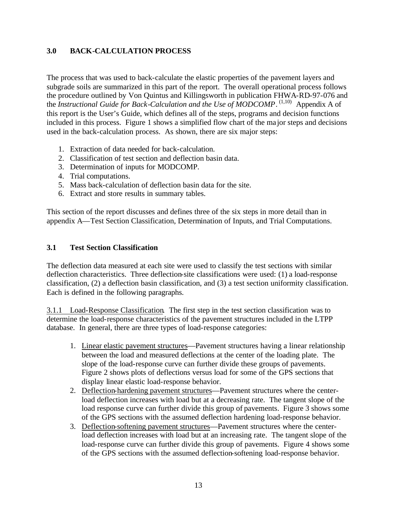#### **3.0 BACK-CALCULATION PROCESS**

The process that was used to back-calculate the elastic properties of the pavement layers and subgrade soils are summarized in this part of the report. The overall operational process follows the procedure outlined by Von Quintus and Killingsworth in publication FHWA-RD-97-076 and the *Instructional Guide for Back-Calculation and the Use of MODCOMP*.<sup>(1,10)</sup> Appendix A of this report is the User's Guide, which defines all of the steps, programs and decision functions included in this process. Figure 1 shows a simplified flow chart of the ma jor steps and decisions used in the back-calculation process. As shown, there are six major steps:

- 1. Extraction of data needed for back-calculation.
- 2. Classification of test section and deflection basin data.
- 3. Determination of inputs for MODCOMP.
- 4. Trial computations.
- 5. Mass back-calculation of deflection basin data for the site.
- 6. Extract and store results in summary tables.

This section of the report discusses and defines three of the six steps in more detail than in appendix A—Test Section Classification, Determination of Inputs, and Trial Computations.

#### **3.1 Test Section Classification**

The deflection data measured at each site were used to classify the test sections with similar deflection characteristics. Three deflection-site classifications were used: (1) a load-response classification, (2) a deflection basin classification, and (3) a test section uniformity classification. Each is defined in the following paragraphs.

3.1.1 Load-Response Classification. The first step in the test section classification was to determine the load-response characteristics of the pavement structures included in the LTPP database. In general, there are three types of load-response categories:

- 1. Linear elastic pavement structures—Pavement structures having a linear relationship between the load and measured deflections at the center of the loading plate. The slope of the load-response curve can further divide these groups of pavements. Figure 2 shows plots of deflections versus load for some of the GPS sections that display linear elastic load-response behavior.
- 2. Deflection-hardening pavement structures—Pavement structures where the centerload deflection increases with load but at a decreasing rate. The tangent slope of the load response curve can further divide this group of pavements. Figure 3 shows some of the GPS sections with the assumed deflection hardening load-response behavior.
- 3. Deflection-softening pavement structures—Pavement structures where the centerload deflection increases with load but at an increasing rate. The tangent slope of the load-response curve can further divide this group of pavements. Figure 4 shows some of the GPS sections with the assumed deflection-softening load-response behavior.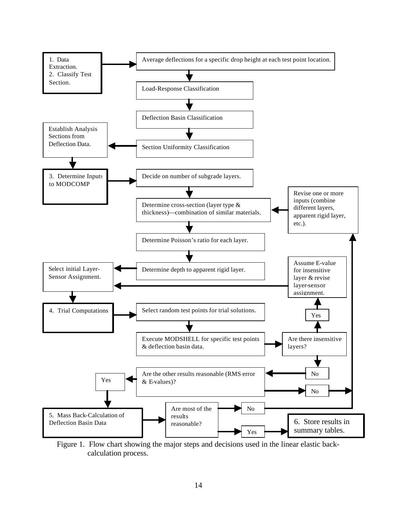

Figure 1. Flow chart showing the major steps and decisions used in the linear elastic back calculation process.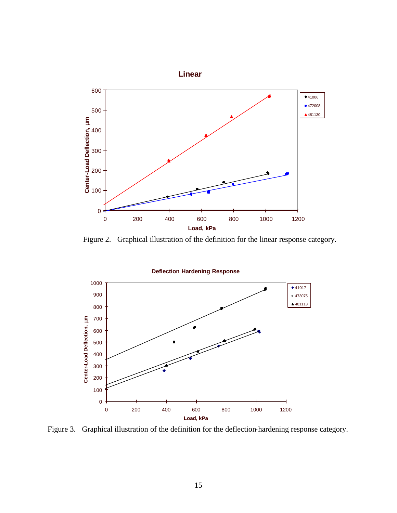

Figure 2. Graphical illustration of the definition for the linear response category.



Figure 3. Graphical illustration of the definition for the deflection-hardening response category.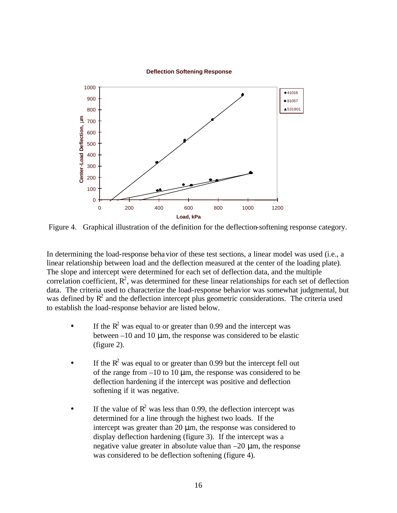#### **Deflection Softening Response**



Figure 4. Graphical illustration of the definition for the deflection-softening response category.

In determining the load-response behavior of these test sections, a linear model was used (i.e., a linear relationship between load and the deflection measured at the center of the loading plate). The slope and intercept were determined for each set of deflection data, and the multiple correlation coefficient,  $\mathbb{R}^2$ , was determined for these linear relationships for each set of deflection data. The criteria used to characterize the load-response behavior was somewhat judgmental, but was defined by  $R^2$  and the deflection intercept plus geometric considerations. The criteria used to establish the load-response behavior are listed below.

- If the  $R^2$  was equal to or greater than 0.99 and the intercept was between  $-10$  and 10  $\mu$ m, the response was considered to be elastic (figure 2).
- If the  $R^2$  was equal to or greater than 0.99 but the intercept fell out of the range from  $-10$  to 10  $\mu$ m, the response was considered to be deflection hardening if the intercept was positive and deflection softening if it was negative.
- If the value of  $\mathbb{R}^2$  was less than 0.99, the deflection intercept was determined for a line through the highest two loads. If the intercept was greater than 20  $\mu$ m, the response was considered to display deflection hardening (figure 3). If the intercept was a negative value greater in absolute value than  $-20 \mu m$ , the response was considered to be deflection softening (figure 4).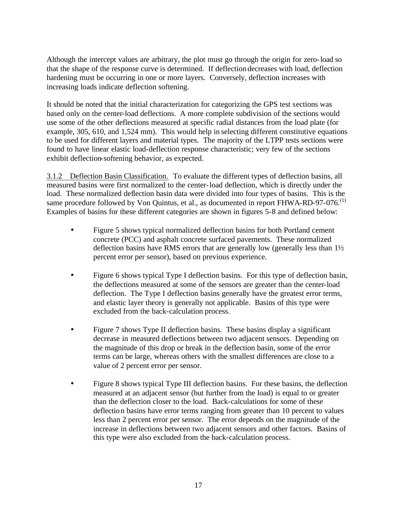Although the intercept values are arbitrary, the plot must go through the origin for zero-load so that the shape of the response curve is determined. If deflection decreases with load, deflection hardening must be occurring in one or more layers. Conversely, deflection increases with increasing loads indicate deflection softening.

It should be noted that the initial characterization for categorizing the GPS test sections was based only on the center-load deflections. A more complete subdivision of the sections would use some of the other deflections measured at specific radial distances from the load plate (for example, 305, 610, and 1,524 mm). This would help in selecting different constitutive equations to be used for different layers and material types. The majority of the LTPP tests sections were found to have linear elastic load-deflection response characteristic; very few of the sections exhibit deflection-softening behavior, as expected.

3.1.2 Deflection Basin Classification.To evaluate the different types of deflection basins, all measured basins were first normalized to the center-load deflection, which is directly under the load. These normalized deflection basin data were divided into four types of basins. This is the same procedure followed by Von Quintus, et al., as documented in report FHWA-RD-97-076.<sup>(1)</sup> Examples of basins for these different categories are shown in figures 5-8 and defined below:

- Figure 5 shows typical normalized deflection basins for both Portland cement concrete (PCC) and asphalt concrete surfaced pavements. These normalized deflection basins have RMS errors that are generally low (generally less than 1½ percent error per sensor), based on previous experience.
- Figure 6 shows typical Type I deflection basins. For this type of deflection basin, the deflections measured at some of the sensors are greater than the center-load deflection. The Type I deflection basins generally have the greatest error terms, and elastic layer theory is generally not applicable. Basins of this type were excluded from the back-calculation process.
- Figure 7 shows Type II deflection basins. These basins display a significant decrease in measured deflections between two adjacent sensors. Depending on the magnitude of this drop or break in the deflection basin, some of the error terms can be large, whereas others with the smallest differences are close to a value of 2 percent error per sensor.
- Figure 8 shows typical Type III deflection basins. For these basins, the deflection measured at an adjacent sensor (but further from the load) is equal to or greater than the deflection closer to the load. Back-calculations for some of these deflection basins have error terms ranging from greater than 10 percent to values less than 2 percent error per sensor. The error depends on the magnitude of the increase in deflections between two adjacent sensors and other factors. Basins of this type were also excluded from the back-calculation process.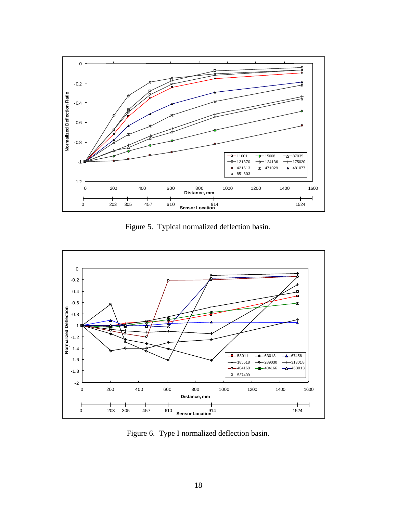

Figure 5. Typical normalized deflection basin.



Figure 6. Type I normalized deflection basin.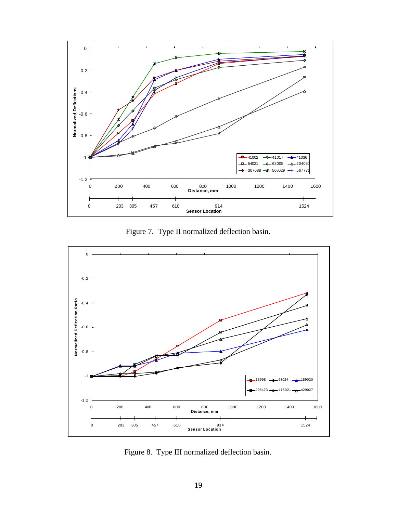

Figure 7. Type II normalized deflection basin.



Figure 8. Type III normalized deflection basin.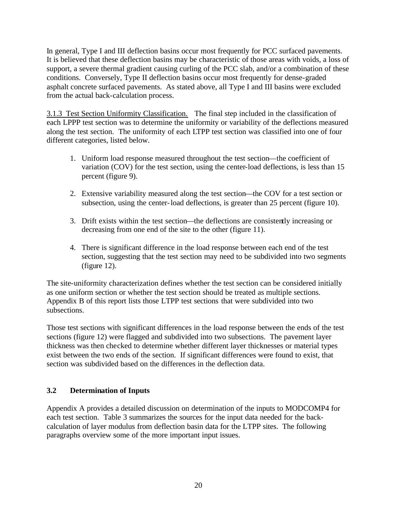In general, Type I and III deflection basins occur most frequently for PCC surfaced pavements. It is believed that these deflection basins may be characteristic of those areas with voids, a loss of support, a severe thermal gradient causing curling of the PCC slab, and/or a combination of these conditions. Conversely, Type II deflection basins occur most frequently for dense-graded asphalt concrete surfaced pavements. As stated above, all Type I and III basins were excluded from the actual back-calculation process.

3.1.3 Test Section Uniformity Classification. The final step included in the classification of each LPPP test section was to determine the uniformity or variability of the deflections measured along the test section. The uniformity of each LTPP test section was classified into one of four different categories, listed below.

- 1. Uniform load response measured throughout the test section—the coefficient of variation (COV) for the test section, using the center-load deflections, is less than 15 percent (figure 9).
- 2. Extensive variability measured along the test section—the COV for a test section or subsection, using the center-load deflections, is greater than 25 percent (figure 10).
- 3. Drift exists within the test section—the deflections are consistently increasing or decreasing from one end of the site to the other (figure 11).
- 4. There is significant difference in the load response between each end of the test section, suggesting that the test section may need to be subdivided into two segments (figure 12).

The site-uniformity characterization defines whether the test section can be considered initially as one uniform section or whether the test section should be treated as multiple sections. Appendix B of this report lists those LTPP test sections that were subdivided into two subsections.

Those test sections with significant differences in the load response between the ends of the test sections (figure 12) were flagged and subdivided into two subsections. The pavement layer thickness was then checked to determine whether different layer thicknesses or material types exist between the two ends of the section. If significant differences were found to exist, that section was subdivided based on the differences in the deflection data.

#### **3.2 Determination of Inputs**

Appendix A provides a detailed discussion on determination of the inputs to MODCOMP4 for each test section. Table 3 summarizes the sources for the input data needed for the backcalculation of layer modulus from deflection basin data for the LTPP sites. The following paragraphs overview some of the more important input issues.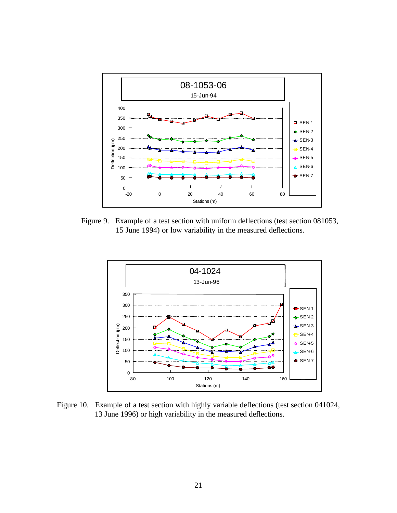

Figure 9. Example of a test section with uniform deflections (test section 081053, 15 June 1994) or low variability in the measured deflections.



Figure 10. Example of a test section with highly variable deflections (test section 041024, 13 June 1996) or high variability in the measured deflections.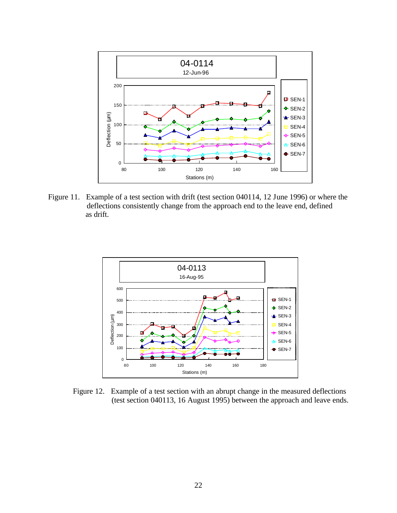

Figure 11. Example of a test section with drift (test section 040114, 12 June 1996) or where the deflections consistently change from the approach end to the leave end, defined as drift.



Figure 12. Example of a test section with an abrupt change in the measured deflections (test section 040113, 16 August 1995) between the approach and leave ends.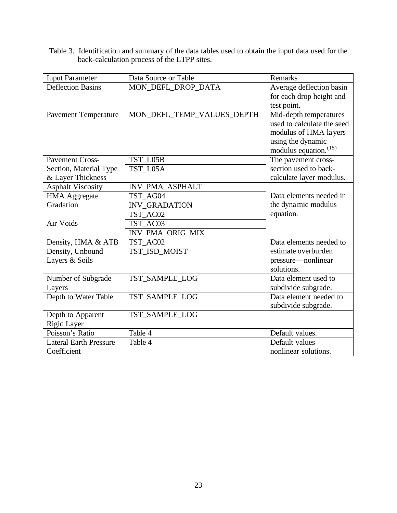Table 3. Identification and summary of the data tables used to obtain the input data used for the back-calculation process of the LTPP sites.

| <b>Input Parameter</b>        | Data Source or Table       | <b>Remarks</b>             |
|-------------------------------|----------------------------|----------------------------|
| <b>Deflection Basins</b>      | MON_DEFL_DROP_DATA         | Average deflection basin   |
|                               |                            | for each drop height and   |
|                               |                            | test point.                |
| <b>Pavement Temperature</b>   | MON_DEFL_TEMP_VALUES_DEPTH | Mid-depth temperatures     |
|                               |                            | used to calculate the seed |
|                               |                            | modulus of HMA layers      |
|                               |                            | using the dynamic          |
|                               |                            | modulus equation. $(15)$   |
| Pavement Cross-               | TST_L05B                   | The pavement cross-        |
| Section, Material Type        | TST_L05A                   | section used to back-      |
| & Layer Thickness             |                            | calculate layer modulus.   |
| <b>Asphalt Viscosity</b>      | INV_PMA_ASPHALT            |                            |
| <b>HMA Aggregate</b>          | TST AG04                   | Data elements needed in    |
| Gradation                     | <b>INV GRADATION</b>       | the dynamic modulus        |
|                               | TST AC02                   | equation.                  |
| Air Voids                     | TST AC03                   |                            |
|                               | INV_PMA_ORIG_MIX           |                            |
| Density, HMA & ATB            | TST_AC02                   | Data elements needed to    |
| Density, Unbound              | TST_ISD_MOIST              | estimate overburden        |
| Layers & Soils                |                            | pressure—nonlinear         |
|                               |                            | solutions.                 |
| Number of Subgrade            | TST_SAMPLE_LOG             | Data element used to       |
| Layers                        |                            | subdivide subgrade.        |
| Depth to Water Table          | TST_SAMPLE_LOG             | Data element needed to     |
|                               |                            | subdivide subgrade.        |
| Depth to Apparent             | TST_SAMPLE_LOG             |                            |
| <b>Rigid Layer</b>            |                            |                            |
| Poisson's Ratio               | Table 4                    | Default values.            |
| <b>Lateral Earth Pressure</b> | Table 4                    | Default values-            |
| Coefficient                   |                            | nonlinear solutions.       |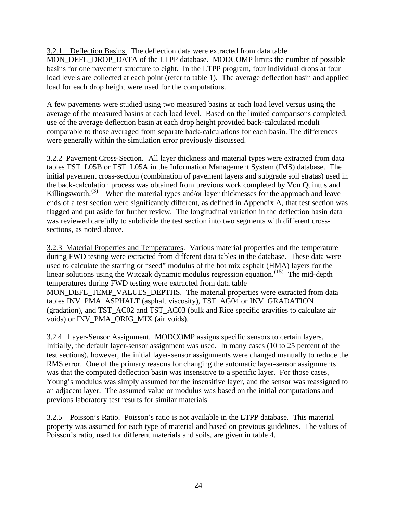3.2.1 Deflection Basins. The deflection data were extracted from data table MON\_DEFL\_DROP\_DATA of the LTPP database. MODCOMP limits the number of possible basins for one pavement structure to eight. In the LTPP program, four individual drops at four load levels are collected at each point (refer to table 1). The average deflection basin and applied load for each drop height were used for the computations.

A few pavements were studied using two measured basins at each load level versus using the average of the measured basins at each load level. Based on the limited comparisons completed, use of the average deflection basin at each drop height provided back-calculated moduli comparable to those averaged from separate back-calculations for each basin. The differences were generally within the simulation error previously discussed.

3.2.2 Pavement Cross-Section. All layer thickness and material types were extracted from data tables TST\_L05B or TST\_L05A in the Information Management System (IMS) database. The initial pavement cross-section (combination of pavement layers and subgrade soil stratas) used in the back-calculation process was obtained from previous work completed by Von Quintus and Killingsworth.<sup>(3)</sup> When the material types and/or layer thicknesses for the approach and leave ends of a test section were significantly different, as defined in Appendix A, that test section was flagged and put aside for further review. The longitudinal variation in the deflection basin data was reviewed carefully to subdivide the test section into two segments with different crosssections, as noted above.

3.2.3 Material Properties and Temperatures. Various material properties and the temperature during FWD testing were extracted from different data tables in the database. These data were used to calculate the starting or "seed" modulus of the hot mix asphalt (HMA) layers for the linear solutions using the Witczak dynamic modulus regression equation.<sup> $(15)$ </sup> The mid-depth temperatures during FWD testing were extracted from data table MON\_DEFL\_TEMP\_VALUES\_DEPTHS. The material properties were extracted from data tables INV\_PMA\_ASPHALT (asphalt viscosity), TST\_AG04 or INV\_GRADATION (gradation), and TST\_AC02 and TST\_AC03 (bulk and Rice specific gravities to calculate air voids) or INV\_PMA\_ORIG\_MIX (air voids).

3.2.4 Layer-Sensor Assignment. MODCOMP assigns specific sensors to certain layers. Initially, the default layer-sensor assignment was used. In many cases (10 to 25 percent of the test sections), however, the initial layer-sensor assignments were changed manually to reduce the RMS error. One of the primary reasons for changing the automatic layer-sensor assignments was that the computed deflection basin was insensitive to a specific layer. For those cases, Young's modulus was simply assumed for the insensitive layer, and the sensor was reassigned to an adjacent layer. The assumed value or modulus was based on the initial computations and previous laboratory test results for similar materials.

3.2.5 Poisson's Ratio. Poisson's ratio is not available in the LTPP database. This material property was assumed for each type of material and based on previous guidelines. The values of Poisson's ratio, used for different materials and soils, are given in table 4.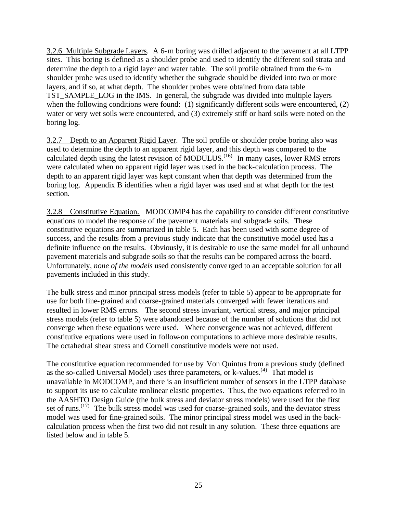3.2.6 Multiple Subgrade Layers. A 6-m boring was drilled adjacent to the pavement at all LTPP sites. This boring is defined as a shoulder probe and used to identify the different soil strata and determine the depth to a rigid layer and water table. The soil profile obtained from the 6-m shoulder probe was used to identify whether the subgrade should be divided into two or more layers, and if so, at what depth. The shoulder probes were obtained from data table TST\_SAMPLE\_LOG in the IMS. In general, the subgrade was divided into multiple layers when the following conditions were found: (1) significantly different soils were encountered, (2) water or very wet soils were encountered, and (3) extremely stiff or hard soils were noted on the boring log.

3.2.7 Depth to an Apparent Rigid Layer. The soil profile or shoulder probe boring also was used to determine the depth to an apparent rigid layer, and this depth was compared to the calculated depth using the latest revision of MODULUS.<sup> $(16)$ </sup> In many cases, lower RMS errors were calculated when no apparent rigid layer was used in the back-calculation process. The depth to an apparent rigid layer was kept constant when that depth was determined from the boring log. Appendix B identifies when a rigid layer was used and at what depth for the test section.

3.2.8 Constitutive Equation. MODCOMP4 has the capability to consider different constitutive equations to model the response of the pavement materials and subgrade soils. These constitutive equations are summarized in table 5. Each has been used with some degree of success, and the results from a previous study indicate that the constitutive model used has a definite influence on the results. Obviously, it is desirable to use the same model for all unbound pavement materials and subgrade soils so that the results can be compared across the board. Unfortunately, *none of the models* used consistently conve rged to an acceptable solution for all pavements included in this study.

The bulk stress and minor principal stress models (refer to table 5) appear to be appropriate for use for both fine-grained and coarse-grained materials converged with fewer iterations and resulted in lower RMS errors. The second stress invariant, vertical stress, and major principal stress models (refer to table 5) were abandoned because of the number of solutions that did not converge when these equations were used. Where convergence was not achieved, different constitutive equations were used in follow-on computations to achieve more desirable results. The octahedral shear stress and Cornell constitutive models were not used.

The constitutive equation recommended for use by Von Quintus from a previous study (defined as the so-called Universal Model) uses three parameters, or k-values.<sup>(4)</sup> That model is unavailable in MODCOMP, and there is an insufficient number of sensors in the LTPP database to support its use to calculate nonlinear elastic properties. Thus, the two equations referred to in the AASHTO Design Guide (the bulk stress and deviator stress models) were used for the first set of runs.<sup> $(17)$ </sup> The bulk stress model was used for coarse-grained soils, and the deviator stress model was used for fine-grained soils. The minor principal stress model was used in the backcalculation process when the first two did not result in any solution. These three equations are listed below and in table 5.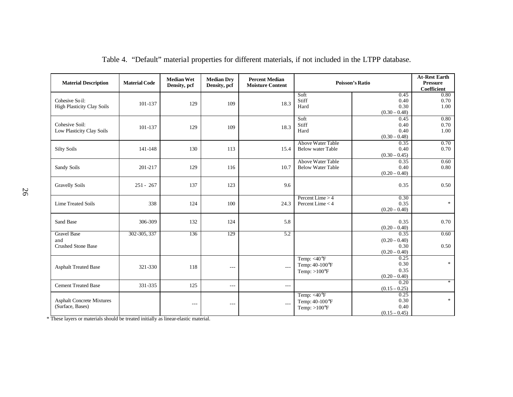| <b>Material Description</b>                            | <b>Material Code</b> | <b>Median Wet</b><br>Density, pcf | <b>Median Dry</b><br>Density, pcf | <b>Percent Median</b><br><b>Moisture Content</b> | <b>Poisson's Ratio</b>                                              |                                                    | <b>At-Rest Earth</b><br><b>Pressure</b><br><b>Coefficient</b> |
|--------------------------------------------------------|----------------------|-----------------------------------|-----------------------------------|--------------------------------------------------|---------------------------------------------------------------------|----------------------------------------------------|---------------------------------------------------------------|
| Cohesive So il:<br><b>High Plasticity Clay Soils</b>   | 101-137              | 129                               | 109                               | 18.3                                             | Soft<br>Stiff<br>Hard                                               | 0.45<br>0.40<br>0.30<br>$(0.30 - 0.48)$            | 0.80<br>0.70<br>1.00                                          |
| Cohesive Soil:<br>Low Plasticity Clay Soils            | 101-137              | 129                               | 109                               | 18.3                                             | Soft<br>Stiff<br>Hard                                               | 0.45<br>0.40<br>0.40<br>$(0.30 - 0.48)$            | 0.80<br>0.70<br>1.00                                          |
| <b>Silty Soils</b>                                     | 141-148              | 130                               | 113                               | 15.4                                             | Above Water Table<br><b>Below water Table</b>                       | 0.35<br>0.40<br>$(0.30 - 0.45)$                    | 0.70<br>0.70                                                  |
| Sandy Soils                                            | 201-217              | 129                               | 116                               | 10.7                                             | Above Water Table<br><b>Below Water Table</b>                       | 0.35<br>0.40<br>$(0.20 - 0.40)$                    | 0.60<br>0.80                                                  |
| <b>Gravelly Soils</b>                                  | $251 - 267$          | 137                               | 123                               | 9.6                                              |                                                                     | 0.35                                               | 0.50                                                          |
| <b>Lime Treated Soils</b>                              | 338                  | 124                               | 100                               | 24.3                                             | Percent Lime $> 4$<br>Percent Lime $<$ 4                            | 0.30<br>0.35<br>$(0.20 - 0.40)$                    | $\ast$                                                        |
| Sand Base                                              | 306-309              | 132                               | 124                               | 5.8                                              |                                                                     | 0.35<br>$(0.20 - 0.40)$                            | 0.70                                                          |
| <b>Gravel Base</b><br>and<br><b>Crushed Stone Base</b> | 302-305, 337         | 136                               | 129                               | $\overline{5.2}$                                 |                                                                     | 0.35<br>$(0.20 - 0.40)$<br>0.30<br>$(0.20 - 0.40)$ | 0.60<br>0.50                                                  |
| <b>Asphalt Treated Base</b>                            | 321-330              | 118                               | $- - -$                           | $---$                                            | Temp: <40°F<br>Temp: 40-100°F<br>Temp: $>100^\circ F$               | 0.25<br>0.30<br>0.35<br>$(0.20 - 0.40)$            | $*$                                                           |
| <b>Cement Treated Base</b>                             | 331-335              | 125                               | $- - -$                           | $- - -$                                          |                                                                     | 0.20<br>$(0.15 - 0.25)$                            | $*$                                                           |
| <b>Asphalt Concrete Mixtures</b><br>(Surface, Bases)   |                      | $---$                             | $- - -$                           | $- - -$                                          | Temp: $\sqrt{40^\circ F}$<br>Temp: 40-100°F<br>Temp: $>100^\circ F$ | 0.25<br>0.30<br>0.40<br>$(0.15 - 0.45)$            | $\ast$                                                        |

Table 4. "Default" material properties for different materials, if not included in the LTPP database.

\* These layers or materials should be treated initially as linear-elastic material.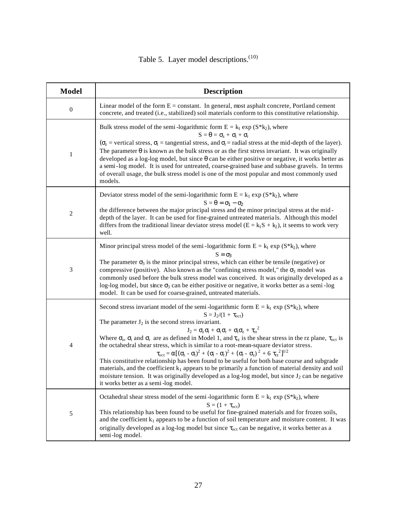# Table 5. Layer model descriptions.<sup>(10)</sup>

| <b>Model</b>     | <b>Description</b>                                                                                                                                                                                                                                                                                                                                                                                                                                                                                                                                                                                                                                                                                                                                                                                                                                                                                                                                                                                                                                       |
|------------------|----------------------------------------------------------------------------------------------------------------------------------------------------------------------------------------------------------------------------------------------------------------------------------------------------------------------------------------------------------------------------------------------------------------------------------------------------------------------------------------------------------------------------------------------------------------------------------------------------------------------------------------------------------------------------------------------------------------------------------------------------------------------------------------------------------------------------------------------------------------------------------------------------------------------------------------------------------------------------------------------------------------------------------------------------------|
| $\boldsymbol{0}$ | Linear model of the form $E = constant$ . In general, most asphalt concrete, Portland cement<br>concrete, and treated (i.e., stabilized) soil materials conform to this constitutive relationship.                                                                                                                                                                                                                                                                                                                                                                                                                                                                                                                                                                                                                                                                                                                                                                                                                                                       |
| $\mathbf{1}$     | Bulk stress model of the semi-logarithmic form $E = k_1 \exp(S^*k_2)$ , where<br>$S = \theta = \sigma_z + \sigma_t + \sigma_r$<br>$(\sigma_z$ = vertical stress, $\sigma_t$ = tangential stress, and $\sigma_r$ = radial stress at the mid-depth of the layer).<br>The parameter $\theta$ is known as the bulk stress or as the first stress invariant. It was originally<br>developed as a log-log model, but since $\theta$ can be either positive or negative, it works better as<br>a semi-log model. It is used for untreated, coarse-grained base and subbase gravels. In terms<br>of overall usage, the bulk stress model is one of the most popular and most commonly used<br>models.                                                                                                                                                                                                                                                                                                                                                            |
| 2                | Deviator stress model of the semi-logarithmic form $E = k_1 \exp(S^*k_2)$ , where<br>$S = \theta = \sigma_1 - \sigma_2$<br>the difference between the major principal stress and the minor principal stress at the mid-<br>depth of the layer. It can be used for fine-grained untreated materials. Although this model<br>differs from the traditional linear deviator stress model ( $E = k_1 S + k_2$ ), it seems to work very<br>well.                                                                                                                                                                                                                                                                                                                                                                                                                                                                                                                                                                                                               |
| 3                | Minor principal stress model of the semi-logarithmic form $E = k_1 \exp(S^*k_2)$ , where<br>$S = \sigma_3$<br>The parameter $\sigma_3$ is the minor principal stress, which can either be tensile (negative) or<br>compressive (positive). Also known as the "confining stress model," the $\sigma_3$ model was<br>commonly used before the bulk stress model was conceived. It was originally developed as a<br>log-log model, but since $\sigma_3$ can be either positive or negative, it works better as a semi-log<br>model. It can be used for coarse-grained, untreated materials.                                                                                                                                                                                                                                                                                                                                                                                                                                                                 |
| 4                | Second stress invariant model of the semi-logarithmic form $E = k_1 exp (S * k_2)$ , where<br>$S = J_2/(1 + \tau_{oct})$<br>The parameter $J_2$ is the second stress invariant.<br>$J_2 = \sigma_z \sigma_t + \sigma_t \sigma_r + \sigma_t \sigma_z + \tau_{rz}^2$<br>Where $\sigma_z$ , $\sigma_t$ and $\sigma_r$ are as defined in Model 1, and $\tau_{rz}$ is the shear stress in the rz plane, $\tau_{oct}$ is<br>the octahedral shear stress, which is similar to a root-mean-square deviator stress.<br>$\tau_{\rm oct} = \alpha \left[ \left( \sigma_z - \sigma_t \right)^2 + \left( \sigma_t - \sigma_r \right)^2 + \left( \sigma_r - \sigma_z \right)^2 + 6 \tau_{\rm rz}^2 \right]^{1/2}$<br>This constitutive relationship has been found to be useful for both base course and subgrade<br>materials, and the coefficient $k_1$ appears to be primarily a function of material density and soil<br>moisture tension. It was originally developed as a log-log model, but since $J_2$ can be negative<br>it works better as a semi-log model. |
| 5                | Octahedral shear stress model of the semi-logarithmic form $E = k_1 exp(S * k_2)$ , where<br>$S = (1 + \tau_{oct})$<br>This relationship has been found to be useful for fine-grained materials and for frozen soils,<br>and the coefficient $k_1$ appears to be a function of soil temperature and moisture content. It was<br>originally developed as a log-log model but since $\tau_{oct}$ can be negative, it works better as a<br>semi-log model.                                                                                                                                                                                                                                                                                                                                                                                                                                                                                                                                                                                                  |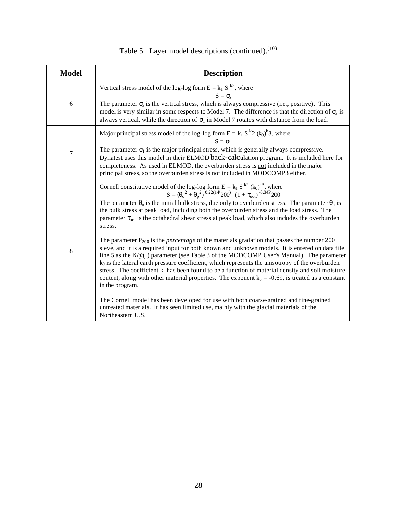| <b>Model</b> | <b>Description</b>                                                                                                                                                                                                                                                                                                                                                                                                                                                                                                                                                                                                                                                                                                                                                                                                                                                                                                                                                                                                                                                                                                                                                                                                                                                                                                                                                                                                                      |
|--------------|-----------------------------------------------------------------------------------------------------------------------------------------------------------------------------------------------------------------------------------------------------------------------------------------------------------------------------------------------------------------------------------------------------------------------------------------------------------------------------------------------------------------------------------------------------------------------------------------------------------------------------------------------------------------------------------------------------------------------------------------------------------------------------------------------------------------------------------------------------------------------------------------------------------------------------------------------------------------------------------------------------------------------------------------------------------------------------------------------------------------------------------------------------------------------------------------------------------------------------------------------------------------------------------------------------------------------------------------------------------------------------------------------------------------------------------------|
| 6            | Vertical stress model of the log-log form $E = k_1 S^{k_2}$ , where<br>$S = \sigma_z$<br>The parameter $\sigma_z$ is the vertical stress, which is always compressive (i.e., positive). This<br>model is very similar in some respects to Model 7. The difference is that the direction of $\sigma_z$ is<br>always vertical, while the direction of $\sigma_1$ in Model 7 rotates with distance from the load.                                                                                                                                                                                                                                                                                                                                                                                                                                                                                                                                                                                                                                                                                                                                                                                                                                                                                                                                                                                                                          |
| 7            | Major principal stress model of the log-log form $E = k_1 S^{k_2} (k_0)^k 3$ , where<br>$S = \sigma_1$<br>The parameter $\sigma_1$ is the major principal stress, which is generally always compressive.<br>Dynatest uses this model in their ELMOD back-calculation program. It is included here for<br>completeness. As used in ELMOD, the overburden stress is not included in the major<br>principal stress, so the overburden stress is not included in MODCOMP3 either.                                                                                                                                                                                                                                                                                                                                                                                                                                                                                                                                                                                                                                                                                                                                                                                                                                                                                                                                                           |
| 8            | Cornell constitutive model of the log-log form E = k <sub>1</sub> S <sup>k2</sup> (k <sub>0</sub> ) <sup>k3</sup> , where<br>S = $(\theta_0^2 + \theta_0^2)^{0.22(1+P)}200^2$ (1 + $\tau_{\text{oct}}$ ) <sup>-0.34P</sup> 200<br>The parameter $\theta_0$ is the initial bulk stress, due only to overburden stress. The parameter $\theta_p$ is<br>the bulk stress at peak load, including both the overburden stress and the load stress. The<br>parameter $\tau_{\text{oct}}$ is the octahedral shear stress at peak load, which also includes the overburden<br>stress.<br>The parameter $P_{200}$ is the <i>percentage</i> of the materials gradation that passes the number 200<br>sieve, and it is a required input for both known and unknown models. It is entered on data file<br>line 5 as the $K@(I)$ parameter (see Table 3 of the MODCOMP User's Manual). The parameter<br>$k_0$ is the lateral earth pressure coefficient, which represents the anisotropy of the overburden<br>stress. The coefficient $k_1$ has been found to be a function of material density and soil moisture<br>content, along with other material properties. The exponent $k_3 = -0.69$ , is treated as a constant<br>in the program.<br>The Cornell model has been developed for use with both coarse-grained and fine-grained<br>untreated materials. It has seen limited use, mainly with the glacial materials of the<br>Northeastern U.S. |

| Table 5. Layer model descriptions (continued). <sup>(10)</sup> |  |
|----------------------------------------------------------------|--|
|----------------------------------------------------------------|--|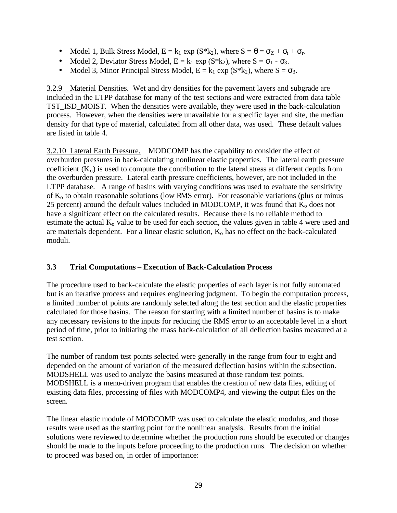- Model 1, Bulk Stress Model,  $E = k_1 \exp(S^*k_2)$ , where  $S = \theta = \sigma_Z + \sigma_t + \sigma_r$ .
- Model 2, Deviator Stress Model,  $E = k_1 \exp(S^*k_2)$ , where  $S = \sigma_1 \sigma_3$ .
- Model 3, Minor Principal Stress Model,  $E = k_1 \exp(S^*k_2)$ , where  $S = \sigma_3$ .

3.2.9 Material Densities. Wet and dry densities for the pavement layers and subgrade are included in the LTPP database for many of the test sections and were extracted from data table TST\_ISD\_MOIST. When the densities were available, they were used in the back-calculation process. However, when the densities were unavailable for a specific layer and site, the median density for that type of material, calculated from all other data, was used. These default values are listed in table 4.

3.2.10 Lateral Earth Pressure. MODCOMP has the capability to consider the effect of overburden pressures in back-calculating nonlinear elastic properties. The lateral earth pressure coefficient  $(K_0)$  is used to compute the contribution to the lateral stress at different depths from the overburden pressure. Lateral earth pressure coefficients, however, are not included in the LTPP database. A range of basins with varying conditions was used to evaluate the sensitivity of  $K_0$  to obtain reasonable solutions (low RMS error). For reasonable variations (plus or minus 25 percent) around the default values included in MODCOMP, it was found that  $K_0$  does not have a significant effect on the calculated results. Because there is no reliable method to estimate the actual  $K_0$  value to be used for each section, the values given in table 4 were used and are materials dependent. For a linear elastic solution,  $K_0$  has no effect on the back-calculated moduli.

## **3.3 Trial Computations – Execution of Back-Calculation Process**

The procedure used to back-calculate the elastic properties of each layer is not fully automated but is an iterative process and requires engineering judgment. To begin the computation process, a limited number of points are randomly selected along the test section and the elastic properties calculated for those basins. The reason for starting with a limited number of basins is to make any necessary revisions to the inputs for reducing the RMS error to an acceptable level in a short period of time, prior to initiating the mass back-calculation of all deflection basins measured at a test section.

The number of random test points selected were generally in the range from four to eight and depended on the amount of variation of the measured deflection basins within the subsection. MODSHELL was used to analyze the basins measured at those random test points. MODSHELL is a menu-driven program that enables the creation of new data files, editing of existing data files, processing of files with MODCOMP4, and viewing the output files on the screen.

The linear elastic module of MODCOMP was used to calculate the elastic modulus, and those results were used as the starting point for the nonlinear analysis. Results from the initial solutions were reviewed to determine whether the production runs should be executed or changes should be made to the inputs before proceeding to the production runs. The decision on whether to proceed was based on, in order of importance: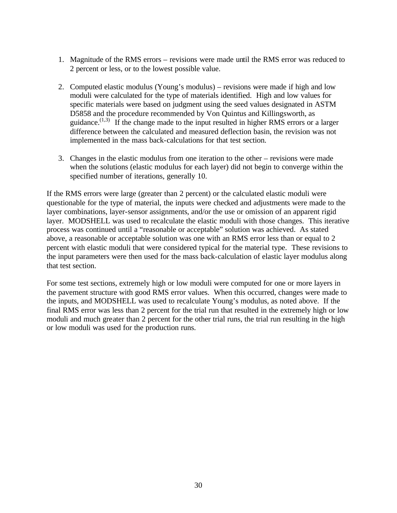- 1. Magnitude of the RMS errors revisions were made until the RMS error was reduced to 2 percent or less, or to the lowest possible value.
- 2. Computed elastic modulus (Young's modulus) revisions were made if high and low moduli were calculated for the type of materials identified. High and low values for specific materials were based on judgment using the seed values designated in ASTM D5858 and the procedure recommended by Von Quintus and Killingsworth, as guidance.<sup> $(1,3)$ </sup> If the change made to the input resulted in higher RMS errors or a larger difference between the calculated and measured deflection basin, the revision was not implemented in the mass back-calculations for that test section.
- 3. Changes in the elastic modulus from one iteration to the other revisions were made when the solutions (elastic modulus for each layer) did not begin to converge within the specified number of iterations, generally 10.

If the RMS errors were large (greater than 2 percent) or the calculated elastic moduli were questionable for the type of material, the inputs were checked and adjustments were made to the layer combinations, layer-sensor assignments, and/or the use or omission of an apparent rigid layer. MODSHELL was used to recalculate the elastic moduli with those changes. This iterative process was continued until a "reasonable or acceptable" solution was achieved. As stated above, a reasonable or acceptable solution was one with an RMS error less than or equal to 2 percent with elastic moduli that were considered typical for the material type. These revisions to the input parameters were then used for the mass back-calculation of elastic layer modulus along that test section.

For some test sections, extremely high or low moduli were computed for one or more layers in the pavement structure with good RMS error values. When this occurred, changes were made to the inputs, and MODSHELL was used to recalculate Young's modulus, as noted above. If the final RMS error was less than 2 percent for the trial run that resulted in the extremely high or low moduli and much greater than 2 percent for the other trial runs, the trial run resulting in the high or low moduli was used for the production runs.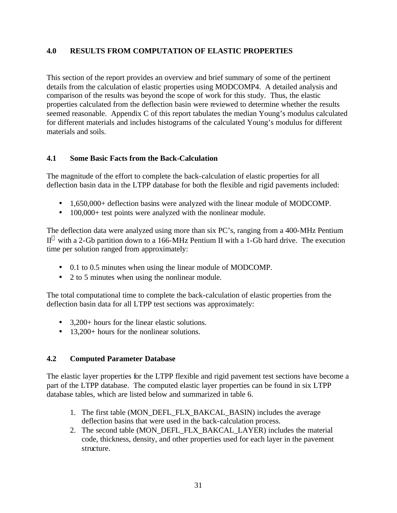### **4.0 RESULTS FROM COMPUTATION OF ELASTIC PROPERTIES**

This section of the report provides an overview and brief summary of some of the pertinent details from the calculation of elastic properties using MODCOMP4. A detailed analysis and comparison of the results was beyond the scope of work for this study. Thus, the elastic properties calculated from the deflection basin were reviewed to determine whether the results seemed reasonable. Appendix C of this report tabulates the median Young's modulus calculated for different materials and includes histograms of the calculated Young's modulus for different materials and soils.

#### **4.1 Some Basic Facts from the Back-Calculation**

The magnitude of the effort to complete the back-calculation of elastic properties for all deflection basin data in the LTPP database for both the flexible and rigid pavements included:

- 1,650,000+ deflection basins were analyzed with the linear module of MODCOMP.
- 100,000+ test points were analyzed with the nonlinear module.

The deflection data were analyzed using more than six PC's, ranging from a 400-MHz Pentium  $II^{\circledast}$  with a 2-Gb partition down to a 166-MHz Pentium II with a 1-Gb hard drive. The execution time per solution ranged from approximately:

- 0.1 to 0.5 minutes when using the linear module of MODCOMP.
- 2 to 5 minutes when using the nonlinear module.

The total computational time to complete the back-calculation of elastic properties from the deflection basin data for all LTPP test sections was approximately:

- 3.200+ hours for the linear elastic solutions.
- 13,200+ hours for the nonlinear solutions.

#### **4.2 Computed Parameter Database**

The elastic layer properties for the LTPP flexible and rigid pavement test sections have become a part of the LTPP database. The computed elastic layer properties can be found in six LTPP database tables, which are listed below and summarized in table 6.

- 1. The first table (MON\_DEFL\_FLX\_BAKCAL\_BASIN) includes the average deflection basins that were used in the back-calculation process.
- 2. The second table (MON\_DEFL\_FLX\_BAKCAL\_LAYER) includes the material code, thickness, density, and other properties used for each layer in the pavement structure.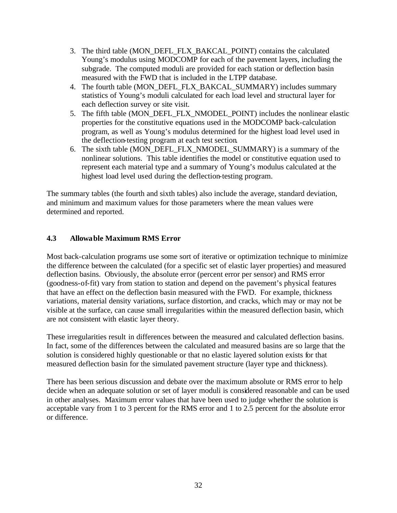- 3. The third table (MON\_DEFL\_FLX\_BAKCAL\_POINT) contains the calculated Young's modulus using MODCOMP for each of the pavement layers, including the subgrade. The computed moduli are provided for each station or deflection basin measured with the FWD that is included in the LTPP database.
- 4. The fourth table (MON\_DEFL\_FLX\_BAKCAL\_SUMMARY) includes summary statistics of Young's moduli calculated for each load level and structural layer for each deflection survey or site visit.
- 5. The fifth table (MON\_DEFL\_FLX\_NMODEL\_POINT) includes the nonlinear elastic properties for the constitutive equations used in the MODCOMP back-calculation program, as well as Young's modulus determined for the highest load level used in the deflection-testing program at each test section.
- 6. The sixth table (MON\_DEFL\_FLX\_NMODEL\_SUMMARY) is a summary of the nonlinear solutions. This table identifies the model or constitutive equation used to represent each material type and a summary of Young's modulus calculated at the highest load level used during the deflection-testing program.

The summary tables (the fourth and sixth tables) also include the average, standard deviation, and minimum and maximum values for those parameters where the mean values were determined and reported.

## **4.3 Allowable Maximum RMS Error**

Most back-calculation programs use some sort of iterative or optimization technique to minimize the difference between the calculated (for a specific set of elastic layer properties) and measured deflection basins. Obviously, the absolute error (percent error per sensor) and RMS error (goodness-of-fit) vary from station to station and depend on the pavement's physical features that have an effect on the deflection basin measured with the FWD. For example, thickness variations, material density variations, surface distortion, and cracks, which may or may not be visible at the surface, can cause small irregularities within the measured deflection basin, which are not consistent with elastic layer theory.

These irregularities result in differences between the measured and calculated deflection basins. In fact, some of the differences between the calculated and measured basins are so large that the solution is considered highly questionable or that no elastic layered solution exists for that measured deflection basin for the simulated pavement structure (layer type and thickness).

There has been serious discussion and debate over the maximum absolute or RMS error to help decide when an adequate solution or set of layer moduli is considered reasonable and can be used in other analyses. Maximum error values that have been used to judge whether the solution is acceptable vary from 1 to 3 percent for the RMS error and 1 to 2.5 percent for the absolute error or difference.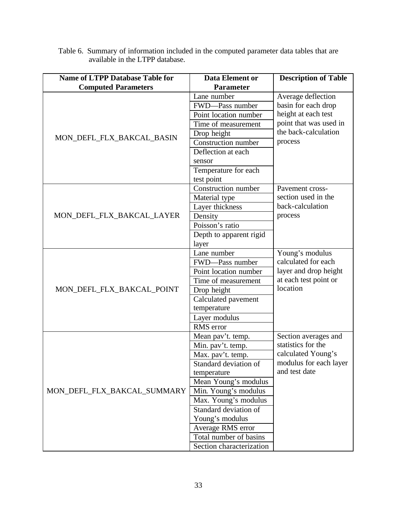| <b>Name of LTPP Database Table for</b> | <b>Data Element or</b>     | <b>Description of Table</b> |  |
|----------------------------------------|----------------------------|-----------------------------|--|
| <b>Computed Parameters</b>             | Parameter                  |                             |  |
|                                        | Lane number                | Average deflection          |  |
|                                        | FWD-Pass number            | basin for each drop         |  |
|                                        | Point location number      | height at each test         |  |
|                                        | Time of measurement        | point that was used in      |  |
| MON_DEFL_FLX_BAKCAL_BASIN              | Drop height                | the back-calculation        |  |
|                                        | <b>Construction number</b> | process                     |  |
|                                        | Deflection at each         |                             |  |
|                                        | sensor                     |                             |  |
|                                        | Temperature for each       |                             |  |
|                                        | test point                 |                             |  |
|                                        | Construction number        | Pavement cross-             |  |
|                                        | Material type              | section used in the         |  |
|                                        | Layer thickness            | back-calculation            |  |
| MON_DEFL_FLX_BAKCAL_LAYER              | Density                    | process                     |  |
|                                        | Poisson's ratio            |                             |  |
|                                        | Depth to apparent rigid    |                             |  |
|                                        | layer                      |                             |  |
|                                        | Lane number                | Young's modulus             |  |
|                                        | FWD-Pass number            | calculated for each         |  |
|                                        | Point location number      | layer and drop height       |  |
|                                        | Time of measurement        | at each test point or       |  |
| MON_DEFL_FLX_BAKCAL_POINT              | Drop height                | location                    |  |
|                                        | Calculated pavement        |                             |  |
|                                        | temperature                |                             |  |
|                                        | Layer modulus              |                             |  |
|                                        | RMS error                  |                             |  |
|                                        | Mean pav't. temp.          | Section averages and        |  |
|                                        | Min. pav't. temp.          | statistics for the          |  |
|                                        | Max. pav't. temp.          | calculated Young's          |  |
|                                        | Standard deviation of      | modulus for each layer      |  |
|                                        | temperature                | and test date               |  |
|                                        | Mean Young's modulus       |                             |  |
| MON_DEFL_FLX_BAKCAL_SUMMARY            | Min. Young's modulus       |                             |  |
|                                        | Max. Young's modulus       |                             |  |
|                                        | Standard deviation of      |                             |  |
|                                        | Young's modulus            |                             |  |
|                                        | Average RMS error          |                             |  |
|                                        | Total number of basins     |                             |  |
|                                        | Section characterization   |                             |  |

Table 6. Summary of information included in the computed parameter data tables that are available in the LTPP database.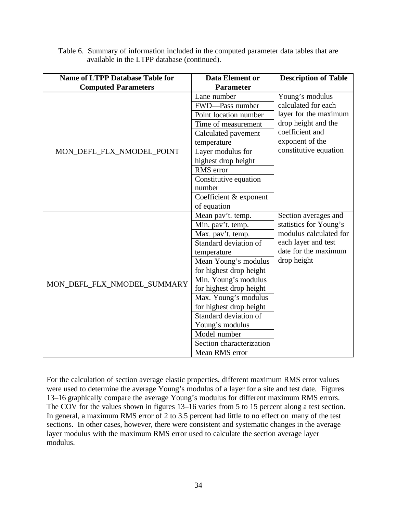| <b>Name of LTPP Database Table for</b> | Data Element or          | <b>Description of Table</b> |  |  |
|----------------------------------------|--------------------------|-----------------------------|--|--|
| <b>Computed Parameters</b>             | <b>Parameter</b>         |                             |  |  |
|                                        | Lane number              | Young's modulus             |  |  |
|                                        | FWD-Pass number          | calculated for each         |  |  |
|                                        | Point location number    | layer for the maximum       |  |  |
|                                        | Time of measurement      | drop height and the         |  |  |
|                                        | Calculated pavement      | coefficient and             |  |  |
|                                        | temperature              | exponent of the             |  |  |
| MON_DEFL_FLX_NMODEL_POINT              | Layer modulus for        | constitutive equation       |  |  |
|                                        | highest drop height      |                             |  |  |
|                                        | RMS error                |                             |  |  |
|                                        | Constitutive equation    |                             |  |  |
|                                        | number                   |                             |  |  |
|                                        | Coefficient & exponent   |                             |  |  |
|                                        | of equation              |                             |  |  |
|                                        | Mean pav't. temp.        | Section averages and        |  |  |
|                                        | Min. pav't. temp.        | statistics for Young's      |  |  |
|                                        | Max. pav't. temp.        | modulus calculated for      |  |  |
|                                        | Standard deviation of    | each layer and test         |  |  |
|                                        | temperature              | date for the maximum        |  |  |
|                                        | Mean Young's modulus     | drop height                 |  |  |
|                                        | for highest drop height  |                             |  |  |
| MON_DEFL_FLX_NMODEL_SUMMARY            | Min. Young's modulus     |                             |  |  |
|                                        | for highest drop height  |                             |  |  |
|                                        | Max. Young's modulus     |                             |  |  |
|                                        | for highest drop height  |                             |  |  |
|                                        | Standard deviation of    |                             |  |  |
|                                        | Young's modulus          |                             |  |  |
|                                        | Model number             |                             |  |  |
|                                        | Section characterization |                             |  |  |
|                                        | Mean RMS error           |                             |  |  |

Table 6. Summary of information included in the computed parameter data tables that are available in the LTPP database (continued).

For the calculation of section average elastic properties, different maximum RMS error values were used to determine the average Young's modulus of a layer for a site and test date. Figures 13–16 graphically compare the average Young's modulus for different maximum RMS errors. The COV for the values shown in figures 13–16 varies from 5 to 15 percent along a test section. In general, a maximum RMS error of 2 to 3.5 percent had little to no effect on many of the test sections. In other cases, however, there were consistent and systematic changes in the average layer modulus with the maximum RMS error used to calculate the section average layer modulus.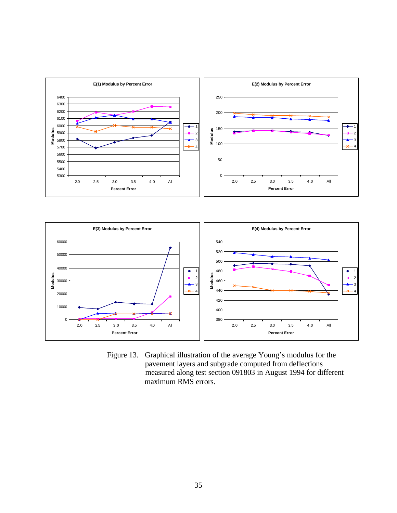



Figure 13. Graphical illustration of the average Young's modulus for the pavement layers and subgrade computed from deflections measured along test section 091803 in August 1994 for different maximum RMS errors.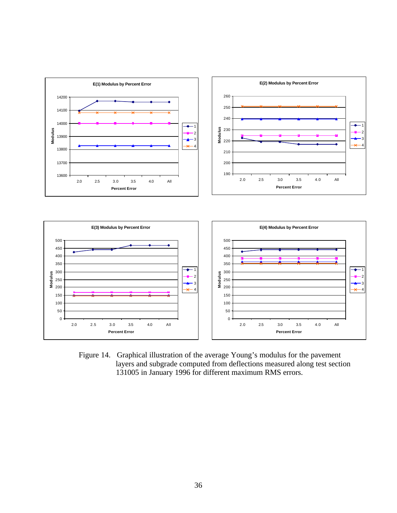

Figure 14. Graphical illustration of the average Young's modulus for the pavement layers and subgrade computed from deflections measured along test section 131005 in January 1996 for different maximum RMS errors.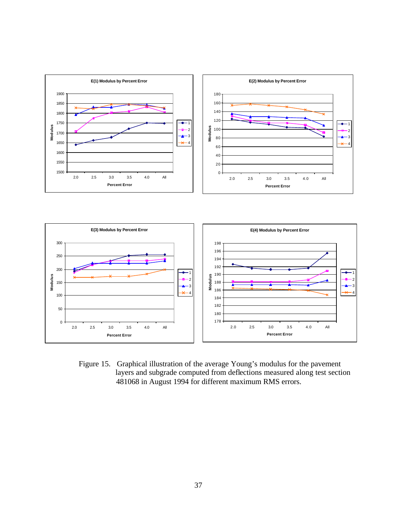

Figure 15. Graphical illustration of the average Young's modulus for the pavement layers and subgrade computed from deflections measured along test section 481068 in August 1994 for different maximum RMS errors.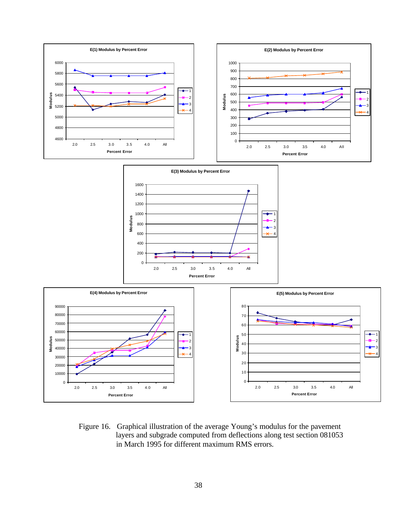

Figure 16. Graphical illustration of the average Young's modulus for the pavement layers and subgrade computed from deflections along test section 081053 in March 1995 for different maximum RMS errors.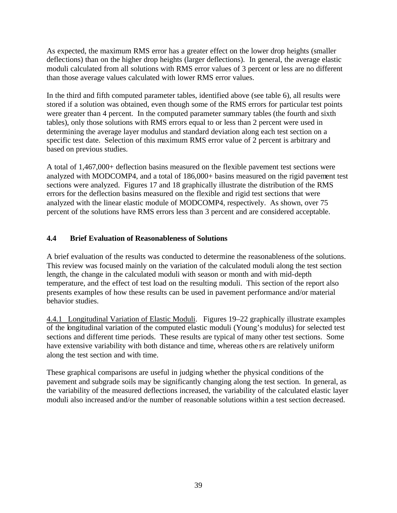As expected, the maximum RMS error has a greater effect on the lower drop heights (smaller deflections) than on the higher drop heights (larger deflections). In general, the average elastic moduli calculated from all solutions with RMS error values of 3 percent or less are no different than those average values calculated with lower RMS error values.

In the third and fifth computed parameter tables, identified above (see table 6), all results were stored if a solution was obtained, even though some of the RMS errors for particular test points were greater than 4 percent. In the computed parameter summary tables (the fourth and sixth tables), only those solutions with RMS errors equal to or less than 2 percent were used in determining the average layer modulus and standard deviation along each test section on a specific test date. Selection of this maximum RMS error value of 2 percent is arbitrary and based on previous studies.

A total of 1,467,000+ deflection basins measured on the flexible pavement test sections were analyzed with MODCOMP4, and a total of 186,000+ basins measured on the rigid pavement test sections were analyzed. Figures 17 and 18 graphically illustrate the distribution of the RMS errors for the deflection basins measured on the flexible and rigid test sections that were analyzed with the linear elastic module of MODCOMP4, respectively. As shown, over 75 percent of the solutions have RMS errors less than 3 percent and are considered acceptable.

## **4.4 Brief Evaluation of Reasonableness of Solutions**

A brief evaluation of the results was conducted to determine the reasonableness of the solutions. This review was focused mainly on the variation of the calculated moduli along the test section length, the change in the calculated moduli with season or month and with mid-depth temperature, and the effect of test load on the resulting moduli. This section of the report also presents examples of how these results can be used in pavement performance and/or material behavior studies.

4.4.1 Longitudinal Variation of Elastic Moduli. Figures 19–22 graphically illustrate examples of the longitudinal variation of the computed elastic moduli (Young's modulus) for selected test sections and different time periods. These results are typical of many other test sections. Some have extensive variability with both distance and time, whereas othe rs are relatively uniform along the test section and with time.

These graphical comparisons are useful in judging whether the physical conditions of the pavement and subgrade soils may be significantly changing along the test section. In general, as the variability of the measured deflections increased, the variability of the calculated elastic layer moduli also increased and/or the number of reasonable solutions within a test section decreased.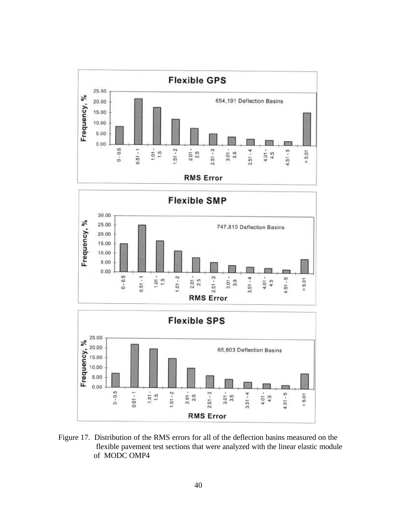





Figure 17. Distribution of the RMS errors for all of the deflection basins measured on the flexible pavement test sections that were analyzed with the linear elastic module of MODC OMP4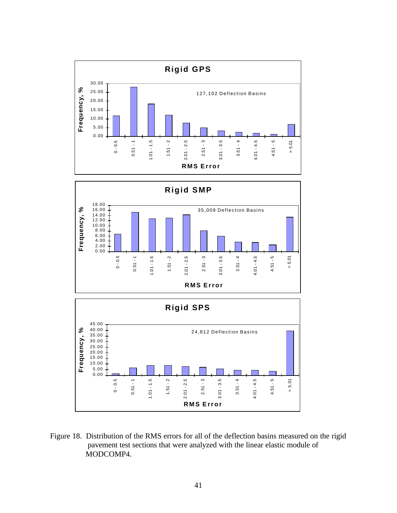



Figure 18. Distribution of the RMS errors for all of the deflection basins measured on the rigid pavement test sections that were analyzed with the linear elastic module of MODCOMP4.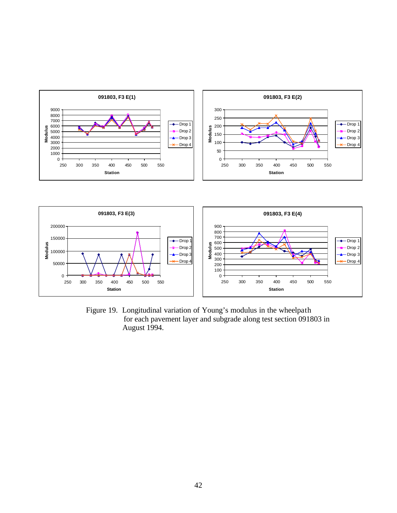



Figure 19. Longitudinal variation of Young's modulus in the wheelpath for each pavement layer and subgrade along test section 091803 in August 1994.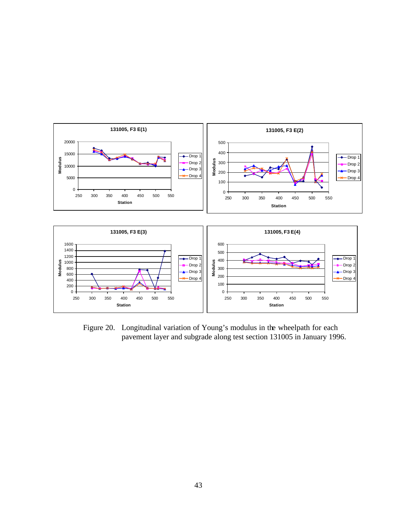

Figure 20. Longitudinal variation of Young's modulus in the wheelpath for each pavement layer and subgrade along test section 131005 in January 1996.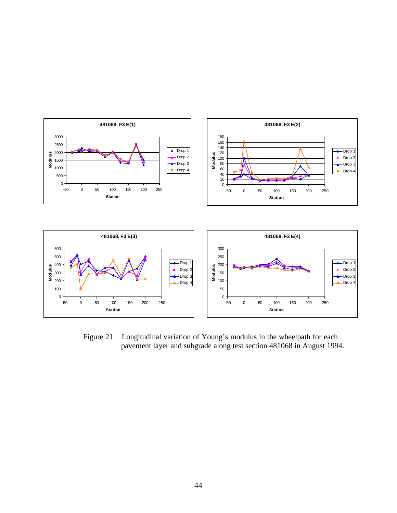

Figure 21. Longitudinal variation of Young's modulus in the wheelpath for each pavement layer and subgrade along test section 481068 in August 1994.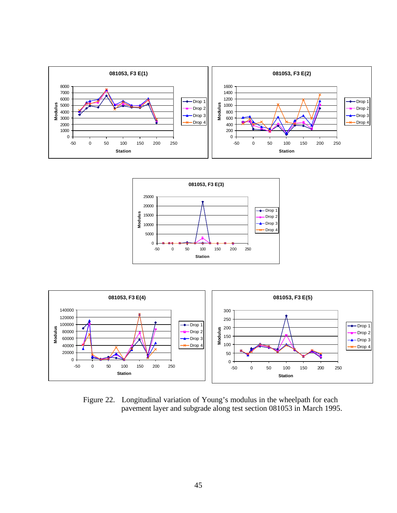





Figure 22. Longitudinal variation of Young's modulus in the wheelpath for each pavement layer and subgrade along test section 081053 in March 1995.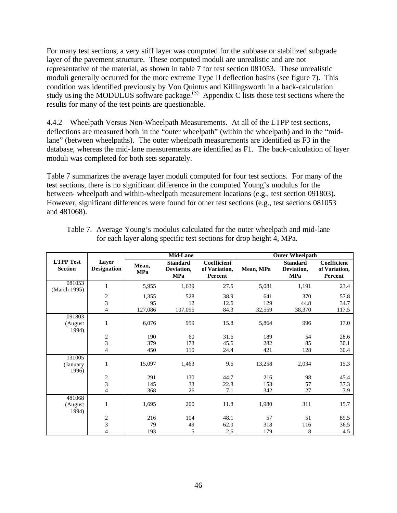For many test sections, a very stiff layer was computed for the subbase or stabilized subgrade layer of the pavement structure. These computed moduli are unrealistic and are not representative of the material, as shown in table 7 for test section 081053. These unrealistic moduli generally occurred for the more extreme Type II deflection basins (see figure 7). This condition was identified previously by Von Quintus and Killingsworth in a back-calculation study using the MODULUS software package.<sup>(3)</sup> Appendix C lists those test sections where the results for many of the test points are questionable.

4.4.2 Wheelpath Versus Non-Wheelpath Measurements. At all of the LTPP test sections, deflections are measured both in the "outer wheelpath" (within the wheelpath) and in the "midlane" (between wheelpaths). The outer wheelpath measurements are identified as F3 in the database, whereas the mid-lane measurements are identified as F1. The back-calculation of layer moduli was completed for both sets separately.

Table 7 summarizes the average layer moduli computed for four test sections. For many of the test sections, there is no significant difference in the computed Young's modulus for the between- wheelpath and within-wheelpath measurement locations (e.g., test section 091803). However, significant differences were found for other test sections (e.g., test sections 081053 and 481068).

|                                    |                             | <b>Mid-Lane</b>     |                                             |                                         | <b>Outer Wheelpath</b> |                                             |                                         |
|------------------------------------|-----------------------------|---------------------|---------------------------------------------|-----------------------------------------|------------------------|---------------------------------------------|-----------------------------------------|
| <b>LTPP Test</b><br><b>Section</b> | Layer<br><b>Designation</b> | Mean,<br><b>MPa</b> | <b>Standard</b><br>Deviation,<br><b>MPa</b> | Coefficient<br>of Variation,<br>Percent | Mean, MPa              | <b>Standard</b><br>Deviation,<br><b>MPa</b> | Coefficient<br>of Variation,<br>Percent |
| 081053<br>(March 1995)             | $\mathbf{1}$                | 5,955               | 1,639                                       | 27.5                                    | 5,081                  | 1,191                                       | 23.4                                    |
|                                    | $\boldsymbol{2}$            | 1,355               | 528                                         | 38.9                                    | 641                    | 370                                         | 57.8                                    |
|                                    | $\overline{3}$              | 95                  | 12                                          | 12.6                                    | 129                    | 44.8                                        | 34.7                                    |
|                                    | $\overline{4}$              | 127,086             | 107,095                                     | 84.3                                    | 32,559                 | 38,370                                      | 117.5                                   |
| 091803                             |                             |                     |                                             |                                         |                        |                                             |                                         |
| (August<br>1994)                   | $\mathbf{1}$                | 6,076               | 959                                         | 15.8                                    | 5,864                  | 996                                         | 17.0                                    |
|                                    | $\boldsymbol{2}$            | 190                 | 60                                          | 31.6                                    | 189                    | 54                                          | 28.6                                    |
|                                    | $\overline{3}$              | 379                 | 173                                         | 45.6                                    | 282                    | 85                                          | 30.1                                    |
|                                    | $\overline{4}$              | 450                 | 110                                         | 24.4                                    | 421                    | 128                                         | 30.4                                    |
| 131005                             |                             |                     |                                             |                                         |                        |                                             |                                         |
| (January<br>1996)                  | $\mathbf{1}$                | 15,097              | 1,463                                       | 9.6                                     | 13,258                 | 2,034                                       | 15.3                                    |
|                                    |                             | 291                 | 130                                         | 44.7                                    | 216                    | 98                                          | 45.4                                    |
|                                    | $\frac{2}{3}$               | 145                 | 33                                          | 22.8                                    | 153                    | 57                                          | 37.3                                    |
|                                    | $\overline{\mathbf{4}}$     | 368                 | 26                                          | 7.1                                     | 342                    | 27                                          | 7.9                                     |
| 481068                             |                             |                     |                                             |                                         |                        |                                             |                                         |
| (August<br>1994)                   | $\mathbf{1}$                | 1,695               | 200                                         | 11.8                                    | 1,980                  | 311                                         | 15.7                                    |
|                                    | $\boldsymbol{2}$            | 216                 | 104                                         | 48.1                                    | 57                     | 51                                          | 89.5                                    |
|                                    | $\overline{3}$              | 79                  | 49                                          | 62.0                                    | 318                    | 116                                         | 36.5                                    |
|                                    | $\overline{4}$              | 193                 | 5                                           | 2.6                                     | 179                    | 8                                           | 4.5                                     |

Table 7. Average Young's modulus calculated for the outer wheelpath and mid-lane for each layer along specific test sections for drop height 4, MPa.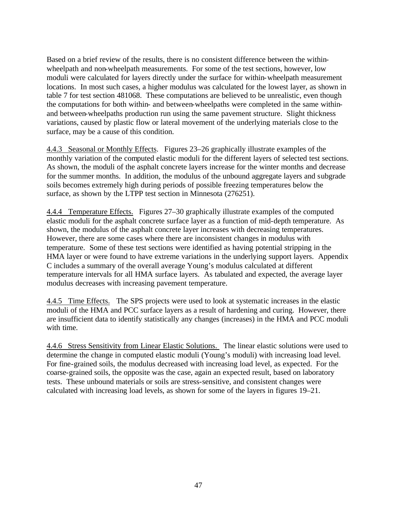Based on a brief review of the results, there is no consistent difference between the withinwheelpath and non-wheelpath measurements. For some of the test sections, however, low moduli were calculated for layers directly under the surface for within-wheelpath measurement locations. In most such cases, a higher modulus was calculated for the lowest layer, as shown in table 7 for test section 481068. These computations are believed to be unrealistic, even though the computations for both within- and between-wheelpaths were completed in the same withinand between-wheelpaths production run using the same pavement structure. Slight thickness variations, caused by plastic flow or lateral movement of the underlying materials close to the surface, may be a cause of this condition.

4.4.3 Seasonal or Monthly Effects. Figures 23–26 graphically illustrate examples of the monthly variation of the computed elastic moduli for the different layers of selected test sections. As shown, the moduli of the asphalt concrete layers increase for the winter months and decrease for the summer months. In addition, the modulus of the unbound aggregate layers and subgrade soils becomes extremely high during periods of possible freezing temperatures below the surface, as shown by the LTPP test section in Minnesota (276251).

4.4.4 Temperature Effects. Figures 27–30 graphically illustrate examples of the computed elastic moduli for the asphalt concrete surface layer as a function of mid-depth temperature. As shown, the modulus of the asphalt concrete layer increases with decreasing temperatures. However, there are some cases where there are inconsistent changes in modulus with temperature. Some of these test sections were identified as having potential stripping in the HMA layer or were found to have extreme variations in the underlying support layers. Appendix C includes a summary of the overall average Young's modulus calculated at different temperature intervals for all HMA surface layers. As tabulated and expected, the average layer modulus decreases with increasing pavement temperature.

4.4.5 Time Effects. The SPS projects were used to look at systematic increases in the elastic moduli of the HMA and PCC surface layers as a result of hardening and curing. However, there are insufficient data to identify statistically any changes (increases) in the HMA and PCC moduli with time.

4.4.6 Stress Sensitivity from Linear Elastic Solutions. The linear elastic solutions were used to determine the change in computed elastic moduli (Young's moduli) with increasing load level. For fine-grained soils, the modulus decreased with increasing load level, as expected. For the coarse-grained soils, the opposite was the case, again an expected result, based on laboratory tests. These unbound materials or soils are stress-sensitive, and consistent changes were calculated with increasing load levels, as shown for some of the layers in figures 19–21.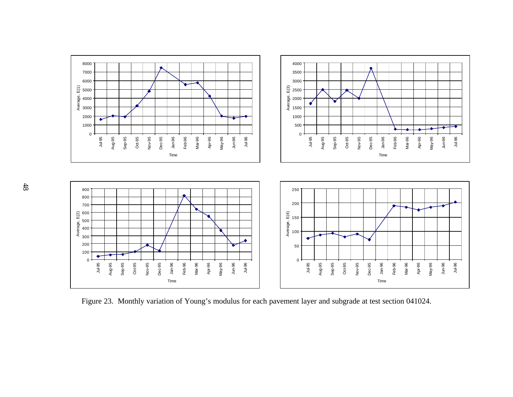

Figure 23. Monthly variation of Young's modulus for each pavement layer and subgrade at test section 041024.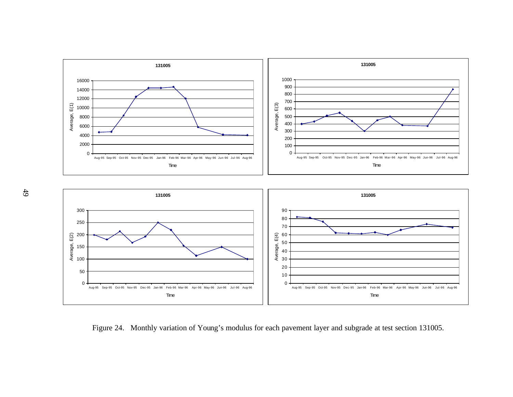



Aug-95 Sep-95 Oct-95 Nov-95 Dec-95 Jan-96 Feb-96 Mar-96 Apr-96 May-96 Jun-96 Jul-96 Aug-96 Time

Aug-95 Sep-95 Oct-95 Nov-95 Dec-95 Jan-96 Feb-96 Mar-96 Apr-96 May-96 Jun-96 Jul-96 Aug-96 Time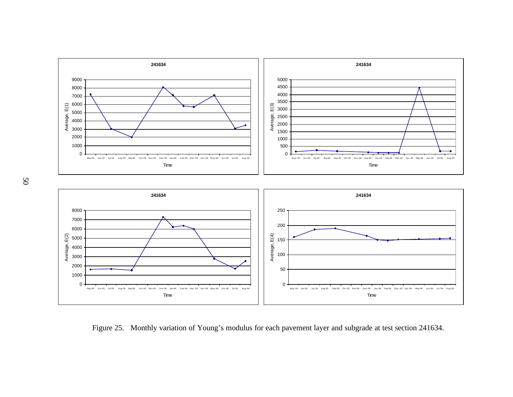

Figure 25. Monthly variation of Young's modulus for each pavement layer and subgrade at test section 241634.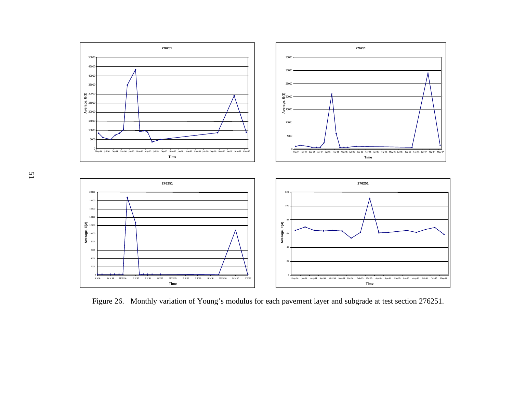

Figure 26. Monthly variation of Young's modulus for each pavement layer and subgrade at test section 276251.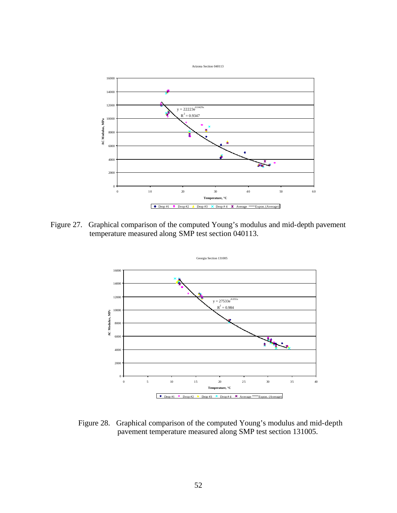

Figure 27. Graphical comparison of the computed Young's modulus and mid-depth pavement temperature measured along SMP test section 040113.



Figure 28. Graphical comparison of the computed Young's modulus and mid-depth pavement temperature measured along SMP test section 131005.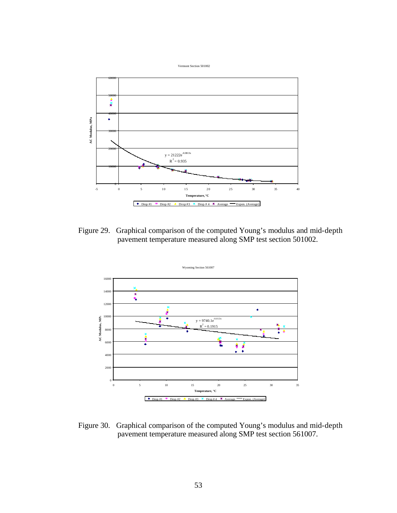

Figure 29. Graphical comparison of the computed Young's modulus and mid-depth pavement temperature measured along SMP test section 501002.



Figure 30. Graphical comparison of the computed Young's modulus and mid-depth pavement temperature measured along SMP test section 561007.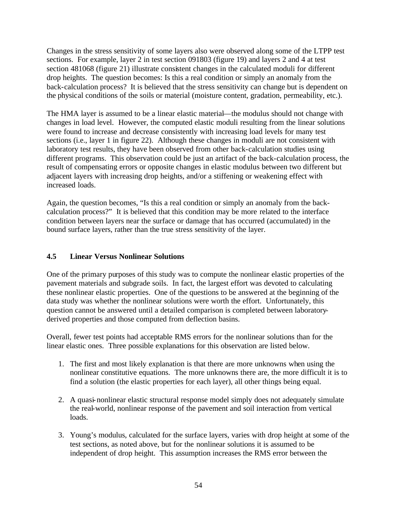Changes in the stress sensitivity of some layers also were observed along some of the LTPP test sections. For example, layer 2 in test section 091803 (figure 19) and layers 2 and 4 at test section 481068 (figure 21) illustrate consistent changes in the calculated moduli for different drop heights. The question becomes: Is this a real condition or simply an anomaly from the back-calculation process? It is believed that the stress sensitivity can change but is dependent on the physical conditions of the soils or material (moisture content, gradation, permeability, etc.).

The HMA layer is assumed to be a linear elastic material—the modulus should not change with changes in load level. However, the computed elastic moduli resulting from the linear solutions were found to increase and decrease consistently with increasing load levels for many test sections (i.e., layer 1 in figure 22). Although these changes in moduli are not consistent with laboratory test results, they have been observed from other back-calculation studies using different programs. This observation could be just an artifact of the back-calculation process, the result of compensating errors or opposite changes in elastic modulus between two different but adjacent layers with increasing drop heights, and/or a stiffening or weakening effect with increased loads.

Again, the question becomes, "Is this a real condition or simply an anomaly from the backcalculation process?" It is believed that this condition may be more related to the interface condition between layers near the surface or damage that has occurred (accumulated) in the bound surface layers, rather than the true stress sensitivity of the layer.

## **4.5 Linear Versus Nonlinear Solutions**

One of the primary purposes of this study was to compute the nonlinear elastic properties of the pavement materials and subgrade soils. In fact, the largest effort was devoted to calculating these nonlinear elastic properties. One of the questions to be answered at the beginning of the data study was whether the nonlinear solutions were worth the effort. Unfortunately, this question cannot be answered until a detailed comparison is completed between laboratoryderived properties and those computed from deflection basins.

Overall, fewer test points had acceptable RMS errors for the nonlinear solutions than for the linear elastic ones. Three possible explanations for this observation are listed below.

- 1. The first and most likely explanation is that there are more unknowns when using the nonlinear constitutive equations. The more unknowns there are, the more difficult it is to find a solution (the elastic properties for each layer), all other things being equal.
- 2. A quasi-nonlinear elastic structural response model simply does not adequately simulate the real-world, nonlinear response of the pavement and soil interaction from vertical loads.
- 3. Young's modulus, calculated for the surface layers, varies with drop height at some of the test sections, as noted above, but for the nonlinear solutions it is assumed to be independent of drop height. This assumption increases the RMS error between the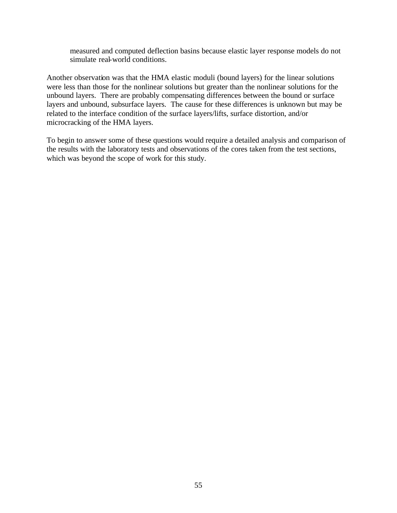measured and computed deflection basins because elastic layer response models do not simulate real-world conditions.

Another observation was that the HMA elastic moduli (bound layers) for the linear solutions were less than those for the nonlinear solutions but greater than the nonlinear solutions for the unbound layers. There are probably compensating differences between the bound or surface layers and unbound, subsurface layers. The cause for these differences is unknown but may be related to the interface condition of the surface layers/lifts, surface distortion, and/or microcracking of the HMA layers.

To begin to answer some of these questions would require a detailed analysis and comparison of the results with the laboratory tests and observations of the cores taken from the test sections, which was beyond the scope of work for this study.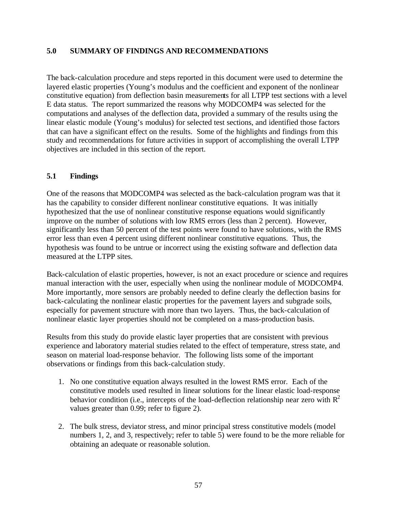#### **5.0 SUMMARY OF FINDINGS AND RECOMMENDATIONS**

The back-calculation procedure and steps reported in this document were used to determine the layered elastic properties (Young's modulus and the coefficient and exponent of the nonlinear constitutive equation) from deflection basin measurements for all LTPP test sections with a level E data status. The report summarized the reasons why MODCOMP4 was selected for the computations and analyses of the deflection data, provided a summary of the results using the linear elastic module (Young's modulus) for selected test sections, and identified those factors that can have a significant effect on the results. Some of the highlights and findings from this study and recommendations for future activities in support of accomplishing the overall LTPP objectives are included in this section of the report.

## **5.1 Findings**

One of the reasons that MODCOMP4 was selected as the back-calculation program was that it has the capability to consider different nonlinear constitutive equations. It was initially hypothesized that the use of nonlinear constitutive response equations would significantly improve on the number of solutions with low RMS errors (less than 2 percent). However, significantly less than 50 percent of the test points were found to have solutions, with the RMS error less than even 4 percent using different nonlinear constitutive equations. Thus, the hypothesis was found to be untrue or incorrect using the existing software and deflection data measured at the LTPP sites.

Back-calculation of elastic properties, however, is not an exact procedure or science and requires manual interaction with the user, especially when using the nonlinear module of MODCOMP4. More importantly, more sensors are probably needed to define clearly the deflection basins for back-calculating the nonlinear elastic properties for the pavement layers and subgrade soils, especially for pavement structure with more than two layers. Thus, the back-calculation of nonlinear elastic layer properties should not be completed on a mass-production basis.

Results from this study do provide elastic layer properties that are consistent with previous experience and laboratory material studies related to the effect of temperature, stress state, and season on material load-response behavior. The following lists some of the important observations or findings from this back-calculation study.

- 1. No one constitutive equation always resulted in the lowest RMS error. Each of the constitutive models used resulted in linear solutions for the linear elastic load-response behavior condition (i.e., intercepts of the load-deflection relationship near zero with  $R^2$ values greater than 0.99; refer to figure 2).
- 2. The bulk stress, deviator stress, and minor principal stress constitutive models (model numbers 1, 2, and 3, respectively; refer to table 5) were found to be the more reliable for obtaining an adequate or reasonable solution.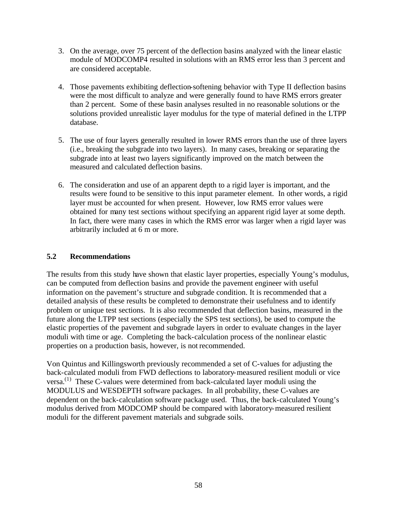- 3. On the average, over 75 percent of the deflection basins analyzed with the linear elastic module of MODCOMP4 resulted in solutions with an RMS error less than 3 percent and are considered acceptable.
- 4. Those pavements exhibiting deflection-softening behavior with Type II deflection basins were the most difficult to analyze and were generally found to have RMS errors greater than 2 percent. Some of these basin analyses resulted in no reasonable solutions or the solutions provided unrealistic layer modulus for the type of material defined in the LTPP database.
- 5. The use of four layers generally resulted in lower RMS errors than the use of three layers (i.e., breaking the subgrade into two layers). In many cases, breaking or separating the subgrade into at least two layers significantly improved on the match between the measured and calculated deflection basins.
- 6. The consideration and use of an apparent depth to a rigid layer is important, and the results were found to be sensitive to this input parameter element. In other words, a rigid layer must be accounted for when present. However, low RMS error values were obtained for many test sections without specifying an apparent rigid layer at some depth. In fact, there were many cases in which the RMS error was larger when a rigid layer was arbitrarily included at 6 m or more.

# **5.2 Recommendations**

The results from this study have shown that elastic layer properties, especially Young's modulus, can be computed from deflection basins and provide the pavement engineer with useful information on the pavement's structure and subgrade condition. It is recommended that a detailed analysis of these results be completed to demonstrate their usefulness and to identify problem or unique test sections. It is also recommended that deflection basins, measured in the future along the LTPP test sections (especially the SPS test sections), be used to compute the elastic properties of the pavement and subgrade layers in order to evaluate changes in the layer moduli with time or age. Completing the back-calculation process of the nonlinear elastic properties on a production basis, however, is not recommended.

Von Quintus and Killingsworth previously recommended a set of C-values for adjusting the back-calculated moduli from FWD deflections to laboratory-measured resilient moduli or vice versa.(1) These C-values were determined from back-calculated layer moduli using the MODULUS and WESDEPTH software packages. In all probability, these C-values are dependent on the back-calculation software package used. Thus, the back-calculated Young's modulus derived from MODCOMP should be compared with laboratory-measured resilient moduli for the different pavement materials and subgrade soils.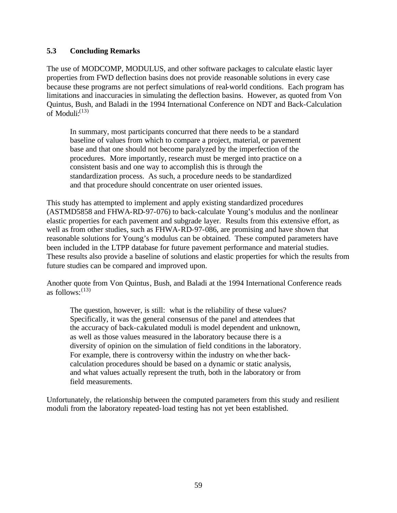#### **5.3 Concluding Remarks**

The use of MODCOMP, MODULUS, and other software packages to calculate elastic layer properties from FWD deflection basins does not provide reasonable solutions in every case because these programs are not perfect simulations of real-world conditions. Each program has limitations and inaccuracies in simulating the deflection basins. However, as quoted from Von Quintus, Bush, and Baladi in the 1994 International Conference on NDT and Back-Calculation of Moduli: $^{(13)}$ 

In summary, most participants concurred that there needs to be a standard baseline of values from which to compare a project, material, or pavement base and that one should not become paralyzed by the imperfection of the procedures. More importantly, research must be merged into practice on a consistent basis and one way to accomplish this is through the standardization process. As such, a procedure needs to be standardized and that procedure should concentrate on user oriented issues.

This study has attempted to implement and apply existing standardized procedures (ASTMD5858 and FHWA-RD-97-076) to back-calculate Young's modulus and the nonlinear elastic properties for each pavement and subgrade layer. Results from this extensive effort, as well as from other studies, such as FHWA-RD-97-086, are promising and have shown that reasonable solutions for Young's modulus can be obtained. These computed parameters have been included in the LTPP database for future pavement performance and material studies. These results also provide a baseline of solutions and elastic properties for which the results from future studies can be compared and improved upon.

Another quote from Von Quintus, Bush, and Baladi at the 1994 International Conference reads as follows:  $(13)$ 

The question, however, is still: what is the reliability of these values? Specifically, it was the general consensus of the panel and attendees that the accuracy of back-calculated moduli is model dependent and unknown, as well as those values measured in the laboratory because there is a diversity of opinion on the simulation of field conditions in the laboratory. For example, there is controversy within the industry on whe ther backcalculation procedures should be based on a dynamic or static analysis, and what values actually represent the truth, both in the laboratory or from field measurements.

Unfortunately, the relationship between the computed parameters from this study and resilient moduli from the laboratory repeated-load testing has not yet been established.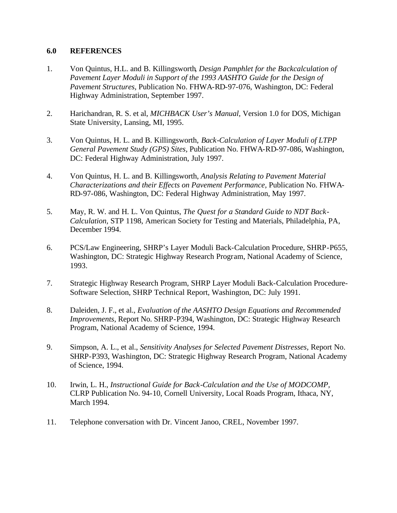#### **6.0 REFERENCES**

- 1. Von Quintus, H.L. and B. Killingsworth*, Design Pamphlet for the Backcalculation of*  Pavement Layer Moduli in Support of the 1993 AASHTO Guide for the Design of *Pavement Structures,* Publication No. FHWA-RD-97-076, Washington, DC: Federal Highway Administration, September 1997.
- 2. Harichandran, R. S. et al, *MICHBACK User's Manual,* Version 1.0 for DOS, Michigan State University, Lansing, MI, 1995.
- 3. Von Quintus, H. L. and B. Killingsworth, *Back-Calculation of Layer Moduli of LTPP General Pavement Study (GPS) Sites,* Publication No. FHWA-RD-97-086, Washington, DC: Federal Highway Administration, July 1997.
- 4. Von Quintus, H. L. and B. Killingsworth, *Analysis Relating to Pavement Material Characterizations and their Effects on Pavement Performance,* Publication No. FHWA-RD-97-086, Washington, DC: Federal Highway Administration, May 1997.
- 5. May, R. W. and H. L. Von Quintus, *The Quest for a Standard Guide to NDT Back-Calculation,* STP 1198, American Society for Testing and Materials, Philadelphia, PA, December 1994.
- 6. PCS/Law Engineering, SHRP's Layer Moduli Back-Calculation Procedure, SHRP-P655, Washington, DC: Strategic Highway Research Program, National Academy of Science, 1993.
- 7. Strategic Highway Research Program, SHRP Layer Moduli Back-Calculation Procedure-Software Selection, SHRP Technical Report, Washington, DC: July 1991.
- 8. Daleiden, J. F., et al., *Evaluation of the AASHTO Design Equations and Recommended Improvements,* Report No. SHRP-P394, Washington, DC: Strategic Highway Research Program, National Academy of Science, 1994.
- 9. Simpson, A. L., et al., *Sensitivity Analyses for Selected Pavement Distresses,* Report No. SHRP-P393, Washington, DC: Strategic Highway Research Program, National Academy of Science, 1994.
- 10. Irwin, L. H., *Instructional Guide for Back-Calculation and the Use of MODCOMP,* CLRP Publication No. 94-10, Cornell University, Local Roads Program, Ithaca, NY, March 1994.
- 11. Telephone conversation with Dr. Vincent Janoo, CREL, November 1997.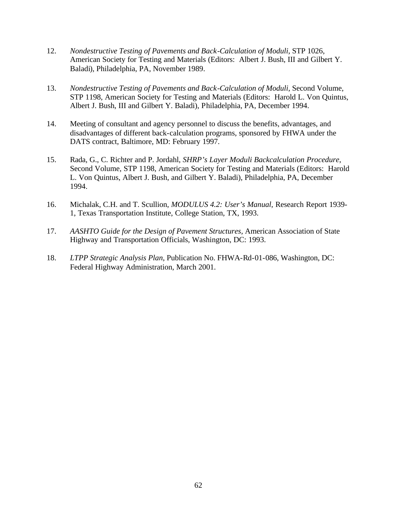- 12. *Nondestructive Testing of Pavements and Back-Calculation of Moduli*, STP 1026, American Society for Testing and Materials (Editors: Albert J. Bush, III and Gilbert Y. Baladi), Philadelphia, PA, November 1989.
- 13. *Nondestructive Testing of Pavements and Back-Calculation of Moduli*, Second Volume, STP 1198, American Society for Testing and Materials (Editors: Harold L. Von Quintus, Albert J. Bush, III and Gilbert Y. Baladi), Philadelphia, PA, December 1994.
- 14. Meeting of consultant and agency personnel to discuss the benefits, advantages, and disadvantages of different back-calculation programs, sponsored by FHWA under the DATS contract, Baltimore, MD: February 1997.
- 15. Rada, G., C. Richter and P. Jordahl, *SHRP's Layer Moduli Backcalculation Procedure*, Second Volume, STP 1198, American Society for Testing and Materials (Editors: Harold L. Von Quintus, Albert J. Bush, and Gilbert Y. Baladi), Philadelphia, PA, December 1994.
- 16. Michalak, C.H. and T. Scullion, *MODULUS 4.2: User's Manual*, Research Report 1939- 1, Texas Transportation Institute, College Station, TX, 1993.
- 17. *AASHTO Guide for the Design of Pavement Structures,* American Association of State Highway and Transportation Officials, Washington, DC: 1993.
- 18. *LTPP Strategic Analysis Plan*, Publication No. FHWA-Rd-01-086, Washington, DC: Federal Highway Administration, March 2001.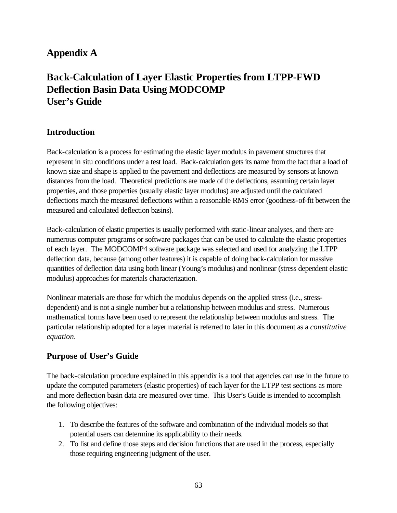# **Appendix A**

# **Back-Calculation of Layer Elastic Properties from LTPP-FWD Deflection Basin Data Using MODCOMP User's Guide**

## **Introduction**

Back-calculation is a process for estimating the elastic layer modulus in pavement structures that represent in situ conditions under a test load. Back-calculation gets its name from the fact that a load of known size and shape is applied to the pavement and deflections are measured by sensors at known distances from the load. Theoretical predictions are made of the deflections, assuming certain layer properties, and those properties (usually elastic layer modulus) are adjusted until the calculated deflections match the measured deflections within a reasonable RMS error (goodness-of-fit between the measured and calculated deflection basins).

Back-calculation of elastic properties is usually performed with static-linear analyses, and there are numerous computer programs or software packages that can be used to calculate the elastic properties of each layer. The MODCOMP4 software package was selected and used for analyzing the LTPP deflection data, because (among other features) it is capable of doing back-calculation for massive quantities of deflection data using both linear (Young's modulus) and nonlinear (stress dependent elastic modulus) approaches for materials characterization.

Nonlinear materials are those for which the modulus depends on the applied stress (i.e., stressdependent) and is not a single number but a relationship between modulus and stress. Numerous mathematical forms have been used to represent the relationship between modulus and stress. The particular relationship adopted for a layer material is referred to later in this document as a *constitutive equation*.

## **Purpose of User's Guide**

The back-calculation procedure explained in this appendix is a tool that agencies can use in the future to update the computed parameters (elastic properties) of each layer for the LTPP test sections as more and more deflection basin data are measured over time. This User's Guide is intended to accomplish the following objectives:

- 1. To describe the features of the software and combination of the individual models so that potential users can determine its applicability to their needs.
- 2. To list and define those steps and decision functions that are used in the process, especially those requiring engineering judgment of the user.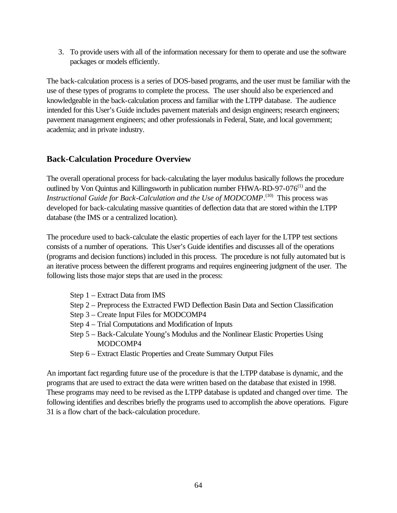3. To provide users with all of the information necessary for them to operate and use the software packages or models efficiently.

The back-calculation process is a series of DOS-based programs, and the user must be familiar with the use of these types of programs to complete the process. The user should also be experienced and knowledgeable in the back-calculation process and familiar with the LTPP database. The audience intended for this User's Guide includes pavement materials and design engineers; research engineers; pavement management engineers; and other professionals in Federal, State, and local government; academia; and in private industry.

## **Back-Calculation Procedure Overview**

The overall operational process for back-calculating the layer modulus basically follows the procedure outlined by Von Quintus and Killingsworth in publication number FHWA-RD-97-076<sup>(1)</sup> and the *Instructional Guide for Back-Calculation and the Use of MODCOMP*.<sup>(10)</sup> This process was developed for back-calculating massive quantities of deflection data that are stored within the LTPP database (the IMS or a centralized location).

The procedure used to back-calculate the elastic properties of each layer for the LTPP test sections consists of a number of operations. This User's Guide identifies and discusses all of the operations (programs and decision functions) included in this process.The procedure is not fully automated but is an iterative process between the different programs and requires engineering judgment of the user. The following lists those major steps that are used in the process:

- Step 1 Extract Data from IMS
- Step 2 Preprocess the Extracted FWD Deflection Basin Data and Section Classification
- Step 3 Create Input Files for MODCOMP4
- Step 4 Trial Computations and Modification of Inputs
- Step 5 Back-Calculate Young's Modulus and the Nonlinear Elastic Properties Using MODCOMP4
- Step 6 Extract Elastic Properties and Create Summary Output Files

An important fact regarding future use of the procedure is that the LTPP database is dynamic, and the programs that are used to extract the data were written based on the database that existed in 1998. These programs may need to be revised as the LTPP database is updated and changed over time. The following identifies and describes briefly the programs used to accomplish the above operations. Figure 31 is a flow chart of the back-calculation procedure.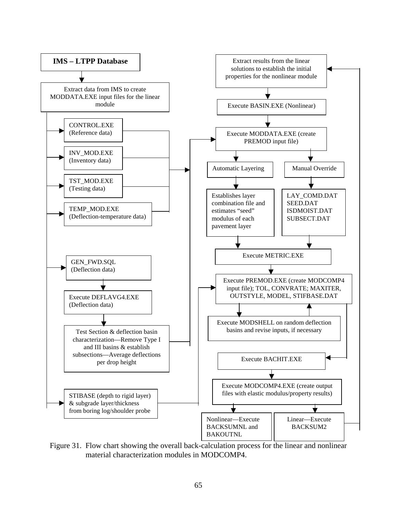

Figure 31. Flow chart showing the overall back-calculation process for the linear and nonlinear material characterization modules in MODCOMP4.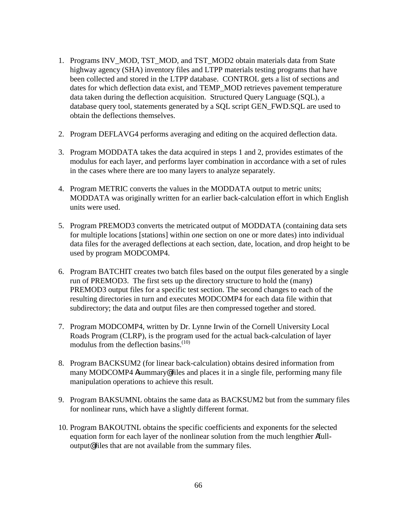- 1. Programs INV\_MOD, TST\_MOD, and TST\_MOD2 obtain materials data from State highway agency (SHA) inventory files and LTPP materials testing programs that have been collected and stored in the LTPP database. CONTROL gets a list of sections and dates for which deflection data exist, and TEMP\_MOD retrieves pavement temperature data taken during the deflection acquisition. Structured Query Language (SQL), a database query tool, statements generated by a SQL script GEN\_FWD.SQL are used to obtain the deflections themselves.
- 2. Program DEFLAVG4 performs averaging and editing on the acquired deflection data.
- 3. Program MODDATA takes the data acquired in steps 1 and 2, provides estimates of the modulus for each layer, and performs layer combination in accordance with a set of rules in the cases where there are too many layers to analyze separately.
- 4. Program METRIC converts the values in the MODDATA output to metric units; MODDATA was originally written for an earlier back-calculation effort in which English units were used.
- 5. Program PREMOD3 converts the metricated output of MODDATA (containing data sets for multiple locations [stations] within *one* section on one or more dates) into individual data files for the averaged deflections at each section, date, location, and drop height to be used by program MODCOMP4.
- 6. Program BATCHIT creates two batch files based on the output files generated by a single run of PREMOD3. The first sets up the directory structure to hold the (many) PREMOD3 output files for a specific test section. The second changes to each of the resulting directories in turn and executes MODCOMP4 for each data file within that subdirectory; the data and output files are then compressed together and stored.
- 7. Program MODCOMP4, written by Dr. Lynne Irwin of the Cornell University Local Roads Program (CLRP), is the program used for the actual back-calculation of layer modulus from the deflection basins. $(10)$
- 8. Program BACKSUM2 (for linear back-calculation) obtains desired information from many MODCOMP4 Asummary@ files and places it in a single file, performing many file manipulation operations to achieve this result.
- 9. Program BAKSUMNL obtains the same data as BACKSUM2 but from the summary files for nonlinear runs, which have a slightly different format.
- 10. Program BAKOUTNL obtains the specific coefficients and exponents for the selected equation form for each layer of the nonlinear solution from the much lengthier Afulloutput@ files that are not available from the summary files.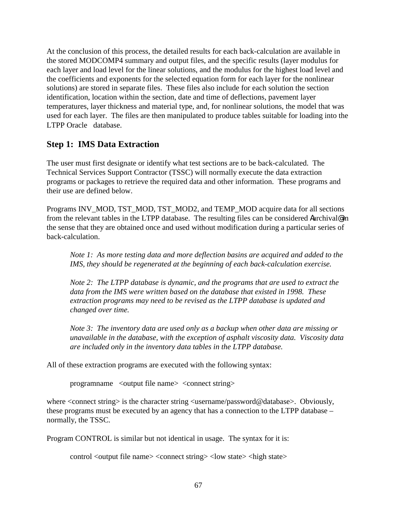At the conclusion of this process, the detailed results for each back-calculation are available in the stored MODCOMP4 summary and output files, and the specific results (layer modulus for each layer and load level for the linear solutions, and the modulus for the highest load level and the coefficients and exponents for the selected equation form for each layer for the nonlinear solutions) are stored in separate files. These files also include for each solution the section identification, location within the section, date and time of deflections, pavement layer temperatures, layer thickness and material type, and, for nonlinear solutions, the model that was used for each layer. The files are then manipulated to produce tables suitable for loading into the LTPP Oracle<sup>®</sup> database.

## **Step 1: IMS Data Extraction**

The user must first designate or identify what test sections are to be back-calculated. The Technical Services Support Contractor (TSSC) will normally execute the data extraction programs or packages to retrieve the required data and other information. These programs and their use are defined below.

Programs INV\_MOD, TST\_MOD, TST\_MOD2, and TEMP\_MOD acquire data for all sections from the relevant tables in the LTPP database. The resulting files can be considered Aarchival® in the sense that they are obtained once and used without modification during a particular series of back-calculation.

*Note 1: As more testing data and more deflection basins are acquired and added to the IMS, they should be regenerated at the beginning of each back-calculation exercise.* 

*Note 2: The LTPP database is dynamic, and the programs that are used to extract the data from the IMS were written based on the database that existed in 1998. These extraction programs may need to be revised as the LTPP database is updated and changed over time.* 

*Note 3: The inventory data are used only as a backup when other data are missing or unavailable in the database, with the exception of asphalt viscosity data. Viscosity data are included only in the inventory data tables in the LTPP database.* 

All of these extraction programs are executed with the following syntax:

programname <output file name> <connect string>

where  $\alpha$  strings is the character string  $\alpha$ username/password@databases. Obviously, these programs must be executed by an agency that has a connection to the LTPP database – normally, the TSSC.

Program CONTROL is similar but not identical in usage. The syntax for it is:

control <output file name> <connect string> <low state> <high state>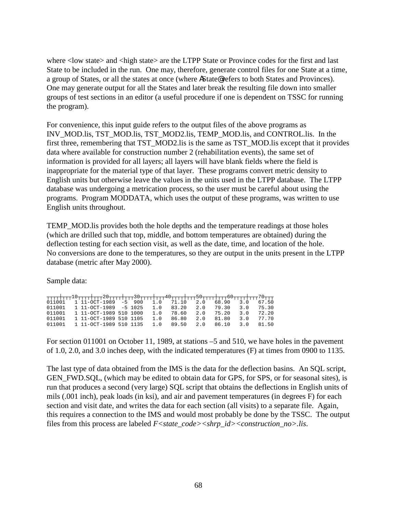where < low state > and < high state > are the LTPP State or Province codes for the first and last State to be included in the run. One may, therefore, generate control files for one State at a time, a group of States, or all the states at once (where AState@ refers to both States and Provinces). One may generate output for all the States and later break the resulting file down into smaller groups of test sections in an editor (a useful procedure if one is dependent on TSSC for running the program).

For convenience, this input guide refers to the output files of the above programs as INV\_MOD.lis, TST\_MOD.lis, TST\_MOD2.lis, TEMP\_MOD.lis, and CONTROL.lis. In the first three, remembering that TST\_MOD2.lis is the same as TST\_MOD.lis except that it provides data where available for construction number 2 (rehabilitation events), the same set of information is provided for all layers; all layers will have blank fields where the field is inappropriate for the material type of that layer. These programs convert metric density to English units but otherwise leave the values in the units used in the LTPP database. The LTPP database was undergoing a metrication process, so the user must be careful about using the programs. Program MODDATA, which uses the output of these programs, was written to use English units throughout.

TEMP\_MOD.lis provides both the hole depths and the temperature readings at those holes (which are drilled such that top, middle, and bottom temperatures are obtained) during the deflection testing for each section visit, as well as the date, time, and location of the hole. No conversions are done to the temperatures, so they are output in the units present in the LTPP database (metric after May 2000).

Sample data:

| ┯┲┲┲╂┲┲┲ <b>┚᠐┯┲┲╂┲┲┲</b> 20┲┲┲╂┲┲┲ <sup>30</sup> ┯┲┲╂┲┲┲ <b>4</b> 0┯┲┲╁┲┰┲ <sup>ҕ</sup> ᠐┯┲┲╂┲┲┲ <sup>ҕ</sup> ᠐┯┲┲╂┲┲┯ <sup>ヮ</sup> ᠐┯┲ |                        |  |     |                               |           |           |  |
|------------------------------------------------------------------------------------------------------------------------------------------|------------------------|--|-----|-------------------------------|-----------|-----------|--|
| $011001$ 1 11-OCT-1989 -5 900 1.0 71.10 2.0 68.90 3.0 67.50                                                                              |                        |  |     |                               |           |           |  |
| $0.11001$ 1 $11$ -OCT-1989 -5 1025 1.0 83.20 2.0 79.30 3.0 75.30                                                                         |                        |  |     |                               |           |           |  |
| 011001                                                                                                                                   | 1 11-0CT-1989 510 1000 |  |     | 1.0 78.60 2.0 75.20 3.0 72.20 |           |           |  |
| 011001                                                                                                                                   | 1 11-OCT-1989 510 1105 |  | 1.0 | 86.80                         | 2.0 81.80 | 3.0 77.70 |  |
| $0.11001$ 1 11-OCT-1989 510 1135 1.0 89.50 2.0 86.10 3.0 81.50                                                                           |                        |  |     |                               |           |           |  |

For section 011001 on October 11, 1989, at stations –5 and 510, we have holes in the pavement of 1.0, 2.0, and 3.0 inches deep, with the indicated temperatures (F) at times from 0900 to 1135.

The last type of data obtained from the IMS is the data for the deflection basins. An SQL script, GEN FWD.SOL, (which may be edited to obtain data for GPS, for SPS, or for seasonal sites), is run that produces a second (very large) SQL script that obtains the deflections in English units of mils (.001 inch), peak loads (in ksi), and air and pavement temperatures (in degrees F) for each section and visit date, and writes the data for each section (all visits) to a separate file. Again, this requires a connection to the IMS and would most probably be done by the TSSC. The output files from this process are labeled *F<state\_code><shrp\_id><construction\_no>.lis*.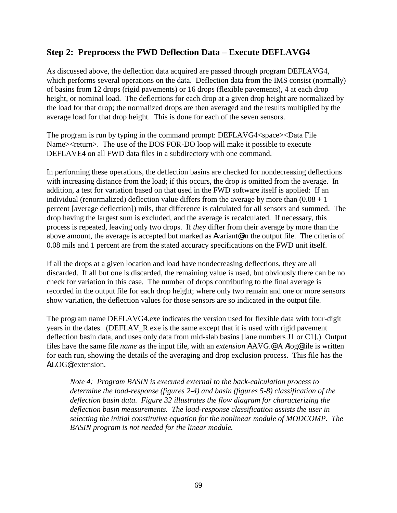## **Step 2: Preprocess the FWD Deflection Data – Execute DEFLAVG4**

As discussed above, the deflection data acquired are passed through program DEFLAVG4, which performs several operations on the data. Deflection data from the IMS consist (normally) of basins from 12 drops (rigid pavements) or 16 drops (flexible pavements), 4 at each drop height, or nominal load. The deflections for each drop at a given drop height are normalized by the load for that drop; the normalized drops are then averaged and the results multiplied by the average load for that drop height. This is done for each of the seven sensors.

The program is run by typing in the command prompt: DEFLAVG4<space><Data File Name><return>. The use of the DOS FOR-DO loop will make it possible to execute DEFLAVE4 on all FWD data files in a subdirectory with one command.

In performing these operations, the deflection basins are checked for nondecreasing deflections with increasing distance from the load; if this occurs, the drop is omitted from the average. In addition, a test for variation based on that used in the FWD software itself is applied: If an individual (renormalized) deflection value differs from the average by more than  $(0.08 + 1)$ percent [average deflection]) mils, that difference is calculated for all sensors and summed. The drop having the largest sum is excluded, and the average is recalculated. If necessary, this process is repeated, leaving only two drops. If *they* differ from their average by more than the above amount, the average is accepted but marked as Avariant<sup>®</sup> in the output file. The criteria of 0.08 mils and 1 percent are from the stated accuracy specifications on the FWD unit itself.

If all the drops at a given location and load have nondecreasing deflections, they are all discarded. If all but one is discarded, the remaining value is used, but obviously there can be no check for variation in this case. The number of drops contributing to the final average is recorded in the output file for each drop height; where only two remain and one or more sensors show variation, the deflection values for those sensors are so indicated in the output file.

The program name DEFLAVG4.exe indicates the version used for flexible data with four-digit years in the dates. (DEFLAV\_R.exe is the same except that it is used with rigid pavement deflection basin data, and uses only data from mid-slab basins [lane numbers J1 or C1].) Output files have the same file *name* as the input file, with an *extension* A.AVG.@ A Alog@ file is written for each run, showing the details of the averaging and drop exclusion process. This file has the A.LOG@ extension.

*Note 4: Program BASIN is executed external to the back-calculation process to determine the load-response (figures 2-4) and basin (figures 5-8) classification of the deflection basin data. Figure 32 illustrates the flow diagram for characterizing the deflection basin measurements. The load-response classification assists the user in selecting the initial constitutive equation for the nonlinear module of MODCOMP. The BASIN program is not needed for the linear module.*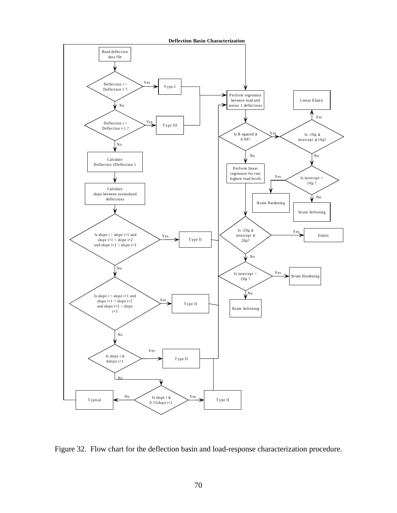



Figure 32. Flow chart for the deflection basin and load-response characterization procedure.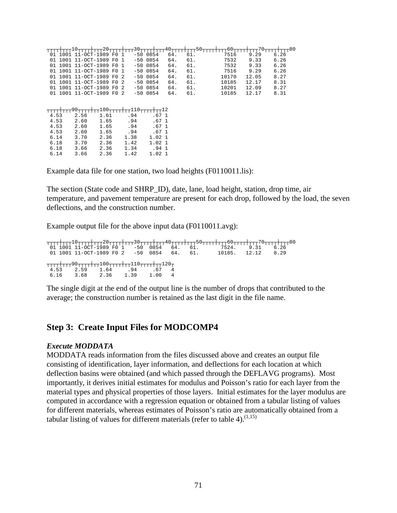|            |                  |                          | -30- |                  | 40 <sub>7</sub> |     |       |       | -80  |
|------------|------------------|--------------------------|------|------------------|-----------------|-----|-------|-------|------|
| 01         | 1001 11-OCT-1989 | F O                      |      | $-5000854$       | 64.             | 61. | 7516  | 9.29  | 6.26 |
| 01 1001    |                  | 11-OCT-1989 F0 1         |      | $-5000854$       | 64.             | 61. | 7532  | 9.33  | 6.26 |
| 01<br>1001 |                  | 11-OCT-1989 F0 1         |      | $-5000854$       | 64.             | 61. | 7532  | 9.33  | 6.26 |
| 01         |                  | 1001 11-OCT-1989 F0 1    |      | $-5000854$       | 64.             | 61. | 7516  | 9.29  | 6.26 |
| 01<br>1001 |                  | 11-OCT-1989 F0 2         |      | $-5000854$       | 64.             | 61. | 10170 | 12.05 | 8.27 |
| 1001<br>01 |                  | 11-OCT-1989 F0 2         |      | $-5000854$       | 64.             | 61. | 10185 | 12.17 | 8.31 |
|            |                  | 01 1001 11-OCT-1989 F0 2 |      | $-5000854$       | 64.             | 61. | 10201 | 12.09 | 8.27 |
|            |                  | 01 1001 11-OCT-1989 F0 2 |      | $-5000854$       | 64.             | 61. | 10185 | 12.17 | 8.31 |
|            |                  |                          |      |                  |                 |     |       |       |      |
|            |                  |                          |      |                  |                 |     |       |       |      |
| 4.53       | 2.56             | 1.61                     | .94  | .671             |                 |     |       |       |      |
| 4.53       | 2.60             | 1.65                     | .94  | .67 <sub>1</sub> |                 |     |       |       |      |
| 4.53       | 2.60             | 1.65                     | .94  | .671             |                 |     |       |       |      |
| 4.53       | 2.60             | 1.65                     | .94  | .67 <sub>1</sub> |                 |     |       |       |      |
| 6.14       | 3.70             | 2.36                     | 1.38 | 1.021            |                 |     |       |       |      |
| 6.18       | 3.70             | 2.36                     | 1.42 | 1.021            |                 |     |       |       |      |
| 6.18       | 3.66             | 2.36                     | 1.34 | .941             |                 |     |       |       |      |

Example data file for one station, two load heights (F0110011.lis):

The section (State code and SHRP\_ID), date, lane, load height, station, drop time, air temperature, and pavement temperature are present for each drop, followed by the load, the seven deflections, and the construction number.

Example output file for the above input data (F0110011.avg):

|                                         |                |  |  | <del>TTTT++TTT<sup>10</sup>TTT++TTT<sup>20</sup>TTT++TTT<sup>30</sup>TTT++TTT+0TTT++TTT<sup>50</sup>TTT++TTT<sup>50</sup>TTT++TTT<sup>80</sup></del> |      |
|-----------------------------------------|----------------|--|--|------------------------------------------------------------------------------------------------------------------------------------------------------|------|
|                                         |                |  |  | 01 1001 11-OCT-1989 F0 1 -50 0854 64, 61, 7524, 9.31                                                                                                 | 6.26 |
|                                         |                |  |  | 01 1001 11-OCT-1989 F0 2 -50 0854 64. 61. 10185. 12.12 8.29                                                                                          |      |
| ┯┯┯┯┿┯┯┯90┯┯┯┿┯┯100┯┯┯┿┯┯110┯┯┯┯┿┯┯120┯ | 2.59 1.64 .94  |  |  |                                                                                                                                                      |      |
| 6.16                                    | 3.68 2.36 1.39 |  |  |                                                                                                                                                      |      |

The single digit at the end of the output line is the number of drops that contributed to the average; the construction number is retained as the last digit in the file name.

### **Step 3: Create Input Files for MODCOMP4**

#### *Execute MODDATA*

MODDATA reads information from the files discussed above and creates an output file consisting of identification, layer information, and deflections for each location at which deflection basins were obtained (and which passed through the DEFLAVG programs). Most importantly, it derives initial estimates for modulus and Poisson's ratio for each layer from the material types and physical properties of those layers. Initial estimates for the layer modulus are computed in accordance with a regression equation or obtained from a tabular listing of values for different materials, whereas estimates of Poisson's ratio are automatically obtained from a tabular listing of values for different materials (refer to table 4). $^{(1,15)}$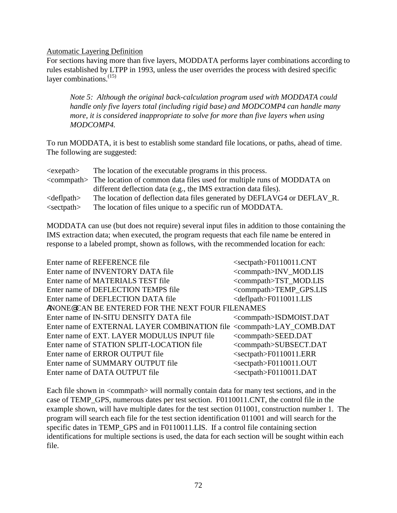Automatic Layering Definition

For sections having more than five layers, MODDATA performs layer combinations according to rules established by LTPP in 1993, unless the user overrides the process with desired specific layer combinations. $^{(15)}$ 

*Note 5: Although the original back-calculation program used with MODDATA could handle only five layers total (including rigid base) and MODCOMP4 can handle many more, it is considered inappropriate to solve for more than five layers when using MODCOMP4.* 

To run MODDATA, it is best to establish some standard file locations, or paths, ahead of time. The following are suggested:

| $\langle$ exepath $\rangle$ | The location of the executable programs in this process.                                     |
|-----------------------------|----------------------------------------------------------------------------------------------|
|                             | <commpath> The location of common data files used for multiple runs of MODDATA on</commpath> |
|                             | different deflection data (e.g., the IMS extraction data files).                             |
| $\le$ defl $path$           | The location of deflection data files generated by DEFLAVG4 or DEFLAV_R.                     |
| $\le$ sectpath $>$          | The location of files unique to a specific run of MODDATA.                                   |

MODDATA can use (but does not require) several input files in addition to those containing the IMS extraction data; when executed, the program requests that each file name be entered in response to a labeled prompt, shown as follows, with the recommended location for each:

| Enter name of REFERENCE file                                                    | $<$ sectpath>F0110011.CNT         |
|---------------------------------------------------------------------------------|-----------------------------------|
| Enter name of INVENTORY DATA file                                               | <commpath>INV_MOD.LIS</commpath>  |
| Enter name of MATERIALS TEST file                                               | <commpath>TST_MOD.LIS</commpath>  |
| Enter name of DEFLECTION TEMPS file                                             | <commpath>TEMP_GPS.LIS</commpath> |
| Enter name of DEFLECTION DATA file                                              | <deflpath>F0110011.LIS</deflpath> |
| ANONE® CAN BE ENTERED FOR THE NEXT FOUR FILENAMES                               |                                   |
| Enter name of IN-SITU DENSITY DATA file                                         | <commpath>ISDMOIST.DAT</commpath> |
| Enter name of EXTERNAL LAYER COMBINATION file <commpath>LAY_COMB.DAT</commpath> |                                   |
| Enter name of EXT. LAYER MODULUS INPUT file                                     | <commpath>SEED.DAT</commpath>     |
| Enter name of STATION SPLIT-LOCATION file                                       | <commpath>SUBSECT.DAT</commpath>  |
| Enter name of ERROR OUTPUT file                                                 | $<$ sectpath>F0110011.ERR         |
| Enter name of SUMMARY OUTPUT file                                               | <sectpath>F0110011.OUT</sectpath> |
| Enter name of DATA OUTPUT file                                                  | $<$ sectpath>F0110011.DAT         |

Each file shown in <commpath> will normally contain data for many test sections, and in the case of TEMP\_GPS, numerous dates per test section. F0110011.CNT, the control file in the example shown, will have multiple dates for the test section 011001, construction number 1. The program will search each file for the test section identification 011001 and will search for the specific dates in TEMP\_GPS and in F0110011.LIS. If a control file containing section identifications for multiple sections is used, the data for each section will be sought within each file.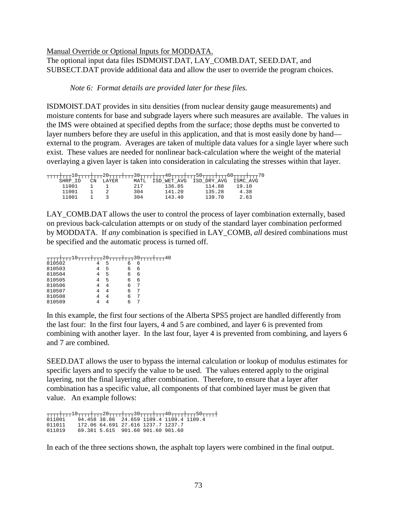### Manual Override or Optional Inputs for MODDATA.

The optional input data files ISDMOIST.DAT, LAY\_COMB.DAT, SEED.DAT, and SUBSECT.DAT provide additional data and allow the user to override the program choices.

*Note 6: Format details are provided later for these files.* 

ISDMOIST.DAT provides in situ densities (from nuclear density gauge measurements) and moisture contents for base and subgrade layers where such measures are available. The values in the IMS were obtained at specified depths from the surface; those depths must be converted to layer numbers before they are useful in this application, and that is most easily done by hand external to the program. Averages are taken of multiple data values for a single layer where such exist. These values are needed for nonlinear back-calculation where the weight of the material overlaying a given layer is taken into consideration in calculating the stresses within that layer.

| SHRP  | CΝ | LAYER | MATI. | ISD WET AVG | ISD DRY AVG | ISMC AVG |
|-------|----|-------|-------|-------------|-------------|----------|
| 11001 |    |       | 217   | 136.85      | 114.88      | 19.10    |
| 11001 |    |       | 304   | 141.20      | 135.28      | 4.38     |
| 11001 |    |       | 304   | 143.40      | 139.70      | 2.63     |

LAY COMB.DAT allows the user to control the process of layer combination externally, based on previous back-calculation attempts or on study of the standard layer combination performed by MODDATA. If *any* combination is specified in LAY\_COMB, *all* desired combinations must be specified and the automatic process is turned off.

|        |   |   |   | 10 |
|--------|---|---|---|----|
|        |   |   |   |    |
| 810502 | 5 | б | 6 |    |
| 810503 | 5 | 6 | 6 |    |
| 810504 | 5 | 6 | 6 |    |
| 810505 | 5 | б | 6 |    |
| 810506 | 4 | 6 |   |    |
| 810507 |   |   |   |    |
| 810508 |   | h |   |    |
| 810509 |   |   |   |    |

In this example, the first four sections of the Alberta SPS5 project are handled differently from the last four: In the first four layers, 4 and 5 are combined, and layer 6 is prevented from combining with another layer. In the last four, layer 4 is prevented from combining, and layers 6 and 7 are combined.

SEED.DAT allows the user to bypass the internal calculation or lookup of modulus estimates for specific layers and to specify the value to be used. The values entered apply to the original layering, not the final layering after combination. Therefore, to ensure that a layer after combination has a specific value, all components of that combined layer must be given that value. An example follows:

┬┬┬┬┼┬┬┬10┬┬┬┬┼┬┬┬20┬┬┬┼┬┬┬30┬┬┬┼┬┬┬40┬┬┬┬┼┬┬┬50┬┬┬┬┼ 011001 94.458 38.86 24.659 1109.4 1109.4 1109.4 011011 172.06 64.691 27.616 1237.7 1237.7 011019 69.381 5.615 901.60 901.60 901.60

In each of the three sections shown, the asphalt top layers were combined in the final output.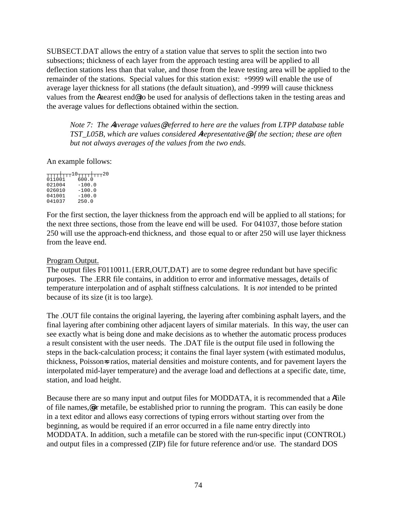SUBSECT.DAT allows the entry of a station value that serves to split the section into two subsections; thickness of each layer from the approach testing area will be applied to all deflection stations less than that value, and those from the leave testing area will be applied to the remainder of the stations. Special values for this station exist: +9999 will enable the use of average layer thickness for all stations (the default situation), and -9999 will cause thickness values from the Anearest end<sup>®</sup> to be used for analysis of deflections taken in the testing areas and the average values for deflections obtained within the section.

*Note 7: The* A*average values*@ *referred to here are the values from LTPP database table TST\_L05B, which are values considered* A*representative*@ *of the section; these are often but not always averages of the values from the two ends.* 

An example follows:

|        | <b>-----+---</b> 10 <del>----++---</del> 20 |
|--------|---------------------------------------------|
|        |                                             |
| oiiooi | 600.0                                       |
| 021004 | $-100.0$                                    |
| 026010 | $-100.0$                                    |
| 041001 | $-100.0$                                    |
| 041037 | 250.0                                       |

For the first section, the layer thickness from the approach end will be applied to all stations; for the next three sections, those from the leave end will be used. For 041037, those before station 250 will use the approach-end thickness, and those equal to or after 250 will use layer thickness from the leave end.

### Program Output.

The output files F0110011.{ERR,OUT,DAT} are to some degree redundant but have specific purposes. The .ERR file contains, in addition to error and informative messages, details of temperature interpolation and of asphalt stiffness calculations. It is *not* intended to be printed because of its size (it is too large).

The .OUT file contains the original layering, the layering after combining asphalt layers, and the final layering after combining other adjacent layers of similar materials. In this way, the user can see exactly what is being done and make decisions as to whether the automatic process produces a result consistent with the user needs. The .DAT file is the output file used in following the steps in the back-calculation process; it contains the final layer system (with estimated modulus, thickness, Poisson-s ratios, material densities and moisture contents, and for pavement layers the interpolated mid-layer temperature) and the average load and deflections at a specific date, time, station, and load height.

Because there are so many input and output files for MODDATA, it is recommended that a Afile of file names,@or metafile, be established prior to running the program. This can easily be done in a text editor and allows easy corrections of typing errors without starting over from the beginning, as would be required if an error occurred in a file name entry directly into MODDATA. In addition, such a metafile can be stored with the run-specific input (CONTROL) and output files in a compressed (ZIP) file for future reference and/or use. The standard DOS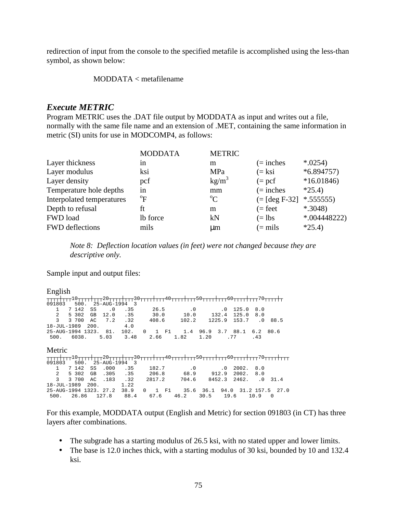redirection of input from the console to the specified metafile is accomplished using the less-than symbol, as shown below:

MODDATA < metafilename

### *Execute METRIC*

Program METRIC uses the .DAT file output by MODDATA as input and writes out a file, normally with the same file name and an extension of .MET, containing the same information in metric (SI) units for use in MODCOMP4, as follows:

| <b>MODDATA</b> | <b>METRIC</b> |                   |                |
|----------------|---------------|-------------------|----------------|
| 1n             | m             | $(=$ inches       | $*0254$        |
| ksi            | MPa           | $(=\mathrm{k}$ si | $*6.894757)$   |
| pcf            | $kg/m^3$      | $(=$ pcf          | $*16.01846$    |
| in             | mm            | $($ = inches      | $*25.4$        |
| $\mathrm{^oF}$ | $\rm ^{o}C$   |                   | $*.555555)$    |
| ft             | m             | $(= feet)$        | $*$ .3048)     |
| lb force       | kN            | $(=\text{lbs})$   | $*004448222$   |
| mils           | $\mu$ m       | $(=$ mils         | $*25.4$        |
|                |               |                   | $(=[deg F-32]$ |

*Note 8: Deflection location values (in feet) were not changed because they are descriptive only.* 

Sample input and output files:

#### English

| <del>TTTT TTT<sup>10</sup>TTTT TTT<sup>20</sup>TTTT TTT<sup>30</sup>TTTT TTT<sup>40</sup>TTTT TTT<sup>50</sup>TTTT TTT<sup>60</sup>TTTT TTT<sup>70</sup>TTTT<del> </del>T</del>  |                                |                      |  |                  |                             |                                   |
|----------------------------------------------------------------------------------------------------------------------------------------------------------------------------------|--------------------------------|----------------------|--|------------------|-----------------------------|-----------------------------------|
| 091803                                                                                                                                                                           | 500. 25-AUG-1994 3             |                      |  |                  |                             |                                   |
| 7 142<br>$\mathbf{1}$                                                                                                                                                            | $\cdot$ 0<br>SS                | .35 26.5 .0 .0 125.0 |  |                  |                             | 8.0                               |
| $\overline{a}$<br>5 302                                                                                                                                                          | GB 12.0                        | .35                  |  |                  | 30.0 10.0 132.4 125.0 8.0   |                                   |
| $\overline{\mathbf{3}}$<br>3 700<br>AC                                                                                                                                           | 7.2.32                         |                      |  |                  | 408.6 102.2 1225.9 153.7 .0 | 88.5                              |
| 18-JUL-1989 200.                                                                                                                                                                 |                                | 4.0                  |  |                  |                             |                                   |
| 25-AUG-1994 1323. 81. 102. 0 1 F1 1.4 96.9 3.7 88.1 6.2 80.6                                                                                                                     |                                |                      |  |                  |                             |                                   |
| 500. 6038. 5.03 3.48 2.66 1.82 1.20 .77 .43                                                                                                                                      |                                |                      |  |                  |                             |                                   |
| Metric<br><del>TTTT TTT</del> 10 <del>1TTT TTT</del> 20 <del>TTTT TTT</del> 30 <del>TTTT TTT<sup>40</sup>TTTT TTT</del> 50 <del>TTTT TTT</del> 60TTTT TTT <sup>70</sup> TTTT TTT |                                |                      |  |                  |                             |                                   |
| 091803                                                                                                                                                                           | $500.25 - \text{AUG} - 1994.3$ |                      |  |                  |                             |                                   |
| $\mathbf{1}$<br>7 142                                                                                                                                                            | .000<br>SS                     | .35                  |  | $182.7$ .0 .0    | 2002. 8.0                   |                                   |
| 2 5 3 0 2                                                                                                                                                                        | GB .305                        | .35                  |  | 206.8 68.9 912.9 | 2002. 8.0                   |                                   |
| $\mathcal{L}$<br>3 700                                                                                                                                                           | AC 183                         | $\cdot$ 32           |  |                  |                             | 2817.2 704.6 8452.3 2462. .0 31.4 |
| 18-JUL-1989 200.                                                                                                                                                                 |                                | 1.22                 |  |                  |                             |                                   |
| 25-AUG-1994 1323. 27.2 38.9 0 1 F1 35.6 36.1 94.0 31.2 157.5 27.0                                                                                                                |                                |                      |  |                  |                             |                                   |
| 500. 26.86 127.8 88.4 67.6 46.2 30.5 19.6 10.9 0                                                                                                                                 |                                |                      |  |                  |                             |                                   |

For this example, MODDATA output (English and Metric) for section 091803 (in CT) has three layers after combinations.

- The subgrade has a starting modulus of 26.5 ksi, with no stated upper and lower limits.
- The base is 12.0 inches thick, with a starting modulus of 30 ksi, bounded by 10 and 132.4 ksi.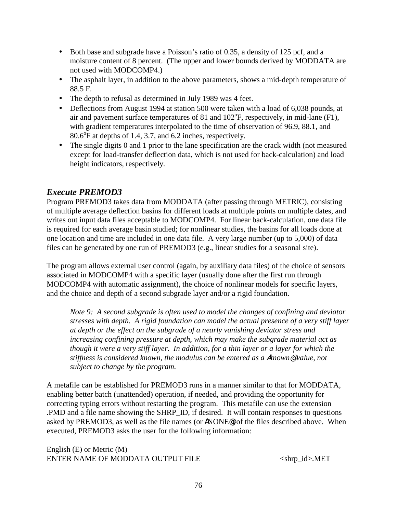- Both base and subgrade have a Poisson's ratio of 0.35, a density of 125 pcf, and a moisture content of 8 percent. (The upper and lower bounds derived by MODDATA are not used with MODCOMP4.)
- The asphalt layer, in addition to the above parameters, shows a mid-depth temperature of 88.5 F.
- The depth to refusal as determined in July 1989 was 4 feet.
- Deflections from August 1994 at station 500 were taken with a load of 6,038 pounds, at air and pavement surface temperatures of 81 and  $102^{\circ}$ F, respectively, in mid-lane (F1), with gradient temperatures interpolated to the time of observation of 96.9, 88.1, and  $80.6^{\circ}$ F at depths of 1.4, 3.7, and 6.2 inches, respectively.
- The single digits 0 and 1 prior to the lane specification are the crack width (not measured except for load-transfer deflection data, which is not used for back-calculation) and load height indicators, respectively.

## *Execute PREMOD3*

Program PREMOD3 takes data from MODDATA (after passing through METRIC), consisting of multiple average deflection basins for different loads at multiple points on multiple dates, and writes out input data files acceptable to MODCOMP4. For linear back-calculation, one data file is required for each average basin studied; for nonlinear studies, the basins for all loads done at one location and time are included in one data file. A very large number (up to 5,000) of data files can be generated by one run of PREMOD3 (e.g., linear studies for a seasonal site).

The program allows external user control (again, by auxiliary data files) of the choice of sensors associated in MODCOMP4 with a specific layer (usually done after the first run through MODCOMP4 with automatic assignment), the choice of nonlinear models for specific layers, and the choice and depth of a second subgrade layer and/or a rigid foundation.

*Note 9: A second subgrade is often used to model the changes of confining and deviator stresses with depth. A rigid foundation can model the actual presence of a very stiff layer at depth or the effect on the subgrade of a nearly vanishing deviator stress and increasing confining pressure at depth, which may make the subgrade material act as though it were a very stiff layer. In addition, for a thin layer or a layer for which the stiffness is considered known, the modulus can be entered as a* A*known*@ *value, not subject to change by the program.* 

A metafile can be established for PREMOD3 runs in a manner similar to that for MODDATA, enabling better batch (unattended) operation, if needed, and providing the opportunity for correcting typing errors without restarting the program. This metafile can use the extension .PMD and a file name showing the SHRP\_ID, if desired. It will contain responses to questions asked by PREMOD3, as well as the file names (or ANONE@) of the files described above. When executed, PREMOD3 asks the user for the following information:

English (E) or Metric (M) ENTER NAME OF MODDATA OUTPUT FILE <shrp\_id>.MET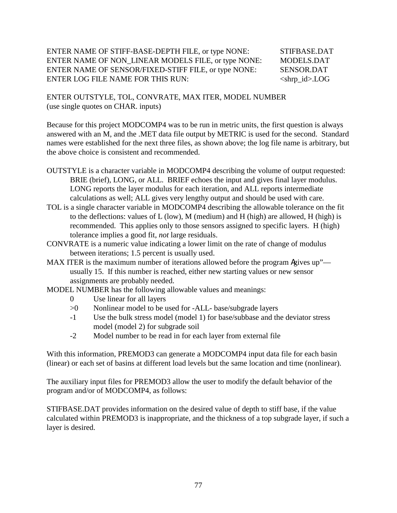### ENTER NAME OF STIFF-BASE-DEPTH FILE, or type NONE: STIFBASE.DAT ENTER NAME OF NON\_LINEAR MODELS FILE, or type NONE: MODELS.DAT ENTER NAME OF SENSOR/FIXED-STIFF FILE, or type NONE: SENSOR.DAT ENTER LOG FILE NAME FOR THIS RUN: <shrp\_id>.LOG

ENTER OUTSTYLE, TOL, CONVRATE, MAX ITER, MODEL NUMBER (use single quotes on CHAR. inputs)

Because for this project MODCOMP4 was to be run in metric units, the first question is always answered with an M, and the .MET data file output by METRIC is used for the second. Standard names were established for the next three files, as shown above; the log file name is arbitrary, but the above choice is consistent and recommended.

- OUTSTYLE is a character variable in MODCOMP4 describing the volume of output requested: BRIE (brief), LONG, or ALL. BRIEF echoes the input and gives final layer modulus. LONG reports the layer modulus for each iteration, and ALL reports intermediate calculations as well; ALL gives very lengthy output and should be used with care.
- TOL is a single character variable in MODCOMP4 describing the allowable tolerance on the fit to the deflections: values of L (low), M (medium) and H (high) are allowed, H (high) is recommended. This applies only to those sensors assigned to specific layers. H (high) tolerance implies a good fit, *not* large residuals.
- CONVRATE is a numeric value indicating a lower limit on the rate of change of modulus between iterations; 1.5 percent is usually used.
- MAX ITER is the maximum number of iterations allowed before the program Agives up" usually 15. If this number is reached, either new starting values or new sensor assignments are probably needed.

MODEL NUMBER has the following allowable values and meanings:

- 0 Use linear for all layers
- >0 Nonlinear model to be used for -ALL- base/subgrade layers
- -1 Use the bulk stress model (model 1) for base/subbase and the deviator stress model (model 2) for subgrade soil
- -2 Model number to be read in for each layer from external file

With this information, PREMOD3 can generate a MODCOMP4 input data file for each basin (linear) or each set of basins at different load levels but the same location and time (nonlinear).

The auxiliary input files for PREMOD3 allow the user to modify the default behavior of the program and/or of MODCOMP4, as follows:

STIFBASE.DAT provides information on the desired value of depth to stiff base, if the value calculated within PREMOD3 is inappropriate, and the thickness of a top subgrade layer, if such a layer is desired.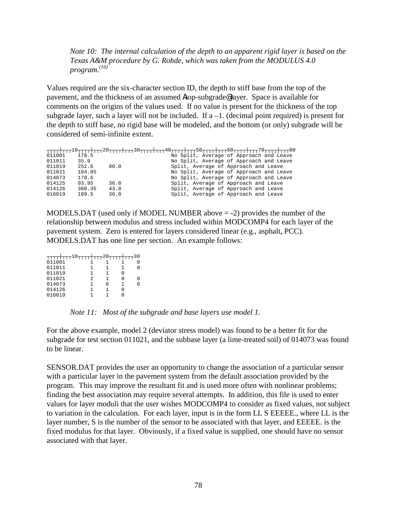*Note 10: The internal calculation of the depth to an apparent rigid layer is based on the Texas A&M procedure by G. Rohde, which was taken from the MODULUS 4.0 program.(16)* 

Values required are the six-character section ID, the depth to stiff base from the top of the pavement, and the thickness of an assumed Atop-subgrade@ layer. Space is available for comments on the origins of the values used. If no value is present for the thickness of the top subgrade layer, such a layer will not be included. If  $a - 1$ . (decimal point required) is present for the depth to stiff base, no rigid base will be modeled, and the bottom (or only) subgrade will be considered of semi-infinite extent.

|        |        |      | <del>TTTT++TTT<sup>10</sup>TTT++TTT<sup>20</sup>TTT++TTT<sup>30</sup>TTT++TTT<sup>40</sup>TTT++TTT<sup>50</sup>TTT++TTT<sup>50</sup>TTT++TTT<sup>80</sup></del> |
|--------|--------|------|-----------------------------------------------------------------------------------------------------------------------------------------------------------------|
| 011001 | 178.5  |      | No Split, Average of Approach and Leave                                                                                                                         |
| 011011 | 35.9   |      | No Split, Average of Approach and Leave                                                                                                                         |
| 011019 | 252.6  | 80.0 | Split, Average of Approach and Leave                                                                                                                            |
| 011021 | 104.85 |      | No Split, Average of Approach and Leave                                                                                                                         |
| 014073 | 178.6  |      | No Split, Average of Approach and Leave                                                                                                                         |
| 014125 | 93.95  | 36.0 | Split, Average of Approach and Leave                                                                                                                            |
| 014126 | 380.35 | 43.0 | Split, Average of Approach and Leave                                                                                                                            |
| 016019 | 189.5  | 36.0 | Split, Average of Approach and Leave                                                                                                                            |

MODELS.DAT (used only if MODEL NUMBER above = -2) provides the number of the relationship between modulus and stress included within MODCOMP4 for each layer of the pavement system. Zero is entered for layers considered linear (e.g., asphalt, PCC). MODELS.DAT has one line per section. An example follows:

| $\pm$ TTT $^{10}$ T<br>TTT | $\tau$ t $\tau$ t $\tau$ t $\tau$ 70t | ┯┿┯┯ | -30 |
|----------------------------|---------------------------------------|------|-----|
| 011001                     |                                       |      |     |
| 011011                     |                                       |      |     |
| 011019                     |                                       |      |     |
| 011021                     | 2                                     |      |     |
| 014073                     |                                       |      |     |
| 014126                     |                                       |      |     |
| 016019                     |                                       |      |     |

*Note 11: Most of the subgrade and base layers use model 1.* 

For the above example, model 2 (deviator stress model) was found to be a better fit for the subgrade for test section 011021, and the subbase layer (a lime-treated soil) of 014073 was found to be linear.

SENSOR.DAT provides the user an opportunity to change the association of a particular sensor with a particular layer in the pavement system from the default association provided by the program. This may improve the resultant fit and is used more often with nonlinear problems; finding the best association may require several attempts. In addition, this file is used to enter values for layer moduli that the user wishes MODCOMP4 to consider as fixed values, not subject to variation in the calculation. For each layer, input is in the form LL S EEEEE., where LL is the layer number, S is the number of the sensor to be associated with that layer, and EEEEE. is the fixed modulus for that layer. Obviously, if a fixed value is supplied, one should have no sensor associated with that layer.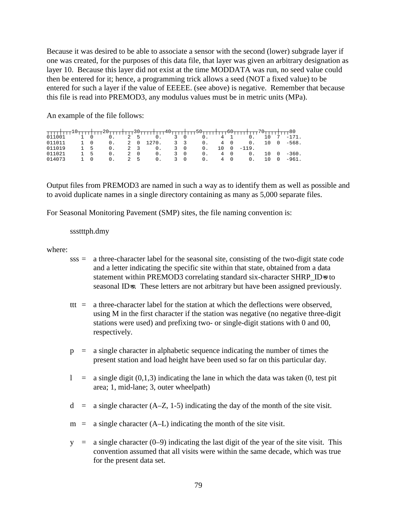Because it was desired to be able to associate a sensor with the second (lower) subgrade layer if one was created, for the purposes of this data file, that layer was given an arbitrary designation as layer 10. Because this layer did not exist at the time MODDATA was run, no seed value could then be entered for it; hence, a programming trick allows a seed (NOT a fixed value) to be entered for such a layer if the value of EEEEE. (see above) is negative. Remember that because this file is read into PREMOD3, any modulus values must be in metric units (MPa).

An example of the file follows:

| $011011$ 1 0     |    |                   | $\mathbf{0}$ .   |  |                                   |      | 2 0 1270. 3 3 0.          |  | 4 0<br>0 <sub>1</sub>            |     | $10 \quad 0 \quad -568$ .          |
|------------------|----|-------------------|------------------|--|-----------------------------------|------|---------------------------|--|----------------------------------|-----|------------------------------------|
| 011019           | 15 |                   | $\Omega$ .       |  | $2 \quad 3$<br>0.                 |      | $3 \quad 0$<br>$\Omega$ . |  | $-119$ .                         |     |                                    |
| 011021<br>014073 |    | -5<br>$1 \quad 0$ | 0.<br>$\Omega$ . |  | 2 0<br>$0.$ $\blacksquare$<br>2 5 | 0.30 | 3 0<br>0.<br>0.           |  | 4 0<br>$0-$<br>4 0<br>$\Omega$ . | 1 O | $10 \quad 0 \quad -360$ .<br>-961. |
|                  |    |                   |                  |  |                                   |      |                           |  |                                  |     |                                    |

Output files from PREMOD3 are named in such a way as to identify them as well as possible and to avoid duplicate names in a single directory containing as many as 5,000 separate files.

For Seasonal Monitoring Pavement (SMP) sites, the file naming convention is:

### ssstttph.dmy

where:

- sss = a three-character label for the seasonal site, consisting of the two-digit state code and a letter indicating the specific site within that state, obtained from a data statement within PREMOD3 correlating standard six-character SHRP\_ID=s to seasonal ID=s. These letters are not arbitrary but have been assigned previously.
- ttt  $=$  a three-character label for the station at which the deflections were observed. using M in the first character if the station was negative (no negative three-digit stations were used) and prefixing two- or single-digit stations with 0 and 00, respectively.
- $p = a$  single character in alphabetic sequence indicating the number of times the present station and load height have been used so far on this particular day.
- $\ell$  = a single digit (0,1,3) indicating the lane in which the data was taken (0, test pit area; 1, mid-lane; 3, outer wheelpath)
- $d = a$  single character (A–Z, 1-5) indicating the day of the month of the site visit.
- $m = a$  single character (A–L) indicating the month of the site visit.
- $y = a$  single character (0–9) indicating the last digit of the year of the site visit. This convention assumed that all visits were within the same decade, which was true for the present data set.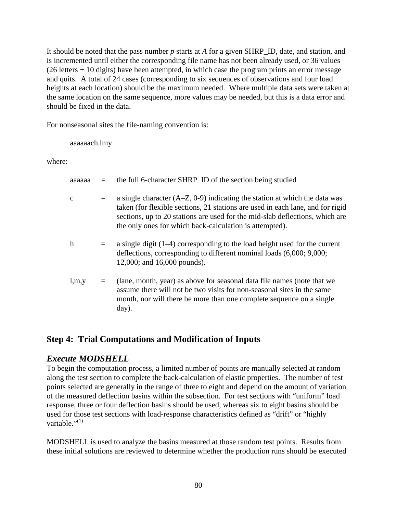It should be noted that the pass number *p* starts at *A* for a given SHRP\_ID, date, and station, and is incremented until either the corresponding file name has not been already used, or 36 values  $(26$  letters  $+ 10$  digits) have been attempted, in which case the program prints an error message and quits. A total of 24 cases (corresponding to six sequences of observations and four load heights at each location) should be the maximum needed. Where multiple data sets were taken at the same location on the same sequence, more values may be needed, but this is a data error and should be fixed in the data.

For nonseasonal sites the file-naming convention is:

aaaaaach.lmy

where:

| аааааа      |          | the full 6-character SHRP_ID of the section being studied                                                                                                                                                                                                                                                 |
|-------------|----------|-----------------------------------------------------------------------------------------------------------------------------------------------------------------------------------------------------------------------------------------------------------------------------------------------------------|
| $\mathbf c$ | $=$      | a single character $(A-Z, 0-9)$ indicating the station at which the data was<br>taken (for flexible sections, 21 stations are used in each lane, and for rigid<br>sections, up to 20 stations are used for the mid-slab deflections, which are<br>the only ones for which back-calculation is attempted). |
| h           | $\equiv$ | a single digit $(1-4)$ corresponding to the load height used for the current<br>deflections, corresponding to different nominal loads (6,000; 9,000;<br>12,000; and 16,000 pounds).                                                                                                                       |
| l,m,y       |          | (lane, month, year) as above for seasonal data file names (note that we<br>assume there will not be two visits for non-seasonal sites in the same<br>month, nor will there be more than one complete sequence on a single<br>day).                                                                        |

## **Step 4: Trial Computations and Modification of Inputs**

## *Execute MODSHELL*

To begin the computation process, a limited number of points are manually selected at random along the test section to complete the back-calculation of elastic properties. The number of test points selected are generally in the range of three to eight and depend on the amount of variation of the measured deflection basins within the subsection. For test sections with "uniform" load response, three or four deflection basins should be used, whereas six to eight basins should be used for those test sections with load-response characteristics defined as "drift" or "highly variable." $(1)$ 

MODSHELL is used to analyze the basins measured at those random test points. Results from these initial solutions are reviewed to determine whether the production runs should be executed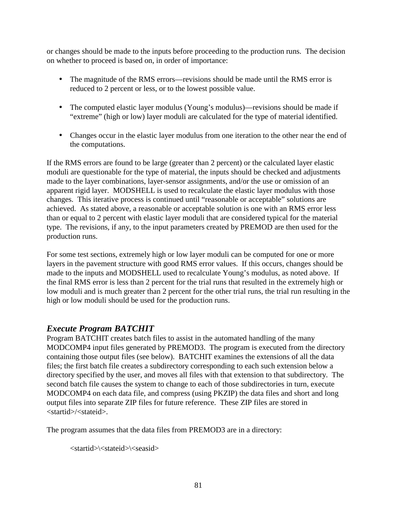or changes should be made to the inputs before proceeding to the production runs. The decision on whether to proceed is based on, in order of importance:

- The magnitude of the RMS errors—revisions should be made until the RMS error is reduced to 2 percent or less, or to the lowest possible value.
- The computed elastic layer modulus (Young's modulus)—revisions should be made if "extreme" (high or low) layer moduli are calculated for the type of material identified.
- Changes occur in the elastic layer modulus from one iteration to the other near the end of the computations.

If the RMS errors are found to be large (greater than 2 percent) or the calculated layer elastic moduli are questionable for the type of material, the inputs should be checked and adjustments made to the layer combinations, layer-sensor assignments, and/or the use or omission of an apparent rigid layer. MODSHELL is used to recalculate the elastic layer modulus with those changes. This iterative process is continued until "reasonable or acceptable" solutions are achieved. As stated above, a reasonable or acceptable solution is one with an RMS error less than or equal to 2 percent with elastic layer moduli that are considered typical for the material type. The revisions, if any, to the input parameters created by PREMOD are then used for the production runs.

For some test sections, extremely high or low layer moduli can be computed for one or more layers in the pavement structure with good RMS error values. If this occurs, changes should be made to the inputs and MODSHELL used to recalculate Young's modulus, as noted above. If the final RMS error is less than 2 percent for the trial runs that resulted in the extremely high or low moduli and is much greater than 2 percent for the other trial runs, the trial run resulting in the high or low moduli should be used for the production runs.

## *Execute Program BATCHIT*

Program BATCHIT creates batch files to assist in the automated handling of the many MODCOMP4 input files generated by PREMOD3. The program is executed from the directory containing those output files (see below). BATCHIT examines the extensions of all the data files; the first batch file creates a subdirectory corresponding to each such extension below a directory specified by the user, and moves all files with that extension to that subdirectory. The second batch file causes the system to change to each of those subdirectories in turn, execute MODCOMP4 on each data file, and compress (using PKZIP) the data files and short and long output files into separate ZIP files for future reference. These ZIP files are stored in <startid>/<stateid>.

The program assumes that the data files from PREMOD3 are in a directory:

<startid>\<stateid>\<seasid>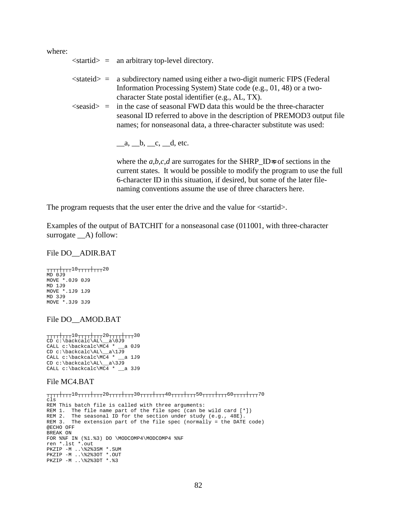where:

|  | $\le$ startid $>$ = an arbitrary top-level directory.                                                                                                                                                                                                                                        |
|--|----------------------------------------------------------------------------------------------------------------------------------------------------------------------------------------------------------------------------------------------------------------------------------------------|
|  | $\le$ stateid $>$ = a subdirectory named using either a two-digit numeric FIPS (Federal<br>Information Processing System) State code (e.g., 01, 48) or a two-                                                                                                                                |
|  | character State postal identifier (e.g., AL, TX).<br>$\le$ seasid $>$ = in the case of seasonal FWD data this would be the three-character<br>seasonal ID referred to above in the description of PREMOD3 output file<br>names; for nonseasonal data, a three-character substitute was used: |
|  | a, b, c, d, etc.                                                                                                                                                                                                                                                                             |

where the *a,b,c,d* are surrogates for the SHRP\_ID=s of sections in the current states. It would be possible to modify the program to use the full 6-character ID in this situation, if desired, but some of the later filenaming conventions assume the use of three characters here.

The program requests that the user enter the drive and the value for  $\langle$ startid $\rangle$ .

Examples of the output of BATCHIT for a nonseasonal case (011001, with three-character surrogate  $\_\A)$  follow:

#### File DO\_\_ADIR.BAT

┬┬┬┬┼┬┬┬10┬┬┬┬┼┬┬┬20 MD 0J9 MOVE \*.0J9 0J9 MD 1J9 MOVE \*.1J9 1J9 MD 3J9 MOVE \*.3J9 3J9

#### File DO\_\_AMOD.BAT

```
┬┬┬┬┼┬┬┬10┬┬┬┬┼┬┬┬20┬┬┬┬┼┬┬┬30
CD c:\backcalc\AL\__a\0J9
CALL c:\backcalc\MC4 * __a 0J9
CD c:\backcalc\AL\__a\1J9
CALL c:\backcalc\MC4 * __a 1J9
CD c:\backcalc\AL\__a\3J9
CALL c:\backcalc\MC4 * __a 3J9
```
#### File MC4.BAT

```
┬┬┬┼┬┬┬10┬┬┬┼┬┬┬20┬┬┬┼┬┬┬30┬┬┬┼┬┬┬40┬┬┬┼┬┬┬50┬┬┬┼┬┬┬60┬┬┬┼┬┬┬70
cls
REM This batch file is called with three arguments:
REM 1. The file name part of the file spec (can be wild card [*])
REM 2. The seasonal ID for the section under study (e.g., 48E).
REM 3. The extension part of the file spec (normally = the DATE code)
@ECHO OFF
BREAK ON
FOR %%F IN (%1.%3) DO \MODCOMP4\MODCOMP4 %%F
ren *.lst *.out
PKZIP -M ..\%2%3SM *.SUM
PKZIP -M ..\%2%3OT *.OUT
PKZIP -M ..\%2%3DT *.%3
```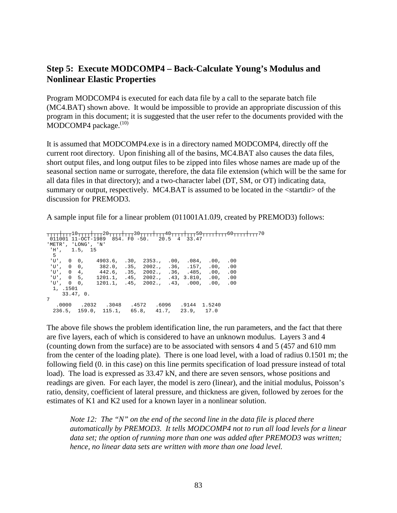## **Step 5: Execute MODCOMP4 – Back-Calculate Young's Modulus and Nonlinear Elastic Properties**

Program MODCOMP4 is executed for each data file by a call to the separate batch file (MC4.BAT) shown above. It would be impossible to provide an appropriate discussion of this program in this document; it is suggested that the user refer to the documents provided with the MODCOMP4 package.<sup>(10)</sup>

It is assumed that MODCOMP4.exe is in a directory named MODCOMP4, directly off the current root directory. Upon finishing all of the basins, MC4.BAT also causes the data files, short output files, and long output files to be zipped into files whose names are made up of the seasonal section name or surrogate, therefore, the data file extension (which will be the same for all data files in that directory); and a two-character label (DT, SM, or OT) indicating data, summary or output, respectively. MC4.BAT is assumed to be located in the <startdir> of the discussion for PREMOD3.

A sample input file for a linear problem (011001A1.0J9, created by PREMOD3) follows:

```
┬┬┬┼┬┬┬10┬┬┬┼┬┬┬20┬┬┬┼┬┬┬30┬┬┬┼┬┬┬40┬┬┬┼┬┬┬50┬┬┬┼┬┬┬60┬┬┬┼┬┬┬70
 011001 11-OCT-1989 854. F0 -50. 20.5 4 33.47
'METR', 'LONG', 'N'
 'H', 1.5, 15
 5
 'U', 0 0, 4903.6, .30, 2353., .00, .084, .00, .00
 'U', 0 0, 382.0, .35, 2002., .36, .157, .00, .00
 'U', 0 4, 442.6, .35, 2002., .36, .485, .00, .00
 'U', 0 5, 1201.1, .45, 2002., .43, 3.810, .00, .00
 'U', 0 0, 1201.1, .45, 2002., .43, .000, .00, .00
1, .1501
   33.47, 0.
7
  .0000 .2032 .3048 .4572 .6096 .9144 1.5240
 236.5, 159.0, 115.1, 65.8, 41.7, 23.9, 17.0
```
The above file shows the problem identification line, the run parameters, and the fact that there are five layers, each of which is considered to have an unknown modulus. Layers 3 and 4 (counting down from the surface) are to be associated with sensors 4 and 5 (457 and 610 mm from the center of the loading plate). There is one load level, with a load of radius 0.1501 m; the following field (0. in this case) on this line permits specification of load pressure instead of total load). The load is expressed as 33.47 kN, and there are seven sensors, whose positions and readings are given. For each layer, the model is zero (linear), and the initial modulus, Poisson's ratio, density, coefficient of lateral pressure, and thickness are given, followed by zeroes for the estimates of K1 and K2 used for a known layer in a nonlinear solution.

*Note 12: The "N" on the end of the second line in the data file is placed there automatically by PREMOD3. It tells MODCOMP4 not to run all load levels for a linear data set; the option of running more than one was added after PREMOD3 was written; hence, no linear data sets are written with more than one load level.*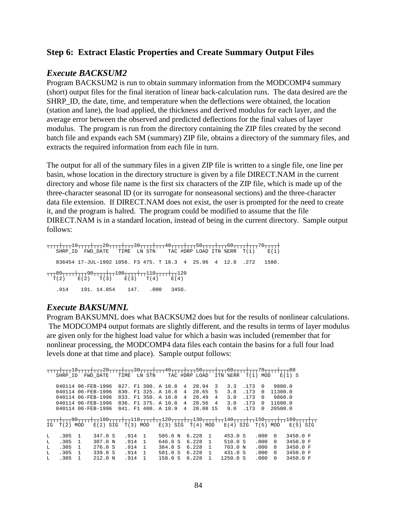### **Step 6: Extract Elastic Properties and Create Summary Output Files**

### *Execute BACKSUM2*

Program BACKSUM2 is run to obtain summary information from the MODCOMP4 summary (short) output files for the final iteration of linear back-calculation runs. The data desired are the SHRP\_ID, the date, time, and temperature when the deflections were obtained, the location (station and lane), the load applied, the thickness and derived modulus for each layer, and the average error between the observed and predicted deflections for the final values of layer modulus. The program is run from the directory containing the ZIP files created by the second batch file and expands each SM (summary) ZIP file, obtains a directory of the summary files, and extracts the required information from each file in turn.

The output for all of the summary files in a given ZIP file is written to a single file, one line per basin, whose location in the directory structure is given by a file DIRECT.NAM in the current directory and whose file name is the first six characters of the ZIP file, which is made up of the three-character seasonal ID (or its surrogate for nonseasonal sections) and the three-character data file extension. If DIRECT.NAM does not exist, the user is prompted for the need to create it, and the program is halted. The program could be modified to assume that the file DIRECT.NAM is in a standard location, instead of being in the current directory. Sample output follows:

┬┬┬┼┬┬┬10┬┬┬┬┼┬┬┬20┬┬┬┼┬┬┬30┬┬┬┼┬┬┬40┬┬┬┬┼┬┬┬50┬┬┬┼┬┬┬60┬┬┬┼┬┬┬70┬┬┬┬┼ SHRP\_ID FWD\_DATE TIME LN STN TAC #DRP LOAD ITN %ERR T(1) E(1) 836454 17-JUL-1992 1056. F3 475. T 18.3 4 25.96 4 12.8 .272 1580. ┬┬┬80┬┬┬┬┼┬┬┬90┬┬┬┬┼┬┬100┬┬┬┬┼┬┬110┬┬┬┬┼┬┬120  $T(2)$   $E(2)$   $T(3)$   $E(3)$   $T(4)$   $E(4)$ .914 191. 14.054 147. .000 3450.

### *Execute BAKSUMNL*

Program BAKSUMNL does what BACKSUM2 does but for the results of nonlinear calculations. The MODCOMP4 output formats are slightly different, and the results in terms of layer modulus are given only for the highest load value for which a basin was included (remember that for nonlinear processing, the MODCOMP4 data files each contain the basins for a full four load levels done at that time and place). Sample output follows:

┬┬┬┬┼┬┬┬10┬┬┬┼┬┬┬20┬┬┬┼┬┬┬30┬┬┬┬┼┬┬┬ 40┬┬┬┼┬┬┬50┬┬┬┼┬┬┬50┌┬┬┬┼┬┬┬70┬┬┬┼┬┬┬80 SHRP\_ID FWD\_DATE TIME LN STN TAC #DRP LOAD ITN %ERR T(1) MOD E(1) S 040114 06-FEB-1996 827. F1 300. A 10.8 4 28.94 3 3.3 .173 0 9880.0<br>040114 06-FEB-1996 830. F1 325. A 10.8 4 28.65 5 3.8 .173 0 11300.0 040114 06-FEB-1996 830. F1 325. A 10.8 4 040114 06-FEB-1996 833. F1 350. A 10.8 4 28.49 4 3.0 .173 0 9860.0 040114 06-FEB-1996 836. F1 375. A 10.8 4 28.56 4 3.0 .173 0 11600.0 040114 06-FEB-1996 841. F1 400. A 10.9 4 28.08 15 9.0 .173 0 20500.0 ┬┬┬┼┬┬┬90┬┬┬┼┬┬100┬┬┬┼┬┬110┬┬┬┼┬┬120┬┬┬┼┬┬130┬┬┬┼┬┬140┬┬┬┼┬┬150┬┬┬┼┬┬160┬┬┬┼┬ IG T(2) MOD  $E(2)$  SIG T(3) MOD  $E(3)$  SIG T(4) MOD  $E(4)$  SIG T(5) MOD  $E(5)$  SIG L .305 1 347.0 S .914 1 505.0 N 6.228 1 453.0 S .000 0 3450.0 F L .305 1 307.0 N .914 1 646.0 S 6.228 1 510.0 S .000 0 3450.0 F L .305 1 276.0 S .914 1 384.0 S 6.228 1 703.0 N .000 0 3450.0 F L .305 1 339.0 S .914 1 581.0 S 6.228 1 431.0 S .000 0 3450.0 F L .305 1 212.0 N .914 1 158.0 S 6.228 1 1250.0 S .000 0 3450.0 F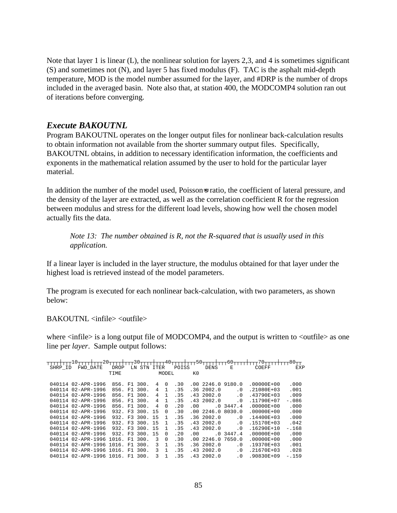Note that layer 1 is linear (L), the nonlinear solution for layers 2,3, and 4 is sometimes significant (S) and sometimes not (N), and layer 5 has fixed modulus (F). TAC is the asphalt mid-depth temperature, MOD is the model number assumed for the layer, and #DRP is the number of drops included in the averaged basin. Note also that, at station 400, the MODCOMP4 solution ran out of iterations before converging.

## *Execute BAKOUTNL*

Program BAKOUTNL operates on the longer output files for nonlinear back-calculation results to obtain information not available from the shorter summary output files. Specifically, BAKOUTNL obtains, in addition to necessary identification information, the coefficients and exponents in the mathematical relation assumed by the user to hold for the particular layer material.

In addition the number of the model used, Poisson=s ratio, the coefficient of lateral pressure, and the density of the layer are extracted, as well as the correlation coefficient R for the regression between modulus and stress for the different load levels, showing how well the chosen model actually fits the data.

*Note 13: The number obtained is R, not the R-squared that is usually used in this application.* 

If a linear layer is included in the layer structure, the modulus obtained for that layer under the highest load is retrieved instead of the model parameters.

The program is executed for each nonlinear back-calculation, with two parameters, as shown below:

 $BAKOUTNL \leq infile \geq \leq outfile \geq$ 

where  $\langle$ infile $>$  is a long output file of MODCOMP4, and the output is written to  $\langle$ outfile $>$  as one line per *layer*. Sample output follows:

| SHRP ID | FWD DATE                         | DROP    | LN             | STN          | ITER |          | POISS |      | <b>DENS</b> | Ε         | COEFF          | EXP     |
|---------|----------------------------------|---------|----------------|--------------|------|----------|-------|------|-------------|-----------|----------------|---------|
|         |                                  | TIME    |                |              |      | MODEL    |       | K0   |             |           |                |         |
|         |                                  |         |                |              |      |          |       |      |             |           |                |         |
|         | 040114 02-APR-1996               | 856.    |                | F1 300.      | 4    | $\Omega$ | .30   |      | .002246.0   | 9180.0    | $.00000E + 00$ | .000    |
|         | 040114 02-APR-1996               | 856.    | F1             | 300.         | 4    | 1        | .35   |      | .36 2002.0  | . 0       | .21080E+03     | .001    |
|         | 040114 02-APR-1996               | 856.    | F1             | 300.         | 4    |          | .35   |      | .432002.0   | . 0       | $.43790E + 03$ | .009    |
|         | 040114 02-APR-1996               | 856.    |                | F1, 300.     | 4    |          | .35   |      | .432002.0   | . 0       | $.11790E + 07$ | $-.086$ |
|         | 040114 02-APR-1996               |         |                | 856. F1 300. | 4    | $\Omega$ | .20   | .00  |             | .03447.4  | $.00000E + 00$ | .000    |
|         | 040114 02-APR-1996               |         |                | 932. F3.300. | 15   | $\Omega$ | .30   |      | .002246.0   | 8030.0    | $.00000E + 00$ | .000    |
|         | 040114 02-APR-1996               | 932.    |                | F3 300.      | 15   | 1        | . 35  |      | .362002.0   | . 0       | $.14400E + 03$ | .000    |
|         | 040114 02-APR-1996               |         |                | 932. F3 300. | 1.5  | 1        | .35   |      | .432002.0   | . 0       | $.15170E + 03$ | .042    |
|         | 040114 02-APR-1996               | 932. F3 |                | 300.         | 15   | 1        | .35   |      | .432002.0   | . 0       | $.16290E + 10$ | $-.168$ |
|         | 040114 02-APR-1996               | 932.    | F <sub>3</sub> | 300.         | 15   | $\Omega$ | .20   | . 00 | .0          | 3447.4    | $.00000E + 00$ | .000    |
|         | 040114 02-APR-1996               | 1016.   | F1             | 300.         | 3    | $\Omega$ | .30   | . 00 | 2246.0      | 7650.0    | $.00000E + 00$ | .000    |
|         | 040114 02-APR-1996               | 1016    |                | F1 300.      | 3    |          | .35   |      | .362002.0   | . 0       | $.19370E + 03$ | .001    |
| 040114  | 02-APR-1996                      | 1016.   | F1             | 300.         | 3    |          | .35   |      | .432002.0   | . 0       | $.21670E + 03$ | .028    |
|         | 040114 02-APR-1996 1016. F1 300. |         |                |              | 3    |          | .35   |      | .432002.0   | $\cdot$ 0 | $.90830E + 09$ | $-159$  |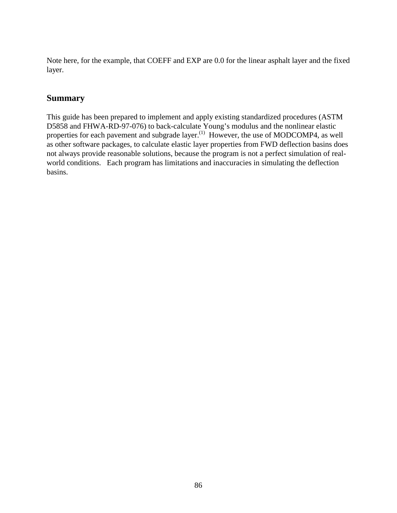Note here, for the example, that COEFF and EXP are 0.0 for the linear asphalt layer and the fixed layer.

## **Summary**

This guide has been prepared to implement and apply existing standardized procedures (ASTM D5858 and FHWA-RD-97-076) to back-calculate Young's modulus and the nonlinear elastic properties for each pavement and subgrade layer.<sup>(1)</sup> However, the use of MODCOMP4, as well as other software packages, to calculate elastic layer properties from FWD deflection basins does not always provide reasonable solutions, because the program is not a perfect simulation of realworld conditions. Each program has limitations and inaccuracies in simulating the deflection basins.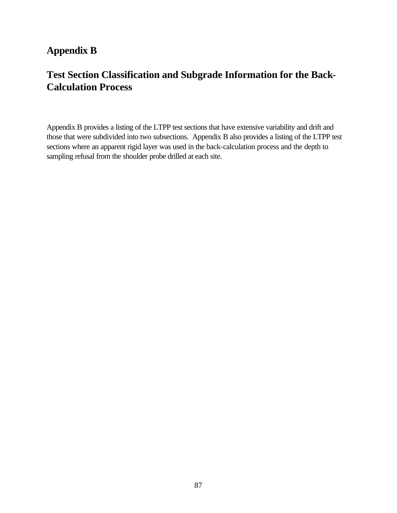## **Appendix B**

# **Test Section Classification and Subgrade Information for the Back-Calculation Process**

Appendix B provides a listing of the LTPP test sections that have extensive variability and drift and those that were subdivided into two subsections. Appendix B also provides a listing of the LTPP test sections where an apparent rigid layer was used in the back-calculation process and the depth to sampling refusal from the shoulder probe drilled at each site.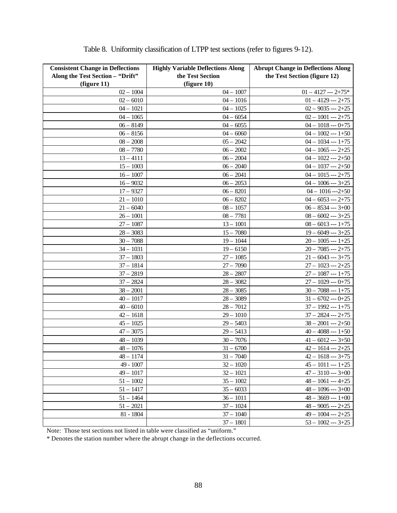| <b>Consistent Change in Deflections</b><br>Along the Test Section - "Drift"<br>(figure 11) | <b>Highly Variable Deflections Along</b><br>the Test Section<br>(figure 10) | <b>Abrupt Change in Deflections Along</b><br>the Test Section (figure 12) |
|--------------------------------------------------------------------------------------------|-----------------------------------------------------------------------------|---------------------------------------------------------------------------|
| $02 - 1004$                                                                                | $04 - 1007$                                                                 | $01 - 4127 - 2 + 75*$                                                     |
| $02 - 6010$                                                                                | $04 - 1016$                                                                 | $01 - 4129 - 2 + 75$                                                      |
| $04 - 1021$                                                                                | $04 - 1025$                                                                 | $02 - 9035 - 2 + 25$                                                      |
| $04 - 1065$                                                                                | $04 - 6054$                                                                 | $02 - 1001 - 2 + 75$                                                      |
| $06 - 8149$                                                                                | $04 - 6055$                                                                 | $04 - 1018 - 0 + 75$                                                      |
| $06 - 8156$                                                                                | $04 - 6060$                                                                 | $04 - 1002 - 1 + 50$                                                      |
| $08 - 2008$                                                                                | $05 - 2042$                                                                 | $04 - 1034 - 1 + 75$                                                      |
| $08 - 7780$                                                                                | $06 - 2002$                                                                 | $04 - 1065 - 2 + 25$                                                      |
| $13 - 4111$                                                                                | $06 - 2004$                                                                 | $04 - 1022 - 2 + 50$                                                      |
| $15 - 1003$                                                                                | $06 - 2040$                                                                 | $04 - 1037 - 2 + 50$                                                      |
| $16 - 1007$                                                                                | $06 - 2041$                                                                 | $04 - 1015 - 2 + 75$                                                      |
| $16 - 9032$                                                                                | $06 - 2053$                                                                 | $04 - 1006 - 3 + 25$                                                      |
| $17 - 9327$                                                                                | $06 - 8201$                                                                 | $04 - 1016 - 2 + 50$                                                      |
| $21 - 1010$                                                                                | $06 - 8202$                                                                 | $04 - 6053 - 2 + 75$                                                      |
| $21 - 6040$                                                                                | $08 - 1057$                                                                 | $06 - 8534 - 3 + 00$                                                      |
| $26 - 1001$                                                                                | $08 - 7781$                                                                 | $08 - 6002 - 3 + 25$                                                      |
| $27 - 1087$                                                                                | $13 - 1001$                                                                 | $08 - 6013 - 1 + 75$                                                      |
| $28 - 3083$                                                                                | $15 - 7080$                                                                 | $19 - 6049 - 3 + 25$                                                      |
| $30 - 7088$                                                                                | $19 - 1044$                                                                 | $20 - 1005 - 1 + 25$                                                      |
| $34 - 1031$                                                                                | $19 - 6150$                                                                 | $20 - 7085 - 2 + 75$                                                      |
| $37 - 1803$                                                                                | $27 - 1085$                                                                 | $21 - 6043 - 3 + 75$                                                      |
| $37 - 1814$                                                                                | $27 - 7090$                                                                 | $27 - 1023 - 2 + 25$                                                      |
| $37 - 2819$                                                                                | $28 - 2807$                                                                 | $27 - 1087 - 1 + 75$                                                      |
| $37 - 2824$                                                                                | $28 - 3082$                                                                 | $27 - 1029 - 0 + 75$                                                      |
| $38 - 2001$                                                                                | $28 - 3085$                                                                 | $30 - 7088 - 1 + 75$                                                      |
| $40 - 1017$                                                                                | $28 - 3089$                                                                 | $31 - 6702 - 0 + 25$                                                      |
| $40 - 6010$                                                                                | $28 - 7012$                                                                 | $37 - 1992 - 1 + 75$                                                      |
| $42 - 1618$                                                                                | $29 - 1010$                                                                 | $37 - 2824 - 2 + 75$                                                      |
| $45 - 1025$                                                                                | $29 - 5403$                                                                 | $38 - 2001 - 2 + 50$                                                      |
| $47 - 3075$                                                                                | $29 - 5413$                                                                 | $40 - 4088 - 1 + 50$                                                      |
| $48 - 1039$                                                                                | $30 - 7076$                                                                 | $41 - 6012 - 3 + 50$                                                      |
| $48 - 1076$                                                                                | $31 - 6700$                                                                 | $42 - 1614 - 2 + 25$                                                      |
| $48 - 1174$                                                                                | $31 - 7040$                                                                 | $42 - 1618 - 3 + 75$                                                      |
| 49 - 1007                                                                                  | $32 - 1020$                                                                 | $45 - 1011 - 1 + 25$                                                      |
| $49 - 1017$                                                                                | $32 - 1021$                                                                 | $47 - 3110 - 3 +00$                                                       |
| $51 - 1002$                                                                                | $35 - 1002$                                                                 | $48 - 1061 - 4 + 25$                                                      |
| $51 - 1417$                                                                                | $35 - 6033$                                                                 | $48 - 1096 - 3 + 00$                                                      |
| $51 - 1464$                                                                                | $36 - 1011$                                                                 | $48 - 3669 - 1 +00$                                                       |
| $51 - 2021$                                                                                | $37 - 1024$                                                                 | $48 - 9005 - 2 + 25$                                                      |
| 81 - 1804                                                                                  | $37 - 1040$                                                                 | $49 - 1004 - 2 + 25$                                                      |
|                                                                                            | $37 - 1801$                                                                 | $53 - 1002 - 3 + 25$                                                      |

|  |  |  | Table 8. Uniformity classification of LTPP test sections (refer to figures 9-12). |  |
|--|--|--|-----------------------------------------------------------------------------------|--|
|  |  |  |                                                                                   |  |

Note: Those test sections not listed in table were classified as "uniform."

\* Denotes the station number where the abrupt change in the deflections occurred.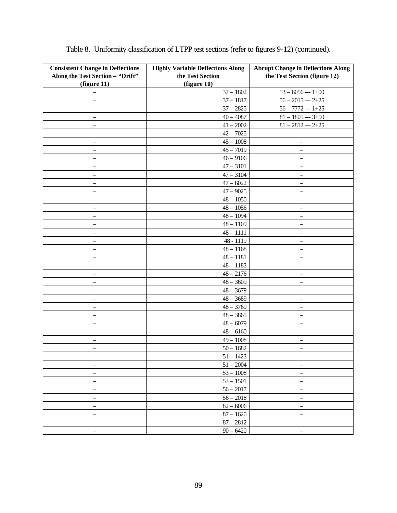| <b>Consistent Change in Deflections</b> | <b>Highly Variable Deflections Along</b> | <b>Abrupt Change in Deflections Along</b> |
|-----------------------------------------|------------------------------------------|-------------------------------------------|
| Along the Test Section - "Drift"        | the Test Section                         | the Test Section (figure 12)              |
| (figure 11)                             | (figure 10)                              |                                           |
|                                         | $37 - 1802$                              | $53 - 6056 - 1 +00$                       |
| $\overline{\phantom{0}}$                | $37 - 1817$                              | $56 - 2015 - 2 + 25$                      |
| -                                       | $37 - 2825$                              | $56 - 7772 - 1 + 25$                      |
| $\overline{\phantom{0}}$                | $40 - 4087$                              | $81 - 1805 - 3 + 50$                      |
| $\overline{\phantom{0}}$                | $41 - 2002$                              | $81 - 2812 - 2 + 25$                      |
| —                                       | $42 - 7025$                              | $\qquad \qquad -$                         |
| $\qquad \qquad -$                       | $45 - 1008$                              | $\qquad \qquad -$                         |
| $\qquad \qquad -$                       | $45 - 7019$                              | $\qquad \qquad -$                         |
| $\overline{\phantom{0}}$                | $46 - 9106$                              |                                           |
|                                         | $47 - 3101$                              |                                           |
| -                                       | $47 - 3104$                              |                                           |
|                                         | $47 - 6022$                              |                                           |
|                                         | $47 - 9025$                              |                                           |
| $\overline{\phantom{0}}$                | $48 - 1050$                              | $\overline{\phantom{0}}$                  |
| $\qquad \qquad -$                       | $48 - 1056$                              | $\qquad \qquad -$                         |
| $\overline{\phantom{0}}$                | $48 - 1094$                              | $\qquad \qquad -$                         |
| $\overline{\phantom{0}}$                | $48 - 1109$                              | $\overbrace{\phantom{1232211}}$           |
| —                                       | $48 - 1111$                              |                                           |
| -                                       | 48 - 1119                                |                                           |
|                                         | $48 - 1168$                              | $\overline{\phantom{0}}$                  |
|                                         | $48 - 1181$                              | $\qquad \qquad -$                         |
| —                                       | $48 - 1183$                              | $\overline{\phantom{0}}$                  |
| $\qquad \qquad -$                       | $48 - 2176$                              | $\equiv$                                  |
| $\equiv$                                | $48 - 3609$                              | $\overline{\phantom{0}}$                  |
| —                                       | $48 - 3679$                              | $\qquad \qquad -$                         |
| $\overline{\phantom{0}}$                | $48 - 3689$                              | -                                         |
|                                         | $48 - 3769$                              | $\overline{\phantom{0}}$                  |
| $\overline{\phantom{0}}$                | $48 - 3865$                              | $\overline{\phantom{0}}$                  |
|                                         | $48 - 6079$                              |                                           |
| $\overline{\phantom{0}}$                | $48 - 6160$                              | $\overline{\phantom{0}}$                  |
| $\qquad \qquad -$                       | $49 - 1008$                              | $\qquad \qquad -$                         |
| $\overline{\phantom{m}}$                | $50 - 1682$                              | $\qquad \qquad -$                         |
|                                         | $51 - 1423$                              |                                           |
|                                         | $51 - 2004$                              |                                           |
|                                         | $53 - 1008$                              |                                           |
|                                         | $53 - 1501$                              |                                           |
|                                         | $56 - 2017$                              |                                           |
|                                         | $56 - 2018$                              |                                           |
|                                         | $82 - 6006$                              |                                           |
|                                         | $87 - 1620$                              |                                           |
| $\overline{\phantom{0}}$                |                                          | —                                         |
| $\overline{\phantom{0}}$                | $87 - 2812$                              | $\overline{\phantom{0}}$                  |
| $\overline{\phantom{0}}$                | $90 - 6420$                              | $\overline{\phantom{0}}$                  |

|  | Table 8. Uniformity classification of LTPP test sections (refer to figures 9-12) (continued). |  |  |  |
|--|-----------------------------------------------------------------------------------------------|--|--|--|
|  |                                                                                               |  |  |  |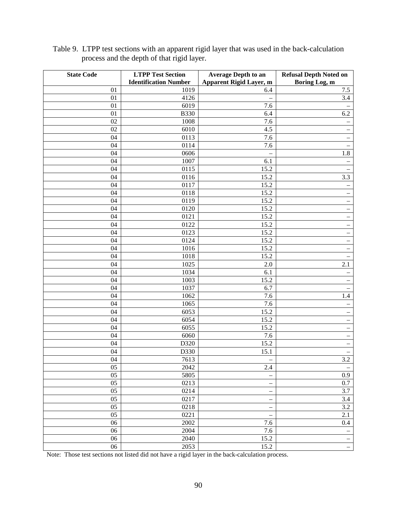| <b>State Code</b> | <b>LTPP Test Section</b>     | <b>Average Depth to an</b> | <b>Refusal Depth Noted on</b>     |
|-------------------|------------------------------|----------------------------|-----------------------------------|
|                   | <b>Identification Number</b> | Apparent Rigid Layer, m    | Boring Log, m                     |
| 01                | 1019                         | 6.4                        | 7.5                               |
| 01                | 4126                         |                            | 3.4                               |
| 01                | 6019                         | 7.6                        | $\overline{\phantom{0}}$          |
| 01                | <b>B330</b>                  | 6.4                        | 6.2                               |
| 02                | 1008                         | 7.6                        | $\qquad \qquad -$                 |
| 02                | 6010                         | 4.5                        | $\qquad \qquad -$                 |
| 04                | 0113                         | 7.6                        | $\qquad \qquad -$                 |
| 04                | 0114                         | 7.6                        | $\qquad \qquad -$                 |
| 04                | 0606                         |                            | 1.8                               |
| 04                | 1007                         | 6.1                        | $\overline{\phantom{0}}$          |
| 04                | 0115                         | 15.2                       |                                   |
| 04                | 0116                         | 15.2                       | 3.3                               |
| 04                | 0117                         | 15.2                       | -                                 |
| 04                | 0118                         | 15.2                       | $\hspace{1.0cm} - \hspace{1.0cm}$ |
| 04                | 0119                         | 15.2                       | $\overline{\phantom{0}}$          |
| 04                | 0120                         | 15.2                       | $\overline{\phantom{0}}$          |
| 04                | 0121                         | 15.2                       | $\overline{\phantom{0}}$          |
| 04                | 0122                         | 15.2                       | $\overline{\phantom{0}}$          |
| 04                | 0123                         | 15.2                       | $\qquad \qquad -$                 |
| 04                | 0124                         | 15.2                       | $\overline{\phantom{0}}$          |
| 04                | 1016                         | 15.2                       | $\qquad \qquad -$                 |
| 04                | 1018                         | 15.2                       | $\qquad \qquad -$                 |
| 04                | 1025                         | $2.0\,$                    | 2.1                               |
| 04                | 1034                         | 6.1                        | $\qquad \qquad -$                 |
| 04                | 1003                         | 15.2                       | $\overline{\phantom{0}}$          |
| 04                | 1037                         | 6.7                        | $\qquad \qquad -$                 |
| 04                | 1062                         | 7.6                        | 1.4                               |
| 04                | 1065                         | 7.6                        | $\overline{\phantom{0}}$          |
| 04                | 6053                         | 15.2                       | $\qquad \qquad -$                 |
| 04                | 6054                         | 15.2                       | $\qquad \qquad -$                 |
| 04                | 6055                         | 15.2                       | -                                 |
| 04                | 6060                         | 7.6                        | $\overline{\phantom{0}}$          |
| 04                | D320                         | 15.2                       | $\qquad \qquad -$                 |
| 04                | D330                         | 15.1                       | $\qquad \qquad -$                 |
| 04                | 7613                         |                            | 3.2                               |
| 05                | 2042                         | 2.4                        | $\overline{\phantom{a}}$          |
| 05                | 5805                         |                            | 0.9                               |
| 05                | 0213                         |                            | $\overline{0.7}$                  |
| 05                | 0214                         | $\qquad \qquad -$          | 3.7                               |
| 05                | 0217                         | $\overline{\phantom{m}}$   | 3.4                               |
| $\overline{05}$   | 0218                         | $\overline{\phantom{m}}$   | $\overline{3.2}$                  |
| 05                | 0221                         |                            | 2.1                               |
| 06                | 2002                         | 7.6                        | $0.4\,$                           |
| 06                | 2004                         | 7.6                        | -                                 |
| 06                | 2040                         | 15.2                       | $\frac{1}{\sqrt{2}}$              |
| 06                | 2053                         | 15.2                       | $\equiv$                          |

Table 9. LTPP test sections with an apparent rigid layer that was used in the back-calculation process and the depth of that rigid layer.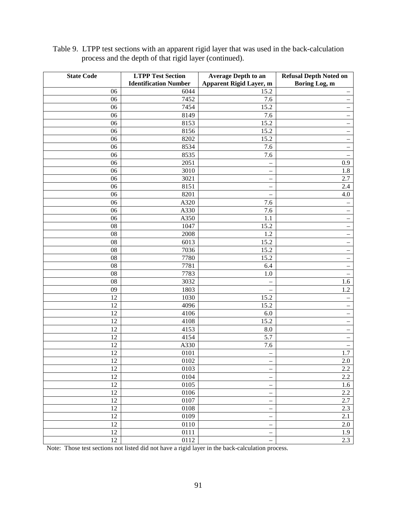| <b>State Code</b>     | <b>LTPP Test Section</b>     | <b>Average Depth to an</b>     | <b>Refusal Depth Noted on</b> |
|-----------------------|------------------------------|--------------------------------|-------------------------------|
|                       | <b>Identification Number</b> | <b>Apparent Rigid Layer, m</b> | Boring Log, m                 |
| 06                    | 6044                         | 15.2                           | $\overline{\phantom{0}}$      |
| 06                    | 7452                         | 7.6                            | $\qquad \qquad -$             |
| 06                    | 7454                         | 15.2                           | $\qquad \qquad -$             |
| 06                    | 8149                         | 7.6                            | $\qquad \qquad -$             |
| 06                    | 8153                         | 15.2                           | $\overline{\phantom{0}}$      |
| 06                    | 8156                         | 15.2                           | $\qquad \qquad -$             |
| 06                    | 8202                         | 15.2                           | $\qquad \qquad -$             |
| 06                    | 8534                         | 7.6                            | -                             |
| 06                    | 8535                         | 7.6                            | -                             |
| 06                    | 2051                         |                                | $0.9\,$                       |
| 06                    | 3010                         | $\overline{\phantom{0}}$       | $1.8\,$                       |
| 06                    | 3021                         |                                | 2.7                           |
| 06                    | 8151                         |                                | 2.4                           |
| 06                    | 8201                         |                                | 4.0                           |
| 06                    | A320                         | 7.6                            | $\qquad \qquad -$             |
| 06                    | A330                         | 7.6                            | $\qquad \qquad -$             |
| 06                    | A350                         | 1.1                            | $\qquad \qquad -$             |
| 08                    | 1047                         | 15.2                           | $\qquad \qquad -$             |
| 08                    | 2008                         | 1.2                            | -                             |
| 08                    | 6013                         | 15.2                           | -                             |
| 08                    | 7036                         | 15.2                           | $\qquad \qquad -$             |
| 08                    | 7780                         | 15.2                           | $\overline{\phantom{0}}$      |
| 08                    | 7781                         | 6.4                            | $\qquad \qquad -$             |
| 08                    | 7783                         | 1.0                            | $\overline{\phantom{0}}$      |
| 08                    | 3032                         |                                | 1.6                           |
| 09                    | 1803                         |                                | $\overline{1.2}$              |
| 12                    | 1030                         | 15.2                           | $\qquad \qquad -$             |
| 12                    | 4096                         | 15.2                           | $\qquad \qquad -$             |
| 12                    | 4106                         | $6.0\,$                        | $\hspace{1.0cm} -$            |
| 12                    | 4108                         | 15.2                           | $\overline{\phantom{0}}$      |
| 12                    | 4153                         | 8.0                            | $\qquad \qquad -$             |
| 12                    | 4154                         | 5.7                            | $\qquad \qquad -$             |
| 12                    | A330                         | 7.6                            | $\overline{\phantom{0}}$      |
| 12                    | 0101                         | $\overline{\phantom{0}}$       | 1.7                           |
| $12\,$                | $0102\,$                     |                                | $2.0\,$                       |
| 12                    | 0103<br>0104                 | $\overline{\phantom{0}}$       | 2.2                           |
| 12                    |                              |                                | $\overline{2.2}$              |
| 12<br>$\overline{12}$ | 0105                         |                                | 1.6<br>2.2                    |
|                       | $01\overline{06}$            |                                |                               |
| 12                    | 0107                         | $\qquad \qquad -$              | 2.7                           |
| 12<br>12              | 0108                         | $\overline{\phantom{m}}$       | 2.3<br>$\overline{2.1}$       |
| 12                    | 0109                         | $\qquad \qquad -$              |                               |
| 12                    | 0110                         | $\overline{\phantom{0}}$       | $2.0\,$                       |
| 12                    | 0111<br>$\overline{0112}$    |                                | 1.9<br>2.3                    |
|                       |                              |                                |                               |

Table 9. LTPP test sections with an apparent rigid layer that was used in the back-calculation process and the depth of that rigid layer (continued).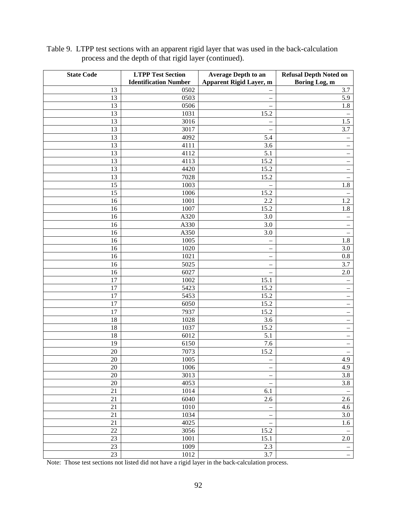| <b>State Code</b> | <b>LTPP Test Section</b>     | <b>Average Depth to an</b>     | <b>Refusal Depth Noted on</b> |
|-------------------|------------------------------|--------------------------------|-------------------------------|
|                   | <b>Identification Number</b> | <b>Apparent Rigid Layer, m</b> | Boring Log, m                 |
| 13                | 0502                         |                                | 3.7                           |
| 13                | 0503                         | —                              | 5.9                           |
| 13                | 0506                         | -                              | $1.8\,$                       |
| 13                | 1031                         | 15.2                           |                               |
| 13                | 3016                         | -                              | 1.5                           |
| 13                | 3017                         |                                | 3.7                           |
| 13                | 4092                         | 5.4                            | $\qquad \qquad -$             |
| 13                | 4111                         | 3.6                            | $\qquad \qquad -$             |
| 13                | 4112                         | 5.1                            | $\qquad \qquad -$             |
| 13                | 4113                         | 15.2                           |                               |
| 13                | 4420                         | 15.2                           |                               |
| 13                | 7028                         | 15.2                           |                               |
| 15                | 1003                         |                                | $\overline{1.8}$              |
| 15                | 1006                         | 15.2                           | $\qquad \qquad -$             |
| 16                | 1001                         | 2.2                            | 1.2                           |
| 16                | 1007                         | 15.2                           | $\overline{1.8}$              |
| 16                | A320                         | 3.0                            | $\overline{\phantom{0}}$      |
| 16                | A330                         | 3.0                            |                               |
| 16                | A350                         | 3.0                            |                               |
| 16                | 1005                         |                                | $1.\overline{8}$              |
| 16                | 1020                         |                                | $3.0\,$                       |
| 16                | 1021                         |                                | $0.8\,$                       |
| 16                | 5025                         |                                | 3.7                           |
| 16                | 6027                         |                                | $2.0\,$                       |
| 17                | 1002                         | 15.1                           | $\qquad \qquad -$             |
| 17                | 5423                         | 15.2                           | $\qquad \qquad -$             |
| 17                | 5453                         | 15.2                           | $\qquad \qquad -$             |
| 17                | 6050                         | 15.2                           | $\qquad \qquad -$             |
| 17                | 7937                         | 15.2                           | $\qquad \qquad -$             |
| 18                | 1028                         | 3.6                            | $\qquad \qquad -$             |
| 18<br>18          | 1037                         | 15.2<br>5.1                    | -                             |
| 19                | 6012<br>6150                 | 7.6                            | -                             |
| $20\,$            | 7073                         | 15.2                           | -                             |
| $20\,$            | 1005                         |                                | $\qquad \qquad -$<br>4.9      |
| $20\,$            | 1006                         |                                | 4.9                           |
| $20\,$            | 3013                         |                                | 3.8                           |
| 20                | 4053                         |                                | $3.8$                         |
| 21                | 1014                         | 6.1                            | $\overline{\phantom{a}}$      |
| $21\,$            | 6040                         | $2.\overline{6}$               | $\overline{2.6}$              |
| $\overline{21}$   | $1010\,$                     |                                | 4.6                           |
| 21                | 1034                         | $\overline{\phantom{0}}$       | 3.0                           |
| $21\,$            | 4025                         |                                | 1.6                           |
| $\overline{22}$   | 3056                         | 15.2                           | $\overline{\phantom{a}}$      |
| 23                | $1001\,$                     | 15.1                           | $2.0\,$                       |
| $23\,$            | 1009                         | $2.3\,$                        | $\overline{\phantom{0}}$      |
| $\overline{23}$   | 1012                         | 3.7                            | $\equiv$                      |

Table 9. LTPP test sections with an apparent rigid layer that was used in the back-calculation process and the depth of that rigid layer (continued).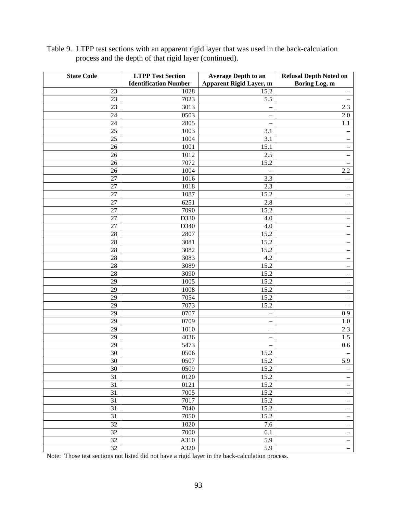| <b>State Code</b> | <b>LTPP Test Section</b>     | <b>Average Depth to an</b>     | <b>Refusal Depth Noted on</b>                 |
|-------------------|------------------------------|--------------------------------|-----------------------------------------------|
|                   | <b>Identification Number</b> | <b>Apparent Rigid Layer, m</b> | Boring Log, m                                 |
| 23                | 1028                         | 15.2                           | $\qquad \qquad -$                             |
| 23                | 7023                         | 5.5                            | $\overline{\phantom{m}}$                      |
| 23                | 3013                         |                                | 2.3                                           |
| 24                | 0503                         | $\overline{\phantom{0}}$       | 2.0                                           |
| 24                | 2805                         |                                | 1.1                                           |
| 25                | 1003                         | 3.1                            | $\qquad \qquad -$                             |
| 25                | 1004                         | 3.1                            | $\qquad \qquad -$                             |
| 26                | 1001                         | 15.1                           | $\overline{\phantom{0}}$                      |
| 26                | 1012                         | 2.5                            | $\qquad \qquad -$                             |
| 26                | 7072                         | 15.2                           | —                                             |
| 26                | 1004                         |                                | 2.2                                           |
| 27                | 1016                         | 3.3                            | $\overline{\phantom{0}}$                      |
| 27                | 1018                         | 2.3                            | $\qquad \qquad -$                             |
| 27                | 1087                         | 15.2                           | $\qquad \qquad -$                             |
| 27                | 6251                         | 2.8                            | $\hspace{1.0cm} - \hspace{1.0cm}$             |
| 27                | 7090                         | 15.2                           | $\overline{\phantom{m}}$                      |
| 27                | D330                         | $4.0\,$                        | $\qquad \qquad -$                             |
| 27                | D340                         | 4.0                            | $\qquad \qquad -$                             |
| 28                | 2807                         | 15.2                           | $\hspace{1.0cm} - \hspace{1.0cm}$             |
| 28                | 3081                         | 15.2                           | $\qquad \qquad -$                             |
| $28\,$            | 3082                         | 15.2                           | $\overline{\phantom{0}}$                      |
| $28\,$            | 3083                         | 4.2                            | $\overline{\phantom{m}}$                      |
| $28\,$            | 3089                         | 15.2                           | $\overline{\phantom{m}}$                      |
| $28\,$            | 3090                         | 15.2                           | —                                             |
| 29                | 1005                         | 15.2                           |                                               |
| 29                | 1008                         | 15.2                           | $\qquad \qquad -$<br>$\overline{\phantom{0}}$ |
| 29                | 7054                         | 15.2                           | $\overline{\phantom{m}}$                      |
| 29                | 7073                         | 15.2                           |                                               |
| 29                | 0707                         |                                | $\overline{\phantom{m}}$<br>0.9               |
| 29                | 0709                         | $\overline{\phantom{0}}$       | 1.0                                           |
| 29                | 1010                         |                                | 2.3                                           |
| 29                | 4036                         | $\overline{\phantom{0}}$       | 1.5                                           |
| 29                | 5473                         | $\overline{\phantom{0}}$       |                                               |
| 30                | 0506                         | 15.2                           | $0.6\,$                                       |
| $30\,$            |                              |                                | $\overline{\phantom{0}}$                      |
| 30                | 0507<br>0509                 | 15.2                           | 5.9                                           |
| $\overline{31}$   | 0120                         | 15.2<br>15.2                   | $\qquad \qquad -$                             |
|                   |                              |                                | $\qquad \qquad -$                             |
| 31                | 0121                         | 15.2                           | $\overline{\phantom{0}}$                      |
| $\overline{31}$   | 7005                         | 15.2                           | $\qquad \qquad -$                             |
| $\overline{31}$   | 7017                         | 15.2                           | $\overline{\phantom{0}}$                      |
| 31                | 7040                         | 15.2                           | $\overline{\phantom{0}}$                      |
| 31                | 7050                         | 15.2                           | $\overline{\phantom{0}}$                      |
| 32                | $1020\,$                     | 7.6                            | $\overline{\phantom{0}}$                      |
| $\overline{32}$   | 7000                         | $6.1\,$                        | $\equiv$                                      |
| 32                | A310                         | 5.9                            | $\frac{1}{\sqrt{2}}$                          |
| 32                | A320                         | 5.9                            | $\equiv$                                      |

Table 9. LTPP test sections with an apparent rigid layer that was used in the back-calculation process and the depth of that rigid layer (continued).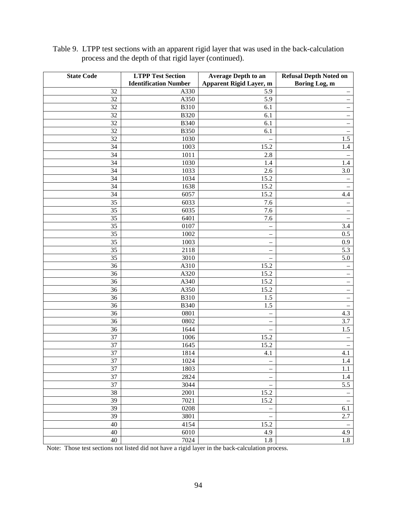| <b>State Code</b> | <b>LTPP Test Section</b>     | <b>Average Depth to an</b> | <b>Refusal Depth Noted on</b> |
|-------------------|------------------------------|----------------------------|-------------------------------|
|                   | <b>Identification Number</b> | Apparent Rigid Layer, m    | Boring Log, m                 |
| 32                | A330                         | 5.9                        | $\qquad \qquad -$             |
| 32                | A350                         | 5.9                        | -                             |
| 32                | <b>B310</b>                  | 6.1                        | $\overline{\phantom{0}}$      |
| 32                | <b>B320</b>                  | 6.1                        | $\overline{\phantom{0}}$      |
| 32                | <b>B340</b>                  | 6.1                        | $\overline{\phantom{0}}$      |
| 32                | <b>B350</b>                  | 6.1                        | $\overline{\phantom{0}}$      |
| 32                | 1030                         |                            | 1.5                           |
| 34                | 1003                         | 15.2                       | 1.4                           |
| 34                | 1011                         | 2.8                        |                               |
| 34                | 1030                         | 1.4                        | 1.4                           |
| 34                | 1033                         | 2.6                        | $3.0\,$                       |
| 34                | 1034                         | 15.2                       |                               |
| 34                | 1638                         | 15.2                       | $\overline{\phantom{0}}$      |
| 34                | 6057                         | 15.2                       | 4.4                           |
| $\overline{35}$   | 6033                         | 7.6                        | -                             |
| 35                | 6035                         | 7.6                        | -                             |
| 35                | 6401                         | 7.6                        |                               |
| 35                | 0107                         |                            | $3.4\,$                       |
| 35                | 1002                         | $\overline{\phantom{0}}$   | $0.5\,$                       |
| 35                | 1003                         | $\overline{\phantom{0}}$   | 0.9                           |
| 35                | 2118                         |                            | 5.3                           |
| 35                | 3010                         | $\overline{\phantom{0}}$   | 5.0                           |
| 36                | A310                         | 15.2                       | $\qquad \qquad -$             |
| 36                | A320                         | 15.2                       | $\qquad \qquad -$             |
| 36                | A340                         | 15.2                       | $\qquad \qquad -$             |
| 36                | A350                         | 15.2                       | -                             |
| 36                | <b>B310</b>                  | 1.5                        | -                             |
| 36                | <b>B340</b>                  | 1.5                        | -                             |
| 36                | 0801                         | $\overline{\phantom{0}}$   | 4.3                           |
| 36                | 0802                         | $\overline{\phantom{0}}$   | 3.7                           |
| 36                | 1644                         |                            | 1.5                           |
| 37                | 1006                         | 15.2                       | $\overline{\phantom{0}}$      |
| 37                | 1645                         | 15.2                       |                               |
| 37                | 1814                         | 4.1                        | 4.1                           |
| $\overline{37}$   | 1024                         |                            | 1.4                           |
| 37                | 1803                         | $\overline{\phantom{m}}$   | 1.1                           |
| 37                | 2824                         | $\overline{\phantom{0}}$   | 1.4                           |
| $\overline{37}$   | 3044                         |                            | $\overline{5.5}$              |
| $\overline{38}$   | 2001                         | 15.2                       | —                             |
| $\overline{39}$   | 7021                         | 15.2                       | $\overline{\phantom{m}}$      |
| 39                | 0208                         |                            | 6.1                           |
| $\overline{39}$   | 3801                         |                            | 2.7                           |
| $40\,$            | 4154                         | 15.2                       | $\overline{\phantom{0}}$      |
| $40\,$            | 6010                         | 4.9                        | 4.9                           |
| 40                | 7024                         | $1.8\,$                    | 1.8                           |

Table 9. LTPP test sections with an apparent rigid layer that was used in the back-calculation process and the depth of that rigid layer (continued).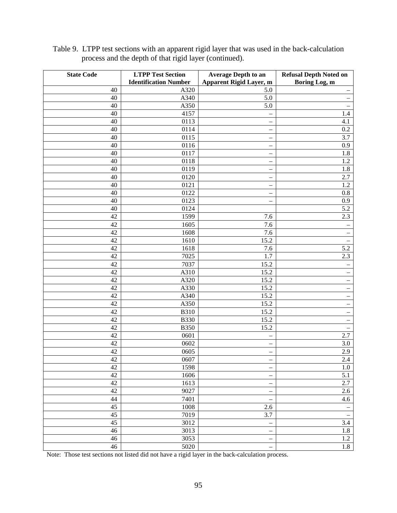| <b>State Code</b> | <b>LTPP Test Section</b>     | <b>Average Depth to an</b>     | <b>Refusal Depth Noted on</b> |
|-------------------|------------------------------|--------------------------------|-------------------------------|
|                   | <b>Identification Number</b> | <b>Apparent Rigid Layer, m</b> | Boring Log, m                 |
| 40                | A320                         | 5.0                            | $\qquad \qquad -$             |
| 40                | A340                         | 5.0                            | $\overline{\phantom{0}}$      |
| 40                | A350                         | 5.0                            | $\qquad \qquad -$             |
| 40                | 4157                         | $\overline{\phantom{0}}$       | 1.4                           |
| 40                | 0113                         | $\overline{\phantom{0}}$       | 4.1                           |
| 40                | 0114                         | —                              | $0.2\,$                       |
| 40                | 0115                         | -                              | 3.7                           |
| 40                | 0116                         | -                              | 0.9                           |
| 40                | 0117                         |                                | 1.8                           |
| 40                | 0118                         | $\overline{\phantom{0}}$       | 1.2                           |
| 40                | 0119                         | -                              | 1.8                           |
| 40                | 0120                         |                                | $2.7\,$                       |
| 40                | 0121                         | $\overline{\phantom{0}}$       | 1.2                           |
| 40                | 0122                         | $\overline{\phantom{0}}$       | $0.8\,$                       |
| 40                | 0123                         | $\overline{\phantom{0}}$       | 0.9                           |
| 40                | 0124                         |                                | $\overline{5.2}$              |
| 42                | 1599                         | 7.6                            | 2.3                           |
| 42                | 1605                         | 7.6                            | $\qquad \qquad -$             |
| 42                | 1608                         | $\overline{7.6}$               | -                             |
| 42                | 1610                         | 15.2                           | $\qquad \qquad -$             |
| 42                | 1618                         | 7.6                            | 5.2                           |
| 42                | 7025                         | 1.7                            | 2.3                           |
| 42                | 7037                         | 15.2                           | $\overline{\phantom{m}}$      |
| 42                | A310                         | 15.2                           | $\qquad \qquad -$             |
| 42                | A320                         | 15.2                           | $\overline{\phantom{0}}$      |
| 42                | A330                         | 15.2                           | $\qquad \qquad -$             |
| 42                | A340                         | 15.2                           | $\qquad \qquad -$             |
| 42                | A350                         | 15.2                           | $\qquad \qquad -$             |
| 42                | <b>B310</b>                  | 15.2                           | $\qquad \qquad -$             |
| 42                | <b>B330</b>                  | 15.2                           | $\overline{\phantom{m}}$      |
| 42                | <b>B350</b>                  | 15.2                           | $\overline{\phantom{m}}$      |
| 42                | 0601                         |                                | 2.7                           |
| 42                | 0602                         | $\overline{\phantom{0}}$       | 3.0                           |
| 42                | 0605                         |                                | 2.9                           |
| 42                | $0607\,$                     |                                | 2.4                           |
| 42                | 1598                         |                                | $1.0\,$                       |
| $42\,$            | 1606                         |                                | 5.1                           |
| $\overline{42}$   | 1613                         |                                | 2.7                           |
| 42                | 9027                         | $\overline{\phantom{0}}$       | 2.6                           |
| 44                | 7401                         |                                | 4.6                           |
| $\overline{45}$   | 1008                         | 2.6                            |                               |
| $\overline{45}$   | 7019                         | 3.7                            | $\qquad \qquad -$             |
| 45                | 3012                         |                                | 3.4                           |
| $\overline{46}$   | 3013                         |                                | $\overline{1.8}$              |
| 46                | 3053                         |                                | $1.2^{-}$                     |
| 46                | 5020                         |                                | 1.8                           |

Table 9. LTPP test sections with an apparent rigid layer that was used in the back-calculation process and the depth of that rigid layer (continued).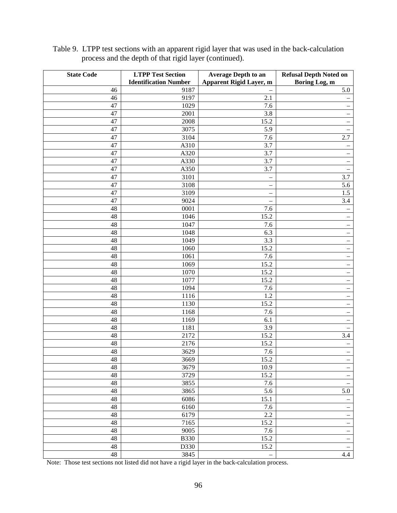| <b>State Code</b> | <b>LTPP Test Section</b>     | <b>Average Depth to an</b>     | <b>Refusal Depth Noted on</b>     |
|-------------------|------------------------------|--------------------------------|-----------------------------------|
|                   | <b>Identification Number</b> | <b>Apparent Rigid Layer, m</b> | Boring Log, m                     |
| 46                | 9187                         |                                | 5.0                               |
| 46                | 9197                         | 2.1                            | $\qquad \qquad -$                 |
| 47                | 1029                         | 7.6                            | $\qquad \qquad -$                 |
| 47                | 2001                         | 3.8                            | $\qquad \qquad -$                 |
| 47                | 2008                         | 15.2                           | $\qquad \qquad -$                 |
| 47                | 3075                         | 5.9                            | $\qquad \qquad -$                 |
| 47                | 3104                         | 7.6                            | 2.7                               |
| 47                | A310                         | 3.7                            | $\qquad \qquad -$                 |
| 47                | A320                         | 3.7                            | $\qquad \qquad -$                 |
| 47                | A330                         | 3.7                            |                                   |
| 47                | A350                         | 3.7                            | $\qquad \qquad -$                 |
| 47                | 3101                         |                                | 3.7                               |
| 47                | 3108                         | $\overline{\phantom{0}}$       | 5.6                               |
| 47                | 3109                         | $\overline{\phantom{0}}$       | 1.5                               |
| 47                | 9024                         |                                | 3.4                               |
| 48                | 0001                         | 7.6                            | $\qquad \qquad -$                 |
| 48                | 1046                         | 15.2                           | $\qquad \qquad -$                 |
| 48                | 1047                         | 7.6                            | $\overline{\phantom{0}}$          |
| 48                | 1048                         | 6.3                            | $\qquad \qquad -$                 |
| 48                | 1049                         | 3.3                            | $\qquad \qquad -$                 |
| 48                | 1060                         | 15.2                           | $\overline{\phantom{0}}$          |
| 48                | 1061                         | 7.6                            | $\overline{\phantom{0}}$          |
| 48                | 1069                         | 15.2                           | $\overline{\phantom{0}}$          |
| 48                | 1070                         | 15.2                           | $\qquad \qquad -$                 |
| 48                | 1077                         | 15.2                           | $\qquad \qquad -$                 |
| 48                | 1094                         | 7.6                            | $\qquad \qquad -$                 |
| 48                | 1116                         | 1.2                            | $\qquad \qquad -$                 |
| 48                | 1130                         | 15.2                           | $\overline{\phantom{0}}$          |
| 48                | 1168                         | 7.6                            | $\qquad \qquad -$                 |
| 48                | 1169                         | 6.1                            | $\qquad \qquad -$                 |
| 48                | 1181                         | 3.9                            | -                                 |
| 48<br>48          | 2172<br>2176                 | 15.2<br>15.2                   | 3.4<br>$\qquad \qquad -$          |
| 48                | 3629                         | 7.6                            |                                   |
| 48                | 3669                         | 15.2                           | $\qquad \qquad -$                 |
| 48                | 3679                         | 10.9                           | $\hspace{1.0cm} - \hspace{1.0cm}$ |
| $48\,$            | 3729                         | 15.2                           | $\overline{\phantom{0}}$          |
| $48\,$            | 3855                         | 7.6                            | $\qquad \qquad -$                 |
| $48\,$            | 3865                         | 5.6                            | 5.0                               |
| $48\,$            | 6086                         | 15.1                           | -                                 |
| $48\,$            | 6160                         | $7.\overline{6}$               | $\overline{\phantom{m}}$          |
| $48\,$            | 6179                         | 2.2                            | $\hspace{1.0cm} -$                |
| 48                | 7165                         | 15.2                           | $\overline{\phantom{0}}$          |
| $\overline{48}$   | 9005                         | 7.6                            | $\qquad \qquad -$                 |
| 48                | <b>B330</b>                  | 15.2                           | $\qquad \qquad -$                 |
| $48\,$            | D330                         | 15.2                           | $\qquad \qquad -$                 |
| 48                | 3845                         |                                | 4.4                               |

Table 9. LTPP test sections with an apparent rigid layer that was used in the back-calculation process and the depth of that rigid layer (continued).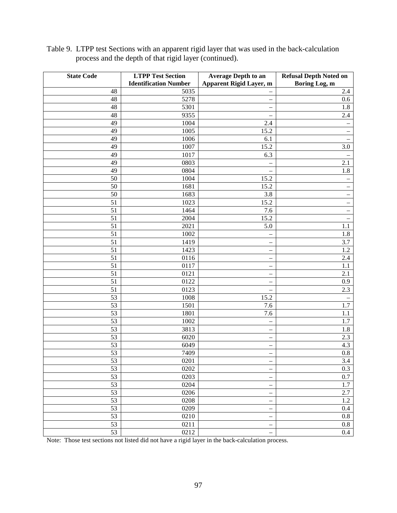| <b>State Code</b> | <b>LTPP Test Section</b>     | <b>Average Depth to an</b>     | <b>Refusal Depth Noted on</b> |
|-------------------|------------------------------|--------------------------------|-------------------------------|
|                   | <b>Identification Number</b> | <b>Apparent Rigid Layer, m</b> | Boring Log, m                 |
| 48                | 5035                         |                                | 2.4                           |
| 48                | 5278                         | -                              | 0.6                           |
| 48                | 5301                         |                                | 1.8                           |
| 48                | 9355                         |                                | 2.4                           |
| 49                | 1004                         | 2.4                            |                               |
| 49                | 1005                         | $15.\overline{2}$              | $\qquad \qquad -$             |
| 49                | 1006                         | 6.1                            |                               |
| 49                | 1007                         | 15.2                           | 3.0                           |
| 49                | 1017                         | 6.3                            |                               |
| 49                | 0803                         |                                | 2.1                           |
| 49                | 0804                         |                                | 1.8                           |
| 50                | 1004                         | 15.2                           |                               |
| 50                | 1681                         | 15.2                           | $\overline{\phantom{0}}$      |
| 50                | 1683                         | 3.8                            | $\overline{\phantom{0}}$      |
| 51                | 1023                         | 15.2                           | $\qquad \qquad -$             |
| 51                | 1464                         | 7.6                            | -                             |
| $\overline{51}$   | 2004                         | 15.2                           |                               |
| 51                | 2021                         | 5.0                            | 1.1                           |
| 51                | 1002                         |                                | 1.8                           |
| 51                | 1419                         | -                              | 3.7                           |
| 51                | 1423                         | $\overline{\phantom{0}}$       | 1.2                           |
| 51                | 0116                         | -                              | 2.4                           |
| 51                | 0117                         | —                              | 1.1                           |
| 51                | 0121                         | $\overline{\phantom{0}}$       | 2.1                           |
| 51                | 0122                         | $\overline{\phantom{0}}$       | 0.9                           |
| 51                | 0123                         | $\overline{\phantom{0}}$       | 2.3                           |
| 53                | 1008                         | 15.2                           | $\overline{\phantom{0}}$      |
| 53                | 1501                         | 7.6                            | 1.7                           |
| 53                | 1801                         | 7.6                            | 1.1                           |
| 53                | 1002                         | -                              | 1.7                           |
| 53                | 3813                         | -                              | 1.8                           |
| 53                | 6020                         | -                              | 2.3                           |
| 53                | 6049                         | -                              | 4.3                           |
| 53                | 7409                         | $\overline{\phantom{0}}$       | $0.8\,$                       |
| 53                | 0201                         |                                | 3.4                           |
| $\overline{53}$   | 0202                         | —                              | $0.3\,$                       |
| $\overline{53}$   | 0203                         | $\qquad \qquad -$              | $\overline{0.7}$              |
| $\overline{53}$   | 0204                         | $\qquad \qquad -$              | 1.7                           |
| 53                | 0206                         | -                              | 2.7                           |
| $\overline{53}$   | 0208                         | $\overline{\phantom{0}}$       | 1.2                           |
| 53                | 0209                         | -                              | 0.4                           |
| 53                | 0210                         | -                              | $0.8\,$                       |
| 53                | 0211                         |                                | $\rm 0.8$                     |
| $\overline{53}$   | 0212                         |                                | $\overline{0.4}$              |

Table 9. LTPP test Sections with an apparent rigid layer that was used in the back-calculation process and the depth of that rigid layer (continued).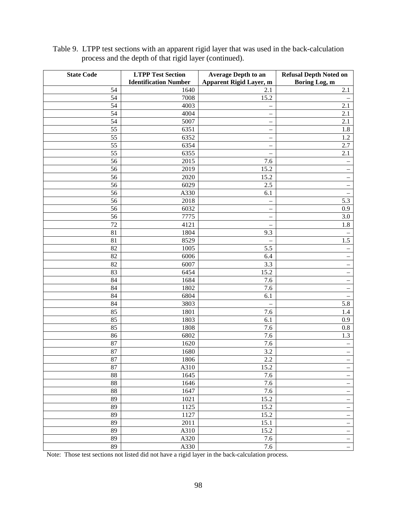| <b>State Code</b> | <b>LTPP Test Section</b>     | <b>Average Depth to an</b>     | <b>Refusal Depth Noted on</b>     |
|-------------------|------------------------------|--------------------------------|-----------------------------------|
|                   | <b>Identification Number</b> | <b>Apparent Rigid Layer, m</b> | Boring Log, m                     |
| 54                | 1640                         | 2.1                            | 2.1                               |
| 54                | 7008                         | 15.2                           | $\qquad \qquad -$                 |
| 54                | 4003                         | -                              | 2.1                               |
| 54                | 4004                         |                                | 2.1                               |
| 54                | 5007                         | -                              | 2.1                               |
| 55                | 6351                         | -                              | 1.8                               |
| 55                | 6352                         |                                | 1.2                               |
| 55                | 6354                         |                                | 2.7                               |
| 55                | 6355                         |                                | 2.1                               |
| 56                | 2015                         | 7.6                            |                                   |
| 56                | 2019                         | 15.2                           | $\qquad \qquad -$                 |
| 56                | 2020                         | 15.2                           | $\qquad \qquad -$                 |
| 56                | 6029                         | 2.5                            | $\qquad \qquad -$                 |
| 56                | A330                         | 6.1                            |                                   |
| 56                | 2018                         |                                | 5.3                               |
| 56                | 6032                         | $\overline{\phantom{0}}$       | 0.9                               |
| 56                | 7775                         |                                | 3.0                               |
| 72                | 4121                         |                                | $1.8\,$                           |
| 81                | 1804                         | 9.3                            |                                   |
| 81                | 8529                         |                                | $1.5\,$                           |
| 82                | 1005                         | 5.5                            | $\qquad \qquad -$                 |
| 82                | 6006                         | 6.4                            | $\qquad \qquad -$                 |
| 82                | 6007                         | 3.3                            | $\overline{\phantom{0}}$          |
| 83                | 6454                         | 15.2                           | $\qquad \qquad -$                 |
| 84                | 1684                         | 7.6                            | $\hspace{1.0cm} - \hspace{1.0cm}$ |
| 84                | 1802                         | 7.6                            | $\qquad \qquad -$                 |
| 84                | 6804                         | 6.1                            | $\qquad \qquad -$                 |
| 84                | 3803                         |                                | 5.8                               |
| 85                | 1801                         | 7.6                            | 1.4                               |
| 85                | 1803                         | 6.1                            | 0.9                               |
| 85                | 1808                         | 7.6                            | $0.8\,$                           |
| 86                | 6802                         | 7.6                            | 1.3                               |
| 87                | 1620                         | 7.6                            | $\equiv$                          |
| 87                | 1680                         | 3.2                            | $\qquad \qquad -$                 |
| 87                | 1806                         | 2.2                            |                                   |
| 87                | A310                         | 15.2                           | $\overline{\phantom{0}}$          |
| $88\,$            | 1645                         | 7.6                            | $\overline{\phantom{m}}$          |
| 88                | 1646                         | 7.6                            | $\qquad \qquad -$                 |
| 88                | 1647                         | 7.6                            | $\qquad \qquad -$                 |
| $8\overline{9}$   | 1021                         | 15.2                           | $\overline{\phantom{0}}$          |
| 89                | 1125                         | 15.2                           | $\qquad \qquad -$                 |
| 89                | 1127                         | 15.2                           | $\overline{\phantom{a}}$          |
| 89                | 2011                         | 15.1                           | $\overline{\phantom{0}}$          |
| 89                | A310                         | 15.2                           | $\qquad \qquad -$                 |
| 89                | A320                         | 7.6                            | $\qquad \qquad -$                 |
| 89                | A330                         | 7.6                            | $\bar{ }$                         |

Table 9. LTPP test sections with an apparent rigid layer that was used in the back-calculation process and the depth of that rigid layer (continued).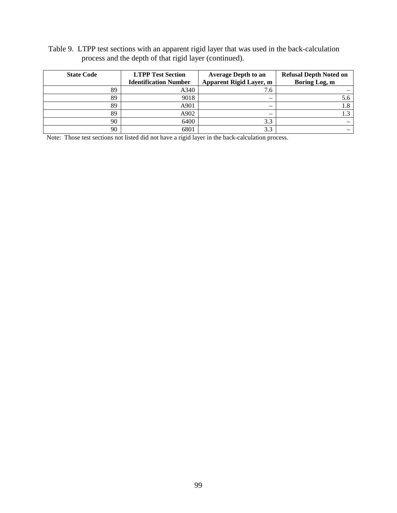Table 9. LTPP test sections with an apparent rigid layer that was used in the back-calculation process and the depth of that rigid layer (continued).

| <b>State Code</b> | <b>LTPP Test Section</b><br><b>Identification Number</b> | <b>Average Depth to an</b><br><b>Apparent Rigid Layer, m</b> | <b>Refusal Depth Noted on</b><br>Boring Log, m |
|-------------------|----------------------------------------------------------|--------------------------------------------------------------|------------------------------------------------|
| 89                | A340                                                     | 7.6                                                          |                                                |
| 89                | 9018                                                     |                                                              |                                                |
| 89                | A901                                                     |                                                              |                                                |
| 89                | A902                                                     |                                                              |                                                |
| 90                | 6400                                                     | 3.3                                                          |                                                |
| 90                | 6801                                                     | 3.3                                                          |                                                |

Note: Those test sections not listed did not have a rigid layer in the back-calculation process.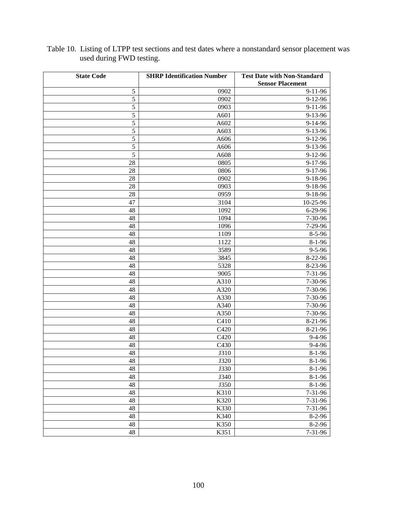| <b>State Code</b> | <b>SHRP Identification Number</b> | <b>Test Date with Non-Standard</b> |
|-------------------|-----------------------------------|------------------------------------|
|                   |                                   | <b>Sensor Placement</b>            |
| 5                 | 0902                              | $9 - 11 - 96$                      |
| 5                 | 0902                              | $9-12-96$                          |
| 5                 | 0903                              | $9 - 11 - 96$                      |
| $\mathfrak s$     | A601                              | 9-13-96                            |
| 5                 | A602                              | $9-14-96$                          |
| 5                 | A603                              | 9-13-96                            |
| 5                 | A606                              | 9-12-96                            |
| 5                 | A606                              | 9-13-96                            |
| 5                 | A608                              | $9 - 12 - 96$                      |
| 28                | 0805                              | $9 - 17 - 96$                      |
| 28                | 0806                              | 9-17-96                            |
| 28                | 0902                              | 9-18-96                            |
| 28                | 0903                              | 9-18-96                            |
| 28                | 0959                              | 9-18-96                            |
| 47                | 3104                              | 10-25-96                           |
| 48                | 1092                              | $6 - 29 - 96$                      |
| 48                | 1094                              | 7-30-96                            |
| 48                | 1096                              | 7-29-96                            |
| 48                | 1109                              | $8 - 5 - 96$                       |
| 48                | 1122                              | $8-1-96$                           |
| 48                | 3589                              | $9 - 5 - 96$                       |
| 48                | 3845                              | 8-22-96                            |
| 48                | 5328                              | 8-23-96                            |
| 48                | 9005                              | $7 - 31 - 96$                      |
| 48                | A310                              | 7-30-96                            |
| 48                | A320                              | 7-30-96                            |
| 48                | A330                              | 7-30-96                            |
| 48                | A340                              | 7-30-96                            |
| 48                | A350                              | 7-30-96                            |
| 48                | C410                              | $8-21-96$                          |
| 48                | C420                              | 8-21-96                            |
| 48                | C420                              | $9 - 4 - 96$                       |
| 48                | C430                              | $9-4-96$                           |
| 48                | J310                              | $8-1-96$                           |
| 48                | J320                              | $8 - 1 - 96$                       |
| 48                | J330                              | $8 - 1 - 96$                       |
| 48                | J340                              | $8-1-96$                           |
| 48                | J350                              | $8-1-96$                           |
| 48                | K310                              | $7 - 31 - 96$                      |
| 48                | K320                              | $7 - 31 - 96$                      |
| 48                | K330                              | $7 - 31 - 96$                      |
| 48                | K340                              | $8-2-96$                           |
| 48                | K350                              | $8-2-96$                           |
| 48                | K351                              | $7 - 31 - 96$                      |

Table 10. Listing of LTPP test sections and test dates where a nonstandard sensor placement was used during FWD testing.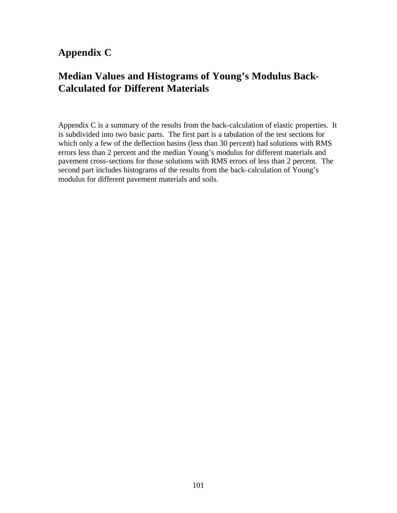## **Appendix C**

## **Median Values and Histograms of Young's Modulus Back-Calculated for Different Materials**

Appendix C is a summary of the results from the back-calculation of elastic properties. It is subdivided into two basic parts. The first part is a tabulation of the test sections for which only a few of the deflection basins (less than 30 percent) had solutions with RMS errors less than 2 percent and the median Young's modulus for different materials and pavement cross-sections for those solutions with RMS errors of less than 2 percent. The second part includes histograms of the results from the back-calculation of Young's modulus for different pavement materials and soils.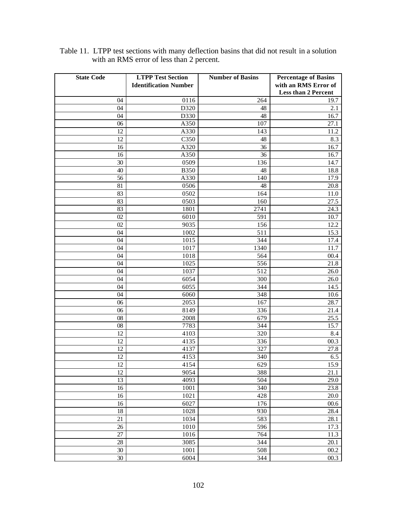| <b>State Code</b> | <b>LTPP Test Section</b>     | <b>Number of Basins</b> | <b>Percentage of Basins</b> |
|-------------------|------------------------------|-------------------------|-----------------------------|
|                   | <b>Identification Number</b> |                         | with an RMS Error of        |
|                   |                              |                         | <b>Less than 2 Percent</b>  |
| 04                | 0116                         | 264                     | 19.7                        |
| 04                | D320                         | 48                      | 2.1                         |
| 04                | D330                         | 48                      | 16.7                        |
| 06                | A350                         | 107                     | 27.1                        |
| 12                | A330                         | 143                     | 11.2                        |
| 12                | C350                         | 48                      | 8.3                         |
| 16                | A320                         | 36                      | 16.7                        |
| 16                | A350                         | 36                      | 16.7                        |
| 30                | 0509                         | 136                     | 14.7                        |
| 40                | <b>B350</b>                  | 48                      | 18.8                        |
| 56                | A330                         | 140                     | 17.9                        |
| 81                | 0506                         | 48                      | 20.8                        |
| 83                | 0502                         | 164                     | 11.0                        |
| 83                | 0503                         | 160                     | 27.5                        |
| 83                | 1801                         | 2741                    | 24.3                        |
| 02                | 6010                         | 591                     | 10.7                        |
| 02                | 9035                         | 156                     | 12.2                        |
| 04                | 1002                         | 511                     | 15.3                        |
| 04                | 1015                         | 344                     | 17.4                        |
| 04                | 1017                         | 1340                    | 11.7                        |
| 04                | 1018                         | 564                     | 00.4                        |
| 04                | 1025                         | 556                     | 21.8                        |
| 04                | 1037                         | 512                     | 26.0                        |
| 04                | 6054                         | 300                     | 26.0                        |
| 04                | 6055                         | 344                     | 14.5                        |
| 04                | 6060                         | 348                     | 10.6                        |
| 06                | 2053                         | 167                     | 28.7                        |
| 06                | 8149                         | 336                     | 21.4                        |
| 08                | 2008                         | 679                     | 25.5                        |
| 08                | 7783                         | 344                     | 15.7                        |
| 12                | 4103                         | 320                     | 8.4                         |
| 12                | 4135                         | 336                     | 00.3                        |
| 12                | 4137                         | 327                     | 27.8                        |
| 12                | 4153                         | 340                     | 6.5                         |
| $\overline{12}$   | 4154                         | 629                     | 15.9                        |
| 12                | 9054                         | 388                     | 21.1                        |
| 13                | 4093                         | 504                     | 29.0                        |
| 16                | 1001                         | 340                     | 23.8                        |
| 16                | 1021                         | 428                     | $20.0\,$                    |
| 16                | 6027                         | 176                     | $00.6\,$                    |
| $18\,$            | 1028                         | 930                     | 28.4                        |
| 21                | 1034                         | 583                     | 28.1                        |
| 26                | 1010                         | 596                     | 17.3                        |
| 27                | 1016                         | 764                     | 11.3                        |
| $28\,$            | 3085                         | 344                     | 20.1                        |
| 30                | 1001                         | 508                     | $00.2\,$                    |
| 30                | 6004                         | 344                     | 00.3                        |

Table 11. LTPP test sections with many deflection basins that did not result in a solution with an RMS error of less than 2 percent.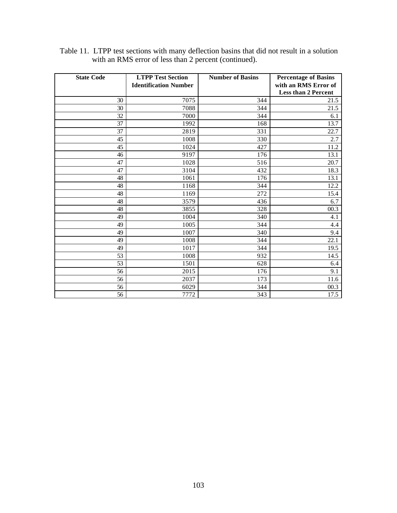| <b>State Code</b> | <b>LTPP Test Section</b>     | <b>Number of Basins</b> | <b>Percentage of Basins</b> |
|-------------------|------------------------------|-------------------------|-----------------------------|
|                   | <b>Identification Number</b> |                         | with an RMS Error of        |
|                   |                              |                         | <b>Less than 2 Percent</b>  |
| 30                | 7075                         | 344                     | 21.5                        |
| 30                | 7088                         | 344                     | 21.5                        |
| 32                | 7000                         | 344                     | 6.1                         |
| 37                | 1992                         | 168                     | 13.7                        |
| 37                | 2819                         | 331                     | 22.7                        |
| 45                | 1008                         | 330                     | 2.7                         |
| 45                | 1024                         | 427                     | 11.2                        |
| 46                | 9197                         | 176                     | 13.1                        |
| 47                | 1028                         | 516                     | 20.7                        |
| 47                | 3104                         | 432                     | 18.3                        |
| 48                | 1061                         | 176                     | 13.1                        |
| 48                | 1168                         | 344                     | 12.2                        |
| 48                | 1169                         | 272                     | 15.4                        |
| 48                | 3579                         | 436                     | 6.7                         |
| 48                | 3855                         | 328                     | 00.3                        |
| 49                | 1004                         | 340                     | 4.1                         |
| 49                | 1005                         | 344                     | 4.4                         |
| 49                | 1007                         | 340                     | 9.4                         |
| 49                | 1008                         | 344                     | 22.1                        |
| 49                | 1017                         | 344                     | 19.5                        |
| 53                | 1008                         | 932                     | 14.5                        |
| 53                | 1501                         | 628                     | 6.4                         |
| 56                | 2015                         | 176                     | 9.1                         |
| 56                | 2037                         | 173                     | 11.6                        |
| 56                | 6029                         | 344                     | 00.3                        |
| 56                | 7772                         | 343                     | 17.5                        |

Table 11. LTPP test sections with many deflection basins that did not result in a solution with an RMS error of less than 2 percent (continued).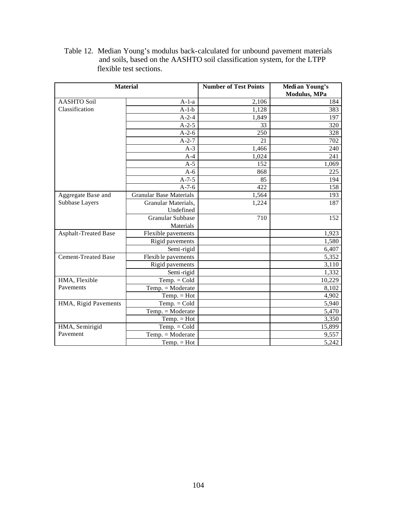Table 12. Median Young's modulus back-calculated for unbound pavement materials and soils, based on the AASHTO soil classification system, for the LTPP flexible test sections.

|                            | <b>Material</b>                | <b>Number of Test Points</b> | Median Young's<br>Modulus, MPa |
|----------------------------|--------------------------------|------------------------------|--------------------------------|
| <b>AASHTO Soil</b>         | $A-1-a$                        | 2,106                        | 184                            |
| Classification             | $A-1-b$                        | 1,128                        | 383                            |
|                            | $A - 2 - 4$                    | 1,849                        | 197                            |
|                            | $A-2-5$                        | 33                           | 320                            |
|                            | $A-2-6$                        | 250                          | 328                            |
|                            | $A-2-7$                        | 21                           | 702                            |
|                            | $A-3$                          | 1,466                        | 240                            |
|                            | $A-4$                          | 1,024                        | 241                            |
|                            | $A-5$                          | 152                          | 1,069                          |
|                            | $A-6$                          | 868                          | 225                            |
|                            | $A-7-5$                        | 85                           | 194                            |
|                            | $A-7-6$                        | 422                          | 158                            |
| Aggregate Base and         | <b>Granular Base Materials</b> | 1,564                        | 193                            |
| Subbase Layers             | Granular Materials,            | 1,224                        | 187                            |
|                            | Undefined                      |                              |                                |
|                            | <b>Granular Subbase</b>        | 710                          | 152                            |
|                            | Materials                      |                              |                                |
| Asphalt-Treated Base       | Flexible pavements             |                              | 1,923                          |
|                            | Rigid pavements                |                              | 1,580                          |
|                            | Semi-rigid                     |                              | 6,407                          |
| <b>Cement-Treated Base</b> | Flexible pavements             |                              | 5,352                          |
|                            | Rigid pavements                |                              | 3,110                          |
|                            | Semi-rigid                     |                              | 1,332                          |
| HMA, Flexible              | $Temp. = Cold$                 |                              | 10,229                         |
| Pavements                  | Temp. = Moderate               |                              | 8,102                          |
|                            | $Temp. = Hot$                  |                              | 4,902                          |
| HMA, Rigid Pavements       | $Temp. = Cold$                 |                              | 5,940                          |
|                            | $Temp. = Moderate$             |                              | 5,470                          |
|                            | $Temp. = Hot$                  |                              | 3,350                          |
| HMA, Semirigid             | $Temp. = Cold$                 |                              | 15,899                         |
| Pavement                   | $Temp. = Moderate$             |                              | 9,557                          |
|                            | $Temp. = Hot$                  |                              | 5,242                          |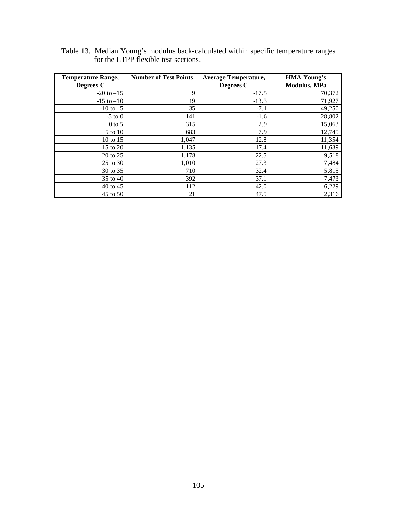| <b>Temperature Range,</b> | <b>Number of Test Points</b> | <b>Average Temperature,</b> | <b>HMA Young's</b>   |
|---------------------------|------------------------------|-----------------------------|----------------------|
| Degrees C                 |                              | Degrees C                   | <b>Modulus</b> , MPa |
| $-20$ to $-15$            | 9                            | $-17.5$                     | 70,372               |
| $-15$ to $-10$            | 19                           | $-13.3$                     | 71,927               |
| $-10$ to $-5$             | 35                           | $-7.1$                      | 49,250               |
| $-5$ to $0$               | 141                          | $-1.6$                      | 28,802               |
| $0$ to 5                  | 315                          | 2.9                         | 15,063               |
| 5 to 10                   | 683                          | 7.9                         | 12,745               |
| 10 to 15                  | 1,047                        | 12.8                        | 11,354               |
| 15 to 20                  | 1,135                        | 17.4                        | 11,639               |
| 20 to 25                  | 1,178                        | 22.5                        | 9,518                |
| 25 to 30                  | 1,010                        | 27.3                        | 7,484                |
| 30 to 35                  | 710                          | 32.4                        | 5,815                |
| 35 to 40                  | 392                          | 37.1                        | 7,473                |
| 40 to 45                  | 112                          | 42.0                        | 6,229                |
| 45 to 50                  | 21                           | 47.5                        | 2,316                |

Table 13. Median Young's modulus back-calculated within specific temperature ranges for the LTPP flexible test sections.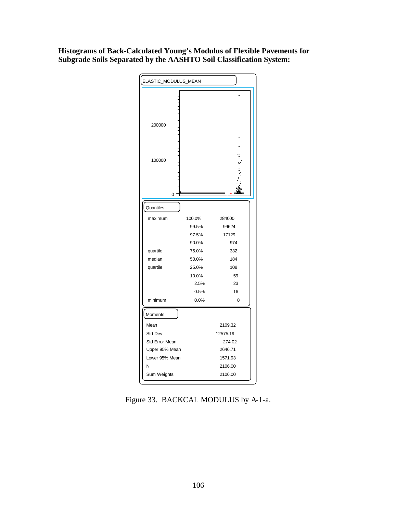## **Histograms of Back-Calculated Young's Modulus of Flexible Pavements for Subgrade Soils Separated by the AASHTO Soil Classification System:**



Figure 33. BACKCAL MODULUS by A-1-a.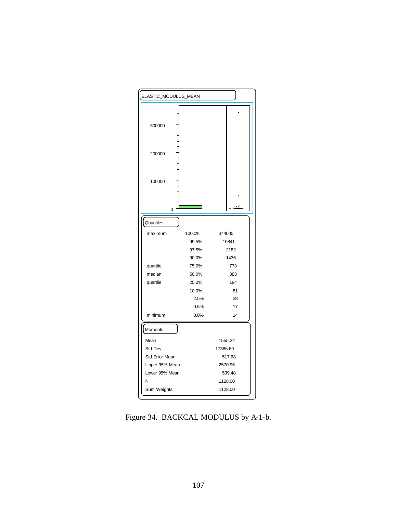| ELASTIC_MODULUS_MEAN |        |          |  |
|----------------------|--------|----------|--|
|                      |        |          |  |
| 300000               |        |          |  |
| 200000               |        |          |  |
| 100000               |        |          |  |
| 0                    |        |          |  |
| Quantiles            |        |          |  |
| maximum              | 100.0% | 344000   |  |
|                      | 99.5%  | 10841    |  |
|                      | 97.5%  | 2182     |  |
|                      | 90.0%  | 1436     |  |
| quartile             | 75.0%  | 773      |  |
| median               | 50.0%  | 383      |  |
| quartile             | 25.0%  | 184      |  |
|                      | 10.0%  | 81       |  |
|                      | 2.5%   | 28       |  |
|                      | 0.5%   | 17       |  |
| minimum              | 0.0%   | 14       |  |
| Moments              |        |          |  |
| Mean                 |        | 1555.22  |  |
| Std Dev              |        | 17386.69 |  |
| Std Error Mean       |        | 517.68   |  |
| Upper 95% Mean       |        | 2570.96  |  |
| Lower 95% Mean       |        | 539.48   |  |
| N                    |        | 1128.00  |  |
| Sum Weights          |        | 1128.00  |  |

Figure 34. BACKCAL MODULUS by A-1-b.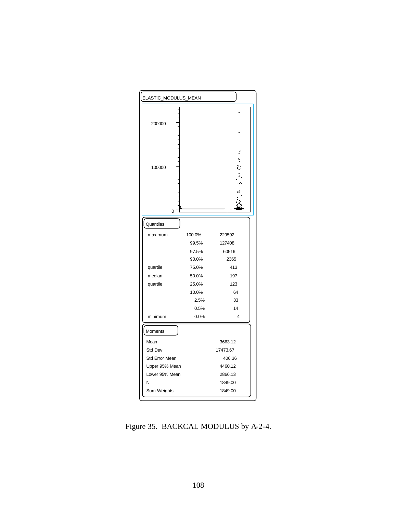

Figure 35. BACKCAL MODULUS by A-2-4.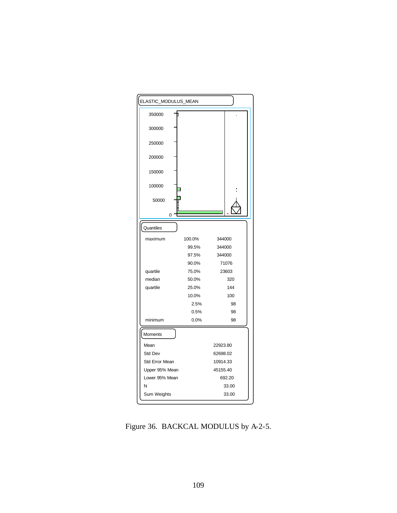

Figure 36. BACKCAL MODULUS by A-2-5.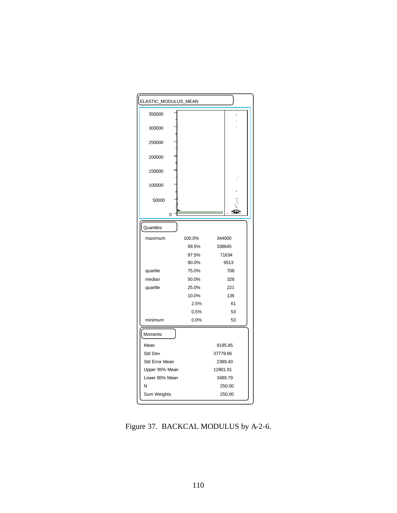

Figure 37. BACKCAL MODULUS by A-2-6.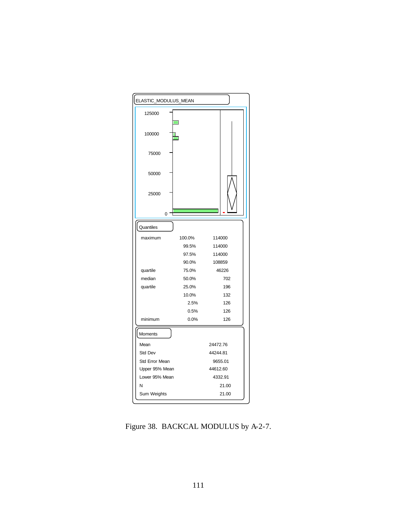

Figure 38. BACKCAL MODULUS by A-2-7.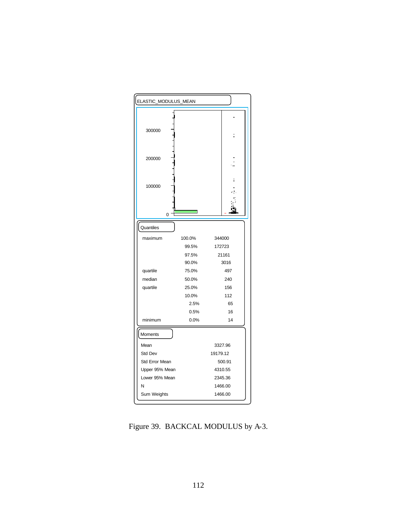

Figure 39. BACKCAL MODULUS by A-3.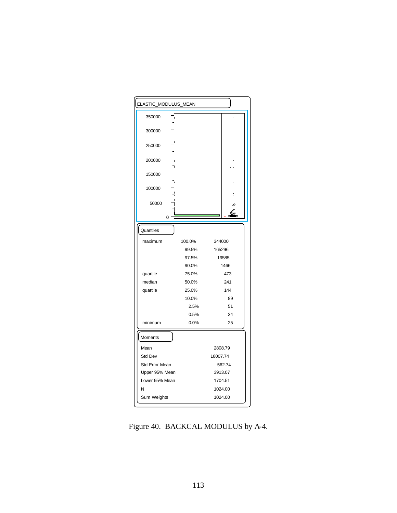

Figure 40. BACKCAL MODULUS by A-4.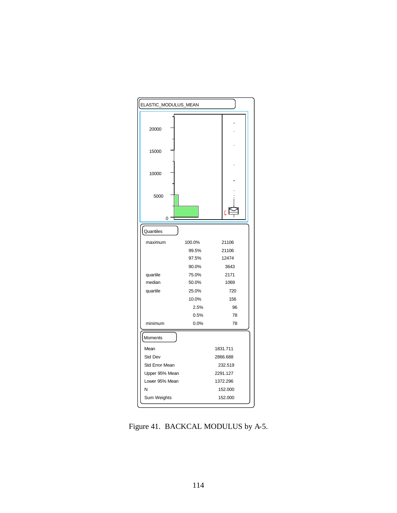

Figure 41. BACKCAL MODULUS by A-5.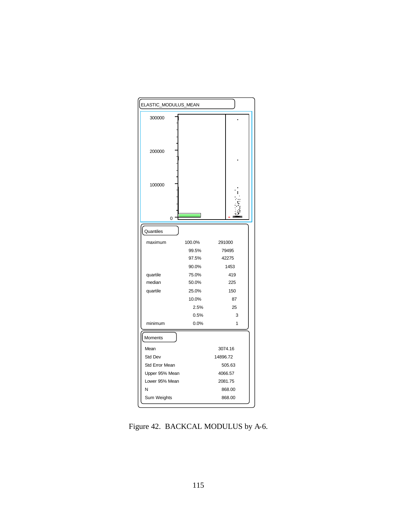

Figure 42. BACKCAL MODULUS by A-6.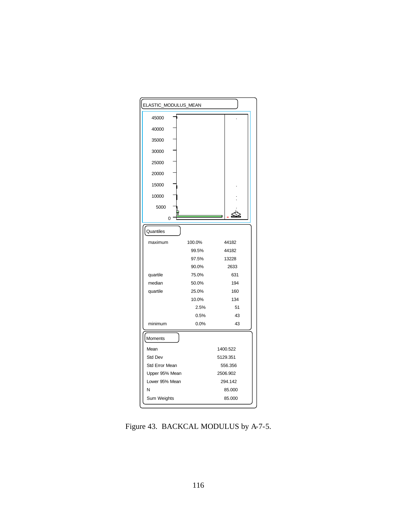

Figure 43. BACKCAL MODULUS by A-7-5.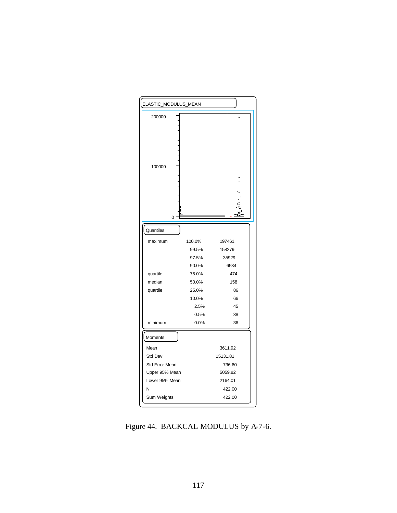

Figure 44. BACKCAL MODULUS by A-7-6.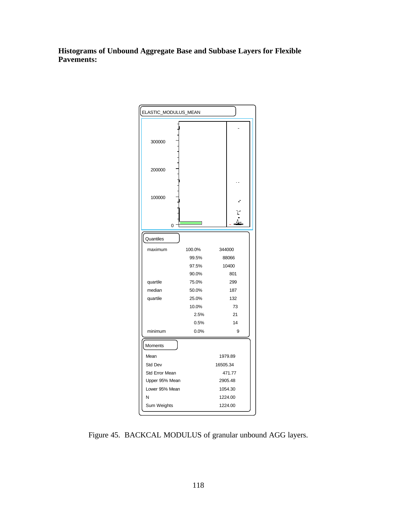**Histograms of Unbound Aggregate Base and Subbase Layers for Flexible Pavements:**



Figure 45. BACKCAL MODULUS of granular unbound AGG layers.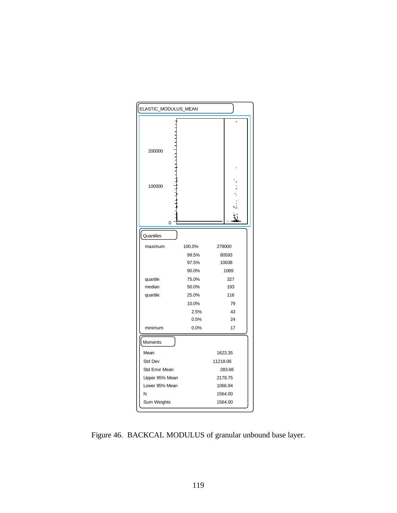

Figure 46. BACKCAL MODULUS of granular unbound base layer.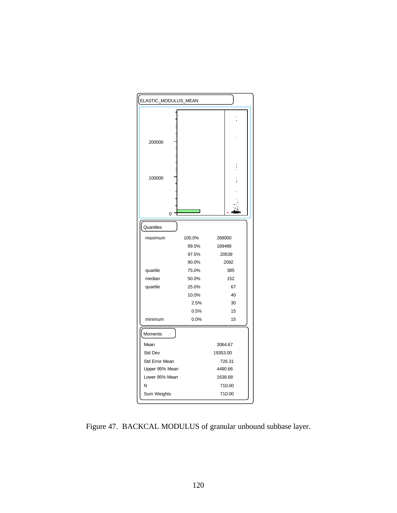

Figure 47. BACKCAL MODULUS of granular unbound subbase layer.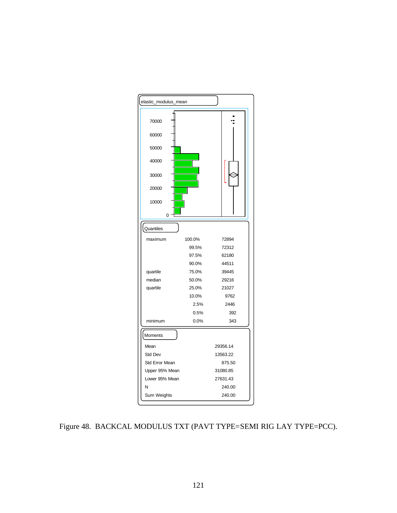

Figure 48. BACKCAL MODULUS TXT (PAVT TYPE=SEMI RIG LAY TYPE=PCC).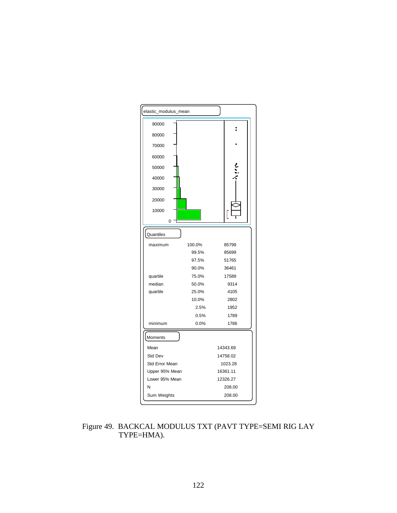

Figure 49. BACKCAL MODULUS TXT (PAVT TYPE=SEMI RIG LAY TYPE=HMA).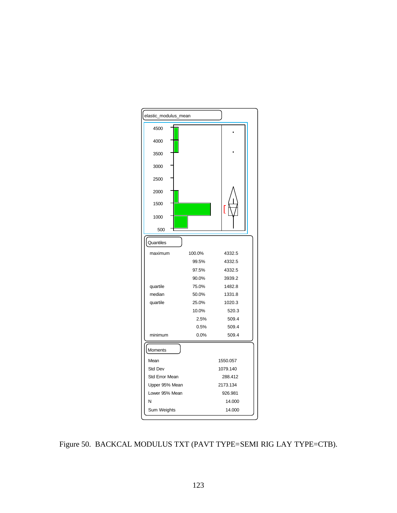

Figure 50. BACKCAL MODULUS TXT (PAVT TYPE=SEMI RIG LAY TYPE=CTB).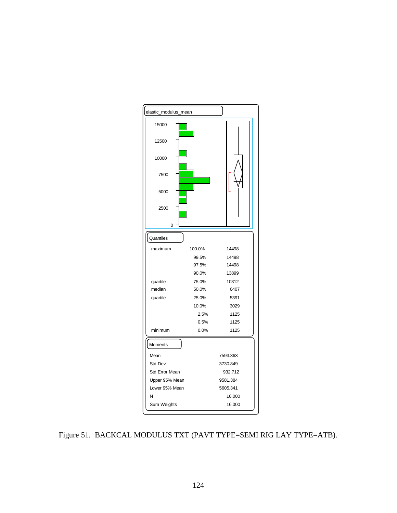

Figure 51. BACKCAL MODULUS TXT (PAVT TYPE=SEMI RIG LAY TYPE=ATB).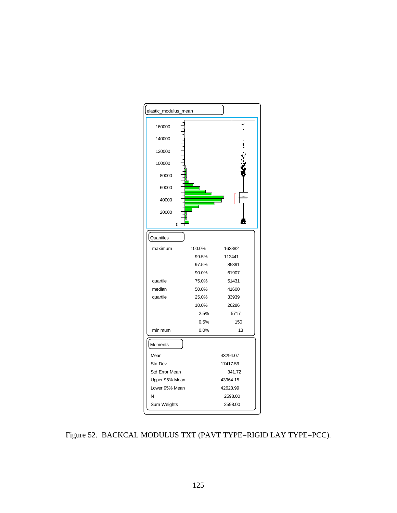

Figure 52. BACKCAL MODULUS TXT (PAVT TYPE=RIGID LAY TYPE=PCC).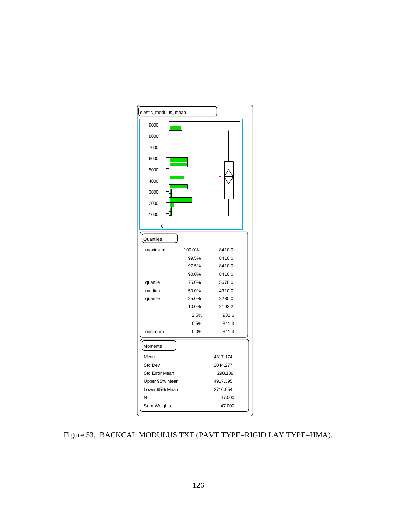

Figure 53. BACKCAL MODULUS TXT (PAVT TYPE=RIGID LAY TYPE=HMA).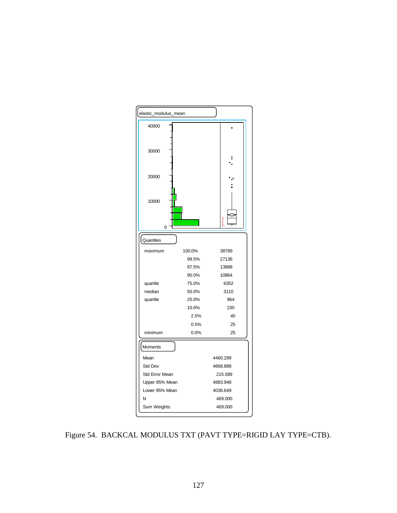

Figure 54. BACKCAL MODULUS TXT (PAVT TYPE=RIGID LAY TYPE=CTB).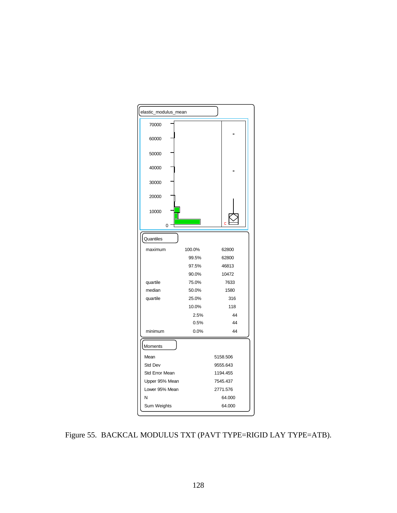

Figure 55. BACKCAL MODULUS TXT (PAVT TYPE=RIGID LAY TYPE=ATB).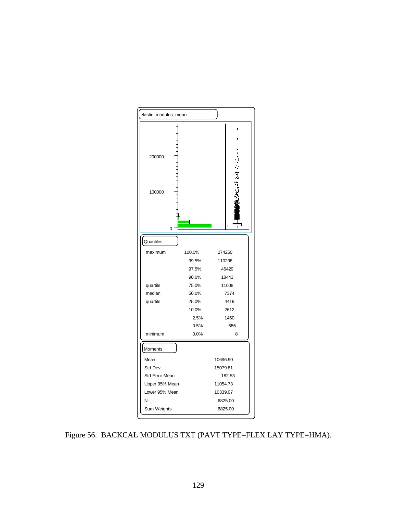

Figure 56. BACKCAL MODULUS TXT (PAVT TYPE=FLEX LAY TYPE=HMA).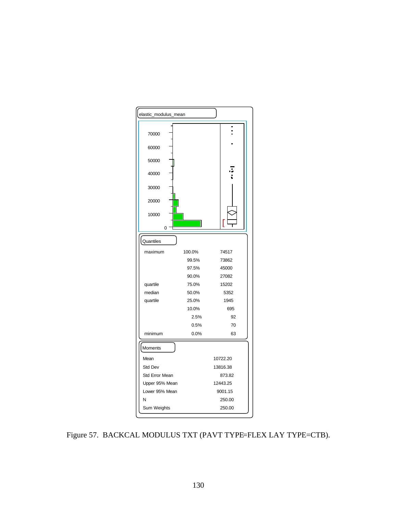

Figure 57. BACKCAL MODULUS TXT (PAVT TYPE=FLEX LAY TYPE=CTB).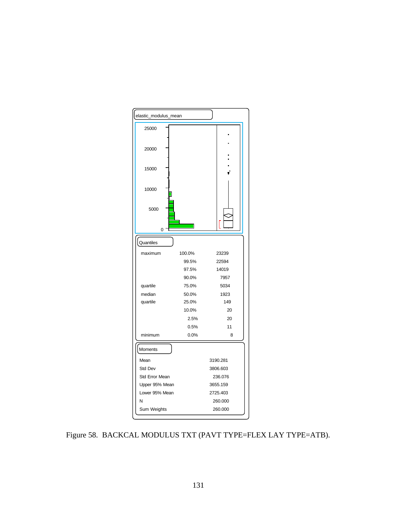

Figure 58. BACKCAL MODULUS TXT (PAVT TYPE=FLEX LAY TYPE=ATB).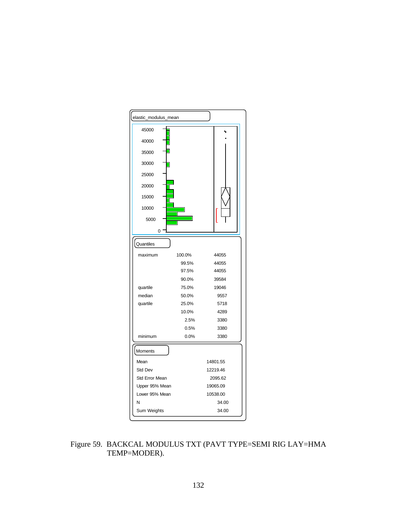

Figure 59. BACKCAL MODULUS TXT (PAVT TYPE=SEMI RIG LAY=HMA TEMP=MODER).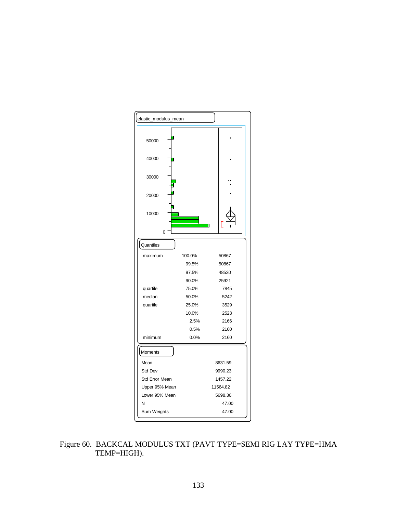

Figure 60. BACKCAL MODULUS TXT (PAVT TYPE=SEMI RIG LAY TYPE=HMA TEMP=HIGH).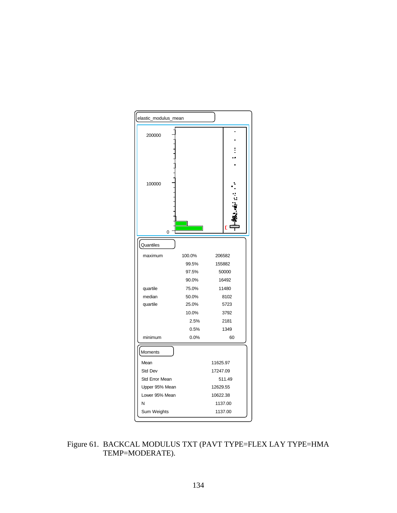

Figure 61. BACKCAL MODULUS TXT (PAVT TYPE=FLEX LAY TYPE=HMA TEMP=MODERATE).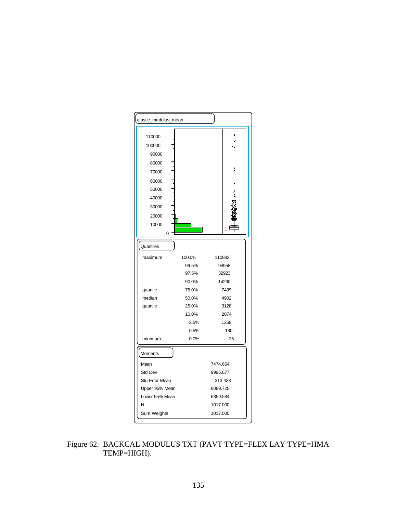

Figure 62. BACKCAL MODULUS TXT (PAVT TYPE=FLEX LAY TYPE=HMA TEMP=HIGH).